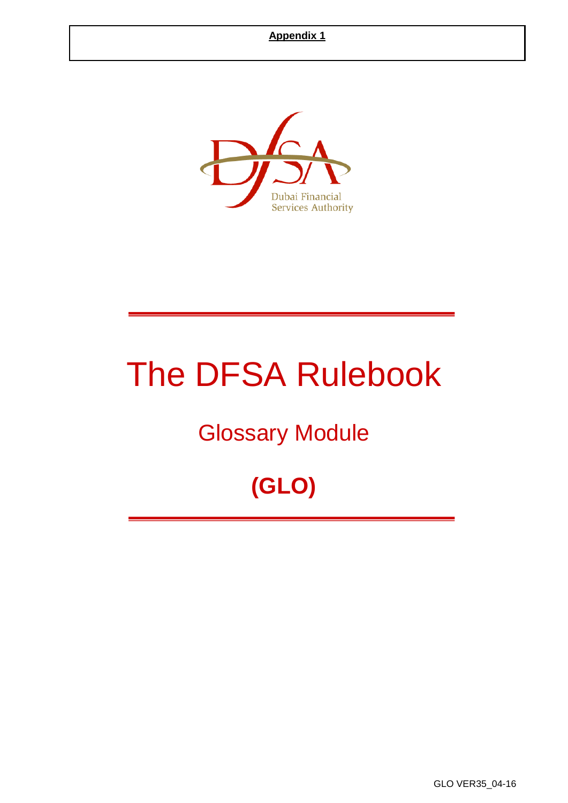

# The DFSA Rulebook

# Glossary Module

# **(GLO)**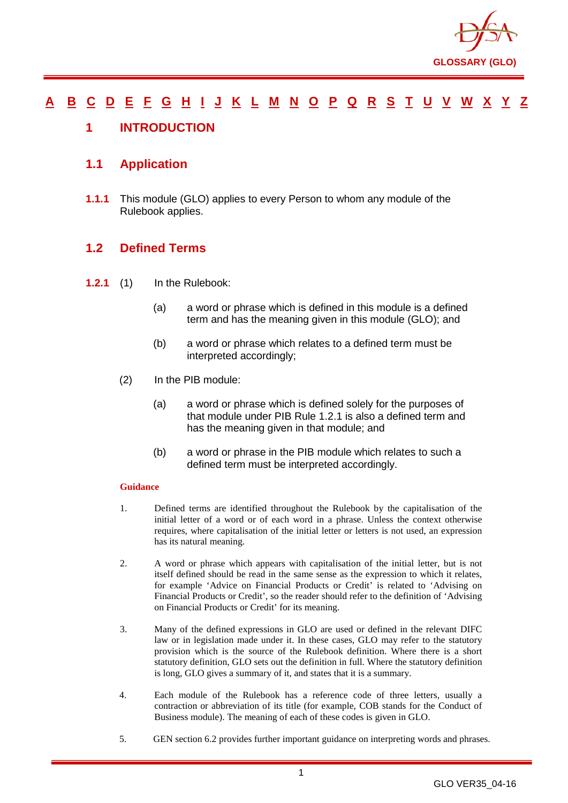

#### <u>[A](#page-2-0) [B](#page-7-0) [C](#page-9-0) [D](#page-17-0) [E](#page-21-0) [F](#page-22-0) [G](#page-25-0) [H](#page-29-0) [I](#page-30-0) [J](#page-34-0) [K](#page-34-1) [L](#page-35-0) [M](#page-37-0) [N](#page-40-0) [O](#page-42-0) [P](#page-44-0) [Q](#page-49-0) [R](#page-50-0) [S](#page-54-0) [T](#page-58-0) [U](#page-60-0) [V](#page-61-0) [W](#page-62-0) [X](#page-63-0) [Y](#page-64-0) [Z](#page-65-0)</u>

#### <span id="page-1-0"></span>**1 INTRODUCTION**

#### **1.1 Application**

**1.1.1** This module (GLO) applies to every Person to whom any module of the Rulebook applies.

#### **1.2 Defined Terms**

- **1.2.1** (1) In the Rulebook:
	- (a) a word or phrase which is defined in this module is a defined term and has the meaning given in this module (GLO); and
	- (b) a word or phrase which relates to a defined term must be interpreted accordingly;
	- (2) In the PIB module:
		- (a) a word or phrase which is defined solely for the purposes of that module under PIB Rule 1.2.1 is also a defined term and has the meaning given in that module; and
		- (b) a word or phrase in the PIB module which relates to such a defined term must be interpreted accordingly.

#### **Guidance**

- 1. Defined terms are identified throughout the Rulebook by the capitalisation of the initial letter of a word or of each word in a phrase. Unless the context otherwise requires, where capitalisation of the initial letter or letters is not used, an expression has its natural meaning.
- 2. A word or phrase which appears with capitalisation of the initial letter, but is not itself defined should be read in the same sense as the expression to which it relates, for example 'Advice on Financial Products or Credit' is related to 'Advising on Financial Products or Credit', so the reader should refer to the definition of 'Advising on Financial Products or Credit' for its meaning.
- 3. Many of the defined expressions in GLO are used or defined in the relevant DIFC law or in legislation made under it. In these cases, GLO may refer to the statutory provision which is the source of the Rulebook definition. Where there is a short statutory definition, GLO sets out the definition in full. Where the statutory definition is long, GLO gives a summary of it, and states that it is a summary.
- 4. Each module of the Rulebook has a reference code of three letters, usually a contraction or abbreviation of its title (for example, COB stands for the Conduct of Business module). The meaning of each of these codes is given in GLO.
- 5. GEN section 6.2 provides further important guidance on interpreting words and phrases.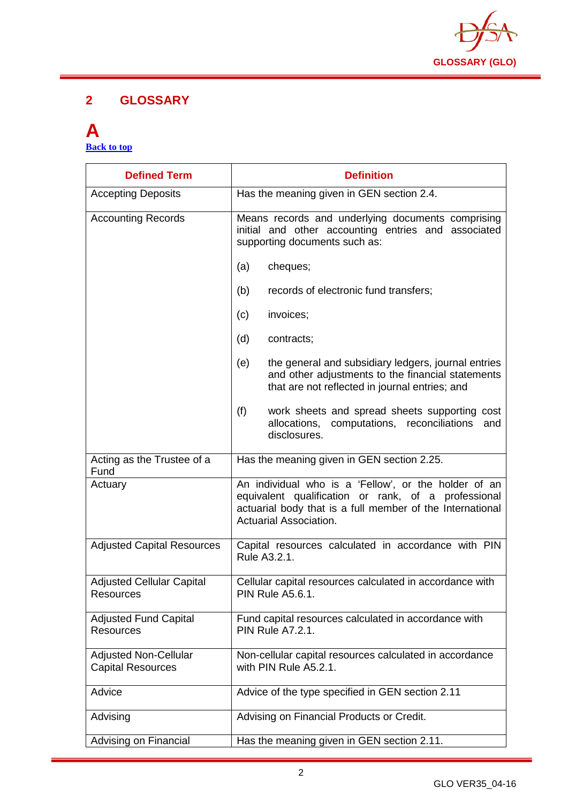

#### **2 GLOSSARY**

#### <span id="page-2-0"></span>**A [Back to top](#page-1-0)**

| <b>Defined Term</b>                                      | <b>Definition</b>                                                                                                                                                                                  |
|----------------------------------------------------------|----------------------------------------------------------------------------------------------------------------------------------------------------------------------------------------------------|
| <b>Accepting Deposits</b>                                | Has the meaning given in GEN section 2.4.                                                                                                                                                          |
| <b>Accounting Records</b>                                | Means records and underlying documents comprising<br>initial and other accounting entries and associated<br>supporting documents such as:                                                          |
|                                                          | cheques;<br>(a)                                                                                                                                                                                    |
|                                                          | records of electronic fund transfers;<br>(b)                                                                                                                                                       |
|                                                          | invoices;<br>(c)                                                                                                                                                                                   |
|                                                          | (d)<br>contracts;                                                                                                                                                                                  |
|                                                          | the general and subsidiary ledgers, journal entries<br>(e)<br>and other adjustments to the financial statements<br>that are not reflected in journal entries; and                                  |
|                                                          | (f)<br>work sheets and spread sheets supporting cost<br>allocations, computations, reconciliations<br>and<br>disclosures.                                                                          |
| Acting as the Trustee of a<br>Fund                       | Has the meaning given in GEN section 2.25.                                                                                                                                                         |
| Actuary                                                  | An individual who is a 'Fellow', or the holder of an<br>equivalent qualification or rank, of a professional<br>actuarial body that is a full member of the International<br>Actuarial Association. |
| <b>Adjusted Capital Resources</b>                        | Capital resources calculated in accordance with PIN<br>Rule A3.2.1.                                                                                                                                |
| <b>Adjusted Cellular Capital</b><br><b>Resources</b>     | Cellular capital resources calculated in accordance with<br>PIN Rule A5.6.1.                                                                                                                       |
| <b>Adjusted Fund Capital</b><br><b>Resources</b>         | Fund capital resources calculated in accordance with<br><b>PIN Rule A7.2.1.</b>                                                                                                                    |
| <b>Adjusted Non-Cellular</b><br><b>Capital Resources</b> | Non-cellular capital resources calculated in accordance<br>with PIN Rule A5.2.1.                                                                                                                   |
| Advice                                                   | Advice of the type specified in GEN section 2.11                                                                                                                                                   |
| Advising                                                 | Advising on Financial Products or Credit.                                                                                                                                                          |
| Advising on Financial                                    | Has the meaning given in GEN section 2.11.                                                                                                                                                         |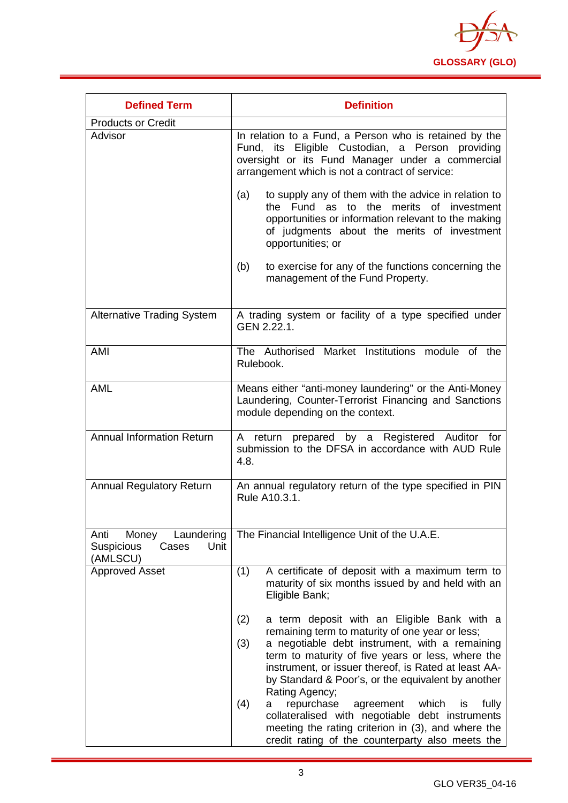

| <b>Defined Term</b>                                                           | <b>Definition</b>                                                                                                                                                                                                                                                                                                                                                                                                                                                                                                           |
|-------------------------------------------------------------------------------|-----------------------------------------------------------------------------------------------------------------------------------------------------------------------------------------------------------------------------------------------------------------------------------------------------------------------------------------------------------------------------------------------------------------------------------------------------------------------------------------------------------------------------|
| <b>Products or Credit</b>                                                     |                                                                                                                                                                                                                                                                                                                                                                                                                                                                                                                             |
| Advisor                                                                       | In relation to a Fund, a Person who is retained by the<br>Fund, its Eligible Custodian, a Person providing<br>oversight or its Fund Manager under a commercial<br>arrangement which is not a contract of service:                                                                                                                                                                                                                                                                                                           |
|                                                                               | to supply any of them with the advice in relation to<br>(a)<br>the Fund as to the merits of investment<br>opportunities or information relevant to the making<br>of judgments about the merits of investment<br>opportunities; or                                                                                                                                                                                                                                                                                           |
|                                                                               | to exercise for any of the functions concerning the<br>(b)<br>management of the Fund Property.                                                                                                                                                                                                                                                                                                                                                                                                                              |
| <b>Alternative Trading System</b>                                             | A trading system or facility of a type specified under<br>GEN 2.22.1.                                                                                                                                                                                                                                                                                                                                                                                                                                                       |
| AMI                                                                           | The Authorised Market Institutions module of the<br>Rulebook.                                                                                                                                                                                                                                                                                                                                                                                                                                                               |
| <b>AML</b>                                                                    | Means either "anti-money laundering" or the Anti-Money<br>Laundering, Counter-Terrorist Financing and Sanctions<br>module depending on the context.                                                                                                                                                                                                                                                                                                                                                                         |
| <b>Annual Information Return</b>                                              | A return prepared by a Registered Auditor for<br>submission to the DFSA in accordance with AUD Rule<br>4.8.                                                                                                                                                                                                                                                                                                                                                                                                                 |
| <b>Annual Regulatory Return</b>                                               | An annual regulatory return of the type specified in PIN<br>Rule A10.3.1.                                                                                                                                                                                                                                                                                                                                                                                                                                                   |
| Laundering<br>Money<br>Anti<br>Unit<br><b>Suspicious</b><br>Cases<br>(AMLSCU) | The Financial Intelligence Unit of the U.A.E.                                                                                                                                                                                                                                                                                                                                                                                                                                                                               |
| <b>Approved Asset</b>                                                         | A certificate of deposit with a maximum term to<br>(1)<br>maturity of six months issued by and held with an<br>Eligible Bank;                                                                                                                                                                                                                                                                                                                                                                                               |
|                                                                               | a term deposit with an Eligible Bank with a<br>(2)<br>remaining term to maturity of one year or less;<br>(3)<br>a negotiable debt instrument, with a remaining<br>term to maturity of five years or less, where the<br>instrument, or issuer thereof, is Rated at least AA-<br>by Standard & Poor's, or the equivalent by another<br>Rating Agency;<br>repurchase<br>(4)<br>agreement<br>which<br>is<br>fully<br>a<br>collateralised with negotiable debt instruments<br>meeting the rating criterion in (3), and where the |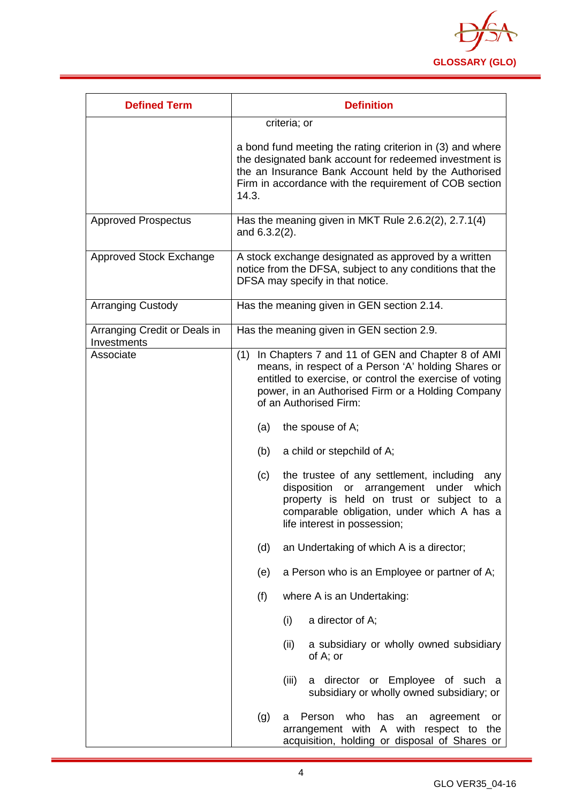

| <b>Defined Term</b>                         | <b>Definition</b>                                                                                                                                                                                                                                                                   |
|---------------------------------------------|-------------------------------------------------------------------------------------------------------------------------------------------------------------------------------------------------------------------------------------------------------------------------------------|
|                                             | criteria; or                                                                                                                                                                                                                                                                        |
|                                             | a bond fund meeting the rating criterion in (3) and where<br>the designated bank account for redeemed investment is<br>the an Insurance Bank Account held by the Authorised<br>Firm in accordance with the requirement of COB section<br>14.3.                                      |
| <b>Approved Prospectus</b>                  | Has the meaning given in MKT Rule 2.6.2(2), 2.7.1(4)<br>and 6.3.2(2).                                                                                                                                                                                                               |
| Approved Stock Exchange                     | A stock exchange designated as approved by a written<br>notice from the DFSA, subject to any conditions that the<br>DFSA may specify in that notice.                                                                                                                                |
| <b>Arranging Custody</b>                    | Has the meaning given in GEN section 2.14.                                                                                                                                                                                                                                          |
| Arranging Credit or Deals in<br>Investments | Has the meaning given in GEN section 2.9.                                                                                                                                                                                                                                           |
| Associate                                   | In Chapters 7 and 11 of GEN and Chapter 8 of AMI<br>(1)<br>means, in respect of a Person 'A' holding Shares or<br>entitled to exercise, or control the exercise of voting<br>power, in an Authorised Firm or a Holding Company<br>of an Authorised Firm:<br>the spouse of A;<br>(a) |
|                                             | (b)<br>a child or stepchild of A;                                                                                                                                                                                                                                                   |
|                                             | the trustee of any settlement, including<br>(c)<br>any<br>disposition or arrangement<br>under which<br>property is held on trust or subject to a<br>comparable obligation, under which A has a<br>life interest in possession;                                                      |
|                                             | (d)<br>an Undertaking of which A is a director;                                                                                                                                                                                                                                     |
|                                             | a Person who is an Employee or partner of A;<br>(e)                                                                                                                                                                                                                                 |
|                                             | (f)<br>where A is an Undertaking:                                                                                                                                                                                                                                                   |
|                                             | a director of A;<br>(i)                                                                                                                                                                                                                                                             |
|                                             | (ii)<br>a subsidiary or wholly owned subsidiary<br>of A; or                                                                                                                                                                                                                         |
|                                             | (iii)<br>a director or Employee of such a<br>subsidiary or wholly owned subsidiary; or                                                                                                                                                                                              |
|                                             | (g)<br>who<br>Person<br>has<br>agreement<br>an<br>а<br>or<br>arrangement with A with respect to the<br>acquisition, holding or disposal of Shares or                                                                                                                                |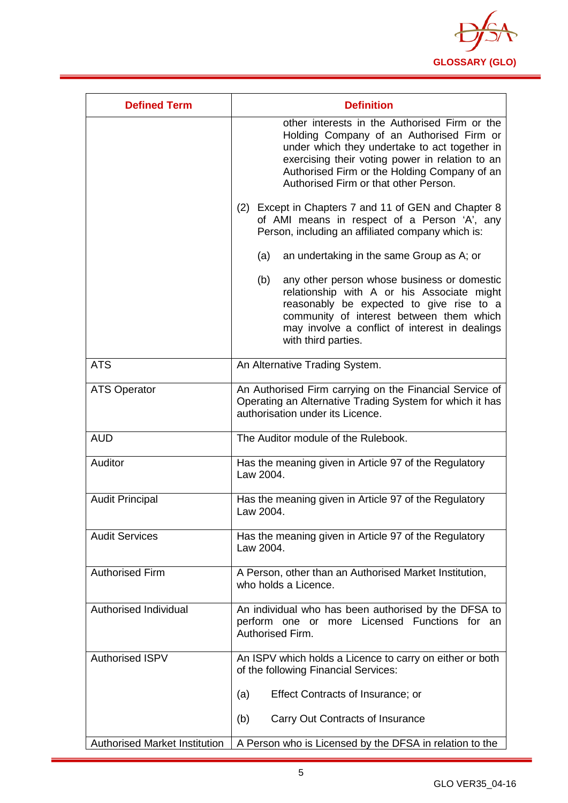

| <b>Defined Term</b>                  | <b>Definition</b>                                                                                                                                                                                                                                                                      |
|--------------------------------------|----------------------------------------------------------------------------------------------------------------------------------------------------------------------------------------------------------------------------------------------------------------------------------------|
|                                      | other interests in the Authorised Firm or the<br>Holding Company of an Authorised Firm or<br>under which they undertake to act together in<br>exercising their voting power in relation to an<br>Authorised Firm or the Holding Company of an<br>Authorised Firm or that other Person. |
|                                      | (2) Except in Chapters 7 and 11 of GEN and Chapter 8<br>of AMI means in respect of a Person 'A', any<br>Person, including an affiliated company which is:                                                                                                                              |
|                                      | an undertaking in the same Group as A; or<br>(a)                                                                                                                                                                                                                                       |
|                                      | (b)<br>any other person whose business or domestic<br>relationship with A or his Associate might<br>reasonably be expected to give rise to a<br>community of interest between them which<br>may involve a conflict of interest in dealings<br>with third parties.                      |
| <b>ATS</b>                           | An Alternative Trading System.                                                                                                                                                                                                                                                         |
| <b>ATS Operator</b>                  | An Authorised Firm carrying on the Financial Service of<br>Operating an Alternative Trading System for which it has<br>authorisation under its Licence.                                                                                                                                |
| <b>AUD</b>                           | The Auditor module of the Rulebook.                                                                                                                                                                                                                                                    |
| Auditor                              | Has the meaning given in Article 97 of the Regulatory<br>Law 2004.                                                                                                                                                                                                                     |
| <b>Audit Principal</b>               | Has the meaning given in Article 97 of the Regulatory<br>Law 2004.                                                                                                                                                                                                                     |
| <b>Audit Services</b>                | Has the meaning given in Article 97 of the Regulatory<br>Law 2004.                                                                                                                                                                                                                     |
| <b>Authorised Firm</b>               | A Person, other than an Authorised Market Institution,<br>who holds a Licence.                                                                                                                                                                                                         |
| Authorised Individual                | An individual who has been authorised by the DFSA to<br>perform one or more Licensed Functions for an<br>Authorised Firm.                                                                                                                                                              |
| <b>Authorised ISPV</b>               | An ISPV which holds a Licence to carry on either or both<br>of the following Financial Services:                                                                                                                                                                                       |
|                                      | Effect Contracts of Insurance; or<br>(a)                                                                                                                                                                                                                                               |
|                                      | Carry Out Contracts of Insurance<br>(b)                                                                                                                                                                                                                                                |
| <b>Authorised Market Institution</b> | A Person who is Licensed by the DFSA in relation to the                                                                                                                                                                                                                                |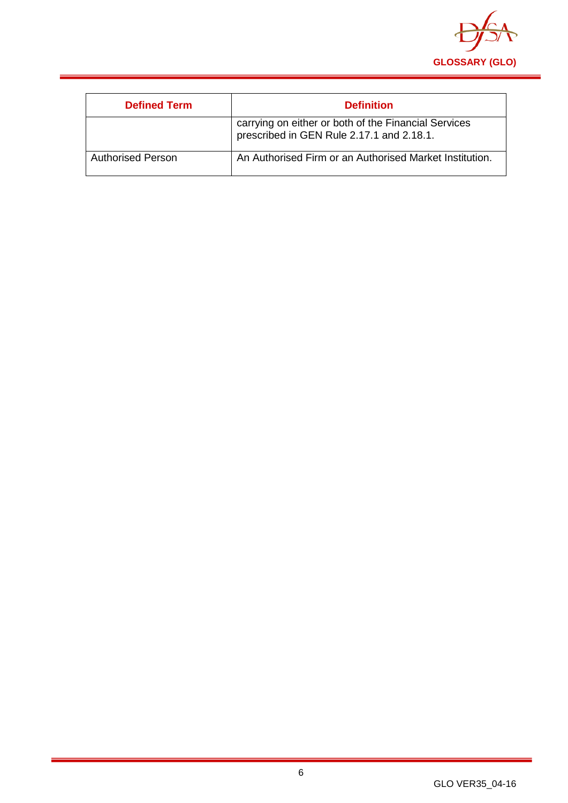

| <b>Defined Term</b>      | <b>Definition</b>                                                                                 |
|--------------------------|---------------------------------------------------------------------------------------------------|
|                          | carrying on either or both of the Financial Services<br>prescribed in GEN Rule 2.17.1 and 2.18.1. |
| <b>Authorised Person</b> | An Authorised Firm or an Authorised Market Institution.                                           |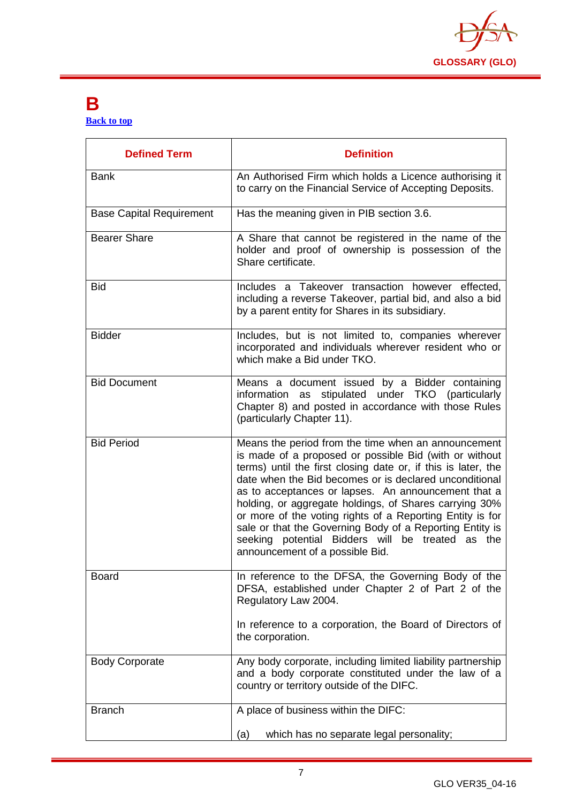

#### <span id="page-7-0"></span>**B [Back to top](#page-1-0)**

| <b>Defined Term</b>             | <b>Definition</b>                                                                                                                                                                                                                                                                                                                                                                                                                                                                                                                                                         |
|---------------------------------|---------------------------------------------------------------------------------------------------------------------------------------------------------------------------------------------------------------------------------------------------------------------------------------------------------------------------------------------------------------------------------------------------------------------------------------------------------------------------------------------------------------------------------------------------------------------------|
| <b>Bank</b>                     | An Authorised Firm which holds a Licence authorising it<br>to carry on the Financial Service of Accepting Deposits.                                                                                                                                                                                                                                                                                                                                                                                                                                                       |
| <b>Base Capital Requirement</b> | Has the meaning given in PIB section 3.6.                                                                                                                                                                                                                                                                                                                                                                                                                                                                                                                                 |
| <b>Bearer Share</b>             | A Share that cannot be registered in the name of the<br>holder and proof of ownership is possession of the<br>Share certificate.                                                                                                                                                                                                                                                                                                                                                                                                                                          |
| <b>Bid</b>                      | Includes a Takeover transaction however effected,<br>including a reverse Takeover, partial bid, and also a bid<br>by a parent entity for Shares in its subsidiary.                                                                                                                                                                                                                                                                                                                                                                                                        |
| <b>Bidder</b>                   | Includes, but is not limited to, companies wherever<br>incorporated and individuals wherever resident who or<br>which make a Bid under TKO.                                                                                                                                                                                                                                                                                                                                                                                                                               |
| <b>Bid Document</b>             | Means a document issued by a Bidder containing<br>stipulated under TKO (particularly<br>information as<br>Chapter 8) and posted in accordance with those Rules<br>(particularly Chapter 11).                                                                                                                                                                                                                                                                                                                                                                              |
| <b>Bid Period</b>               | Means the period from the time when an announcement<br>is made of a proposed or possible Bid (with or without<br>terms) until the first closing date or, if this is later, the<br>date when the Bid becomes or is declared unconditional<br>as to acceptances or lapses. An announcement that a<br>holding, or aggregate holdings, of Shares carrying 30%<br>or more of the voting rights of a Reporting Entity is for<br>sale or that the Governing Body of a Reporting Entity is<br>seeking potential Bidders will be treated as the<br>announcement of a possible Bid. |
| <b>Board</b>                    | In reference to the DFSA, the Governing Body of the<br>DFSA, established under Chapter 2 of Part 2 of the<br>Regulatory Law 2004.<br>In reference to a corporation, the Board of Directors of<br>the corporation.                                                                                                                                                                                                                                                                                                                                                         |
| <b>Body Corporate</b>           | Any body corporate, including limited liability partnership<br>and a body corporate constituted under the law of a<br>country or territory outside of the DIFC.                                                                                                                                                                                                                                                                                                                                                                                                           |
| <b>Branch</b>                   | A place of business within the DIFC:                                                                                                                                                                                                                                                                                                                                                                                                                                                                                                                                      |
|                                 | which has no separate legal personality;<br>(a)                                                                                                                                                                                                                                                                                                                                                                                                                                                                                                                           |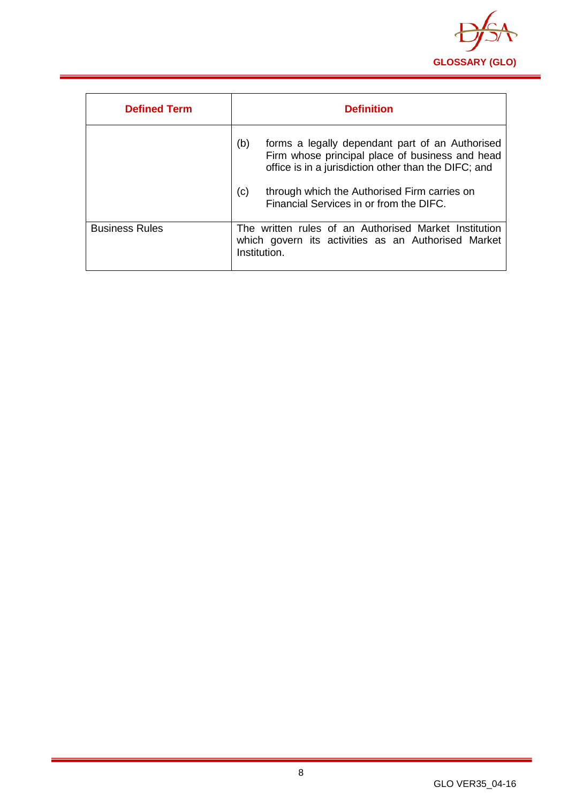

| <b>Defined Term</b>   | <b>Definition</b>                                                                                                                                                 |
|-----------------------|-------------------------------------------------------------------------------------------------------------------------------------------------------------------|
|                       | (b)<br>forms a legally dependant part of an Authorised<br>Firm whose principal place of business and head<br>office is in a jurisdiction other than the DIFC; and |
|                       | (c)<br>through which the Authorised Firm carries on<br>Financial Services in or from the DIFC.                                                                    |
| <b>Business Rules</b> | The written rules of an Authorised Market Institution<br>which govern its activities as an Authorised Market<br>Institution.                                      |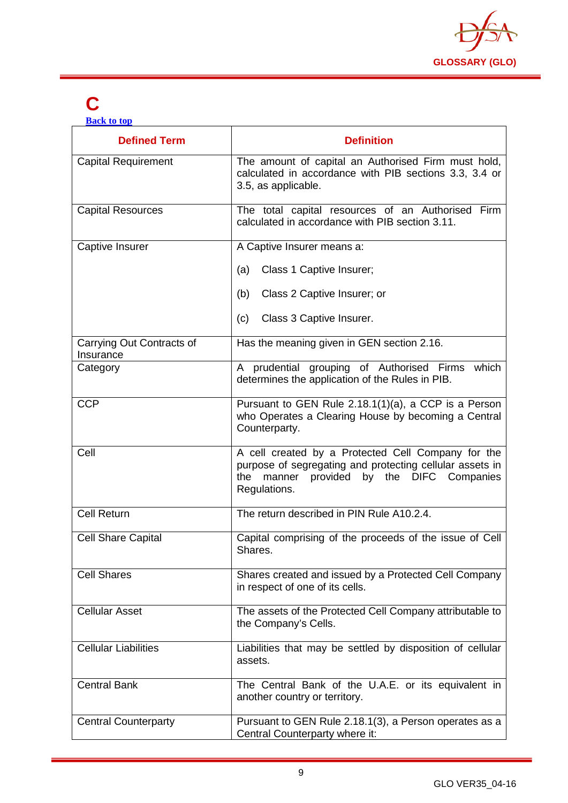

# <span id="page-9-0"></span>**C**

**[Back to top](#page-1-0)**

| <b>Defined Term</b>                    | <b>Definition</b>                                                                                                                                                              |
|----------------------------------------|--------------------------------------------------------------------------------------------------------------------------------------------------------------------------------|
| <b>Capital Requirement</b>             | The amount of capital an Authorised Firm must hold,<br>calculated in accordance with PIB sections 3.3, 3.4 or<br>3.5, as applicable.                                           |
| <b>Capital Resources</b>               | The total capital resources of an Authorised Firm<br>calculated in accordance with PIB section 3.11.                                                                           |
| Captive Insurer                        | A Captive Insurer means a:                                                                                                                                                     |
|                                        | Class 1 Captive Insurer;<br>(a)                                                                                                                                                |
|                                        | Class 2 Captive Insurer; or<br>(b)                                                                                                                                             |
|                                        | Class 3 Captive Insurer.<br>(c)                                                                                                                                                |
| Carrying Out Contracts of<br>Insurance | Has the meaning given in GEN section 2.16.                                                                                                                                     |
| Category                               | A prudential grouping of Authorised Firms which<br>determines the application of the Rules in PIB.                                                                             |
| <b>CCP</b>                             | Pursuant to GEN Rule 2.18.1(1)(a), a CCP is a Person<br>who Operates a Clearing House by becoming a Central<br>Counterparty.                                                   |
| Cell                                   | A cell created by a Protected Cell Company for the<br>purpose of segregating and protecting cellular assets in<br>manner provided by the DIFC Companies<br>the<br>Regulations. |
| <b>Cell Return</b>                     | The return described in PIN Rule A10.2.4.                                                                                                                                      |
| <b>Cell Share Capital</b>              | Capital comprising of the proceeds of the issue of Cell<br>Shares.                                                                                                             |
| <b>Cell Shares</b>                     | Shares created and issued by a Protected Cell Company<br>in respect of one of its cells.                                                                                       |
| <b>Cellular Asset</b>                  | The assets of the Protected Cell Company attributable to<br>the Company's Cells.                                                                                               |
| <b>Cellular Liabilities</b>            | Liabilities that may be settled by disposition of cellular<br>assets.                                                                                                          |
| <b>Central Bank</b>                    | The Central Bank of the U.A.E. or its equivalent in<br>another country or territory.                                                                                           |
| <b>Central Counterparty</b>            | Pursuant to GEN Rule 2.18.1(3), a Person operates as a<br>Central Counterparty where it:                                                                                       |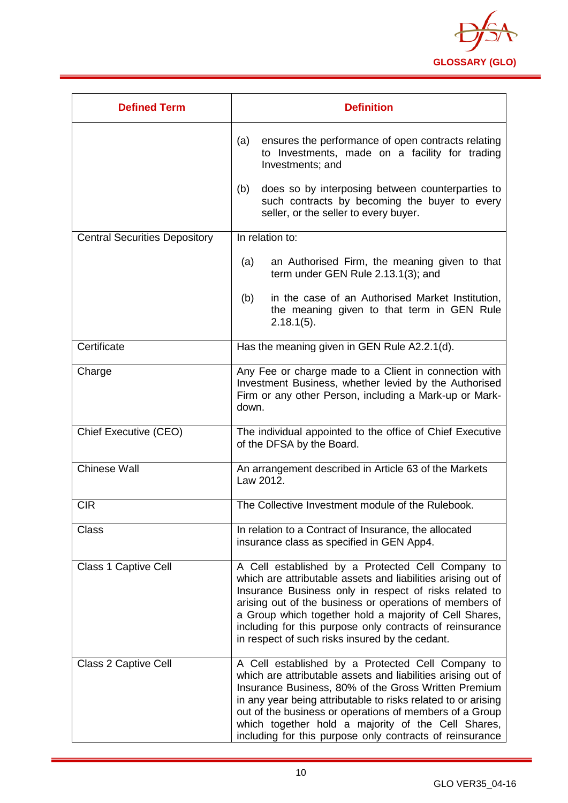

| <b>Defined Term</b>                  | <b>Definition</b>                                                                                                                                                                                                                                                                                                                                                                                                       |
|--------------------------------------|-------------------------------------------------------------------------------------------------------------------------------------------------------------------------------------------------------------------------------------------------------------------------------------------------------------------------------------------------------------------------------------------------------------------------|
|                                      | ensures the performance of open contracts relating<br>(a)<br>to Investments, made on a facility for trading<br>Investments; and                                                                                                                                                                                                                                                                                         |
|                                      | does so by interposing between counterparties to<br>(b)<br>such contracts by becoming the buyer to every<br>seller, or the seller to every buyer.                                                                                                                                                                                                                                                                       |
| <b>Central Securities Depository</b> | In relation to:                                                                                                                                                                                                                                                                                                                                                                                                         |
|                                      | an Authorised Firm, the meaning given to that<br>(a)<br>term under GEN Rule 2.13.1(3); and                                                                                                                                                                                                                                                                                                                              |
|                                      | in the case of an Authorised Market Institution,<br>(b)<br>the meaning given to that term in GEN Rule<br>$2.18.1(5)$ .                                                                                                                                                                                                                                                                                                  |
| Certificate                          | Has the meaning given in GEN Rule A2.2.1(d).                                                                                                                                                                                                                                                                                                                                                                            |
| Charge                               | Any Fee or charge made to a Client in connection with<br>Investment Business, whether levied by the Authorised<br>Firm or any other Person, including a Mark-up or Mark-<br>down.                                                                                                                                                                                                                                       |
| Chief Executive (CEO)                | The individual appointed to the office of Chief Executive<br>of the DFSA by the Board.                                                                                                                                                                                                                                                                                                                                  |
| <b>Chinese Wall</b>                  | An arrangement described in Article 63 of the Markets<br>Law 2012.                                                                                                                                                                                                                                                                                                                                                      |
| <b>CIR</b>                           | The Collective Investment module of the Rulebook.                                                                                                                                                                                                                                                                                                                                                                       |
| <b>Class</b>                         | In relation to a Contract of Insurance, the allocated<br>insurance class as specified in GEN App4.                                                                                                                                                                                                                                                                                                                      |
| <b>Class 1 Captive Cell</b>          | A Cell established by a Protected Cell Company to<br>which are attributable assets and liabilities arising out of<br>Insurance Business only in respect of risks related to<br>arising out of the business or operations of members of<br>a Group which together hold a majority of Cell Shares,<br>including for this purpose only contracts of reinsurance<br>in respect of such risks insured by the cedant.         |
| <b>Class 2 Captive Cell</b>          | A Cell established by a Protected Cell Company to<br>which are attributable assets and liabilities arising out of<br>Insurance Business, 80% of the Gross Written Premium<br>in any year being attributable to risks related to or arising<br>out of the business or operations of members of a Group<br>which together hold a majority of the Cell Shares,<br>including for this purpose only contracts of reinsurance |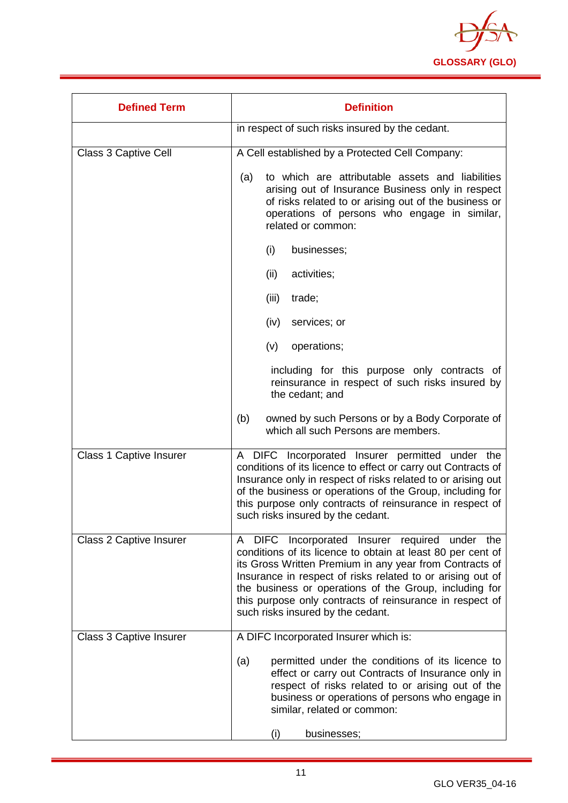

| <b>Defined Term</b>            | <b>Definition</b>                                                                                                                                                                                                                                                                                                                                                                                 |
|--------------------------------|---------------------------------------------------------------------------------------------------------------------------------------------------------------------------------------------------------------------------------------------------------------------------------------------------------------------------------------------------------------------------------------------------|
|                                | in respect of such risks insured by the cedant.                                                                                                                                                                                                                                                                                                                                                   |
| Class 3 Captive Cell           | A Cell established by a Protected Cell Company:                                                                                                                                                                                                                                                                                                                                                   |
|                                | to which are attributable assets and liabilities<br>(a)<br>arising out of Insurance Business only in respect<br>of risks related to or arising out of the business or<br>operations of persons who engage in similar,<br>related or common:                                                                                                                                                       |
|                                | (i)<br>businesses;                                                                                                                                                                                                                                                                                                                                                                                |
|                                | (ii)<br>activities;                                                                                                                                                                                                                                                                                                                                                                               |
|                                | trade;<br>(iii)                                                                                                                                                                                                                                                                                                                                                                                   |
|                                | services; or<br>(iv)                                                                                                                                                                                                                                                                                                                                                                              |
|                                | (v)<br>operations;                                                                                                                                                                                                                                                                                                                                                                                |
|                                | including for this purpose only contracts of<br>reinsurance in respect of such risks insured by<br>the cedant; and                                                                                                                                                                                                                                                                                |
|                                | (b)<br>owned by such Persons or by a Body Corporate of<br>which all such Persons are members.                                                                                                                                                                                                                                                                                                     |
| <b>Class 1 Captive Insurer</b> | A DIFC Incorporated Insurer permitted under the<br>conditions of its licence to effect or carry out Contracts of<br>Insurance only in respect of risks related to or arising out<br>of the business or operations of the Group, including for<br>this purpose only contracts of reinsurance in respect of<br>such risks insured by the cedant.                                                    |
| <b>Class 2 Captive Insurer</b> | A DIFC Incorporated Insurer required under the<br>conditions of its licence to obtain at least 80 per cent of<br>its Gross Written Premium in any year from Contracts of<br>Insurance in respect of risks related to or arising out of<br>the business or operations of the Group, including for<br>this purpose only contracts of reinsurance in respect of<br>such risks insured by the cedant. |
| <b>Class 3 Captive Insurer</b> | A DIFC Incorporated Insurer which is:                                                                                                                                                                                                                                                                                                                                                             |
|                                | permitted under the conditions of its licence to<br>(a)<br>effect or carry out Contracts of Insurance only in<br>respect of risks related to or arising out of the<br>business or operations of persons who engage in<br>similar, related or common:                                                                                                                                              |
|                                | (i)<br>businesses;                                                                                                                                                                                                                                                                                                                                                                                |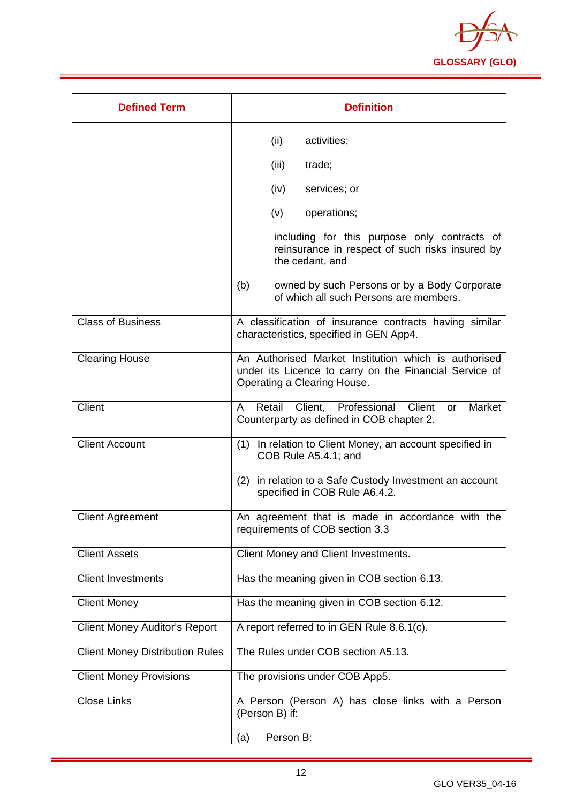

| <b>Defined Term</b>                    | <b>Definition</b>                                                                                                                             |
|----------------------------------------|-----------------------------------------------------------------------------------------------------------------------------------------------|
|                                        | (ii)<br>activities;                                                                                                                           |
|                                        | (iii)<br>trade;                                                                                                                               |
|                                        | (iv)<br>services; or                                                                                                                          |
|                                        | (v)<br>operations;                                                                                                                            |
|                                        | including for this purpose only contracts of<br>reinsurance in respect of such risks insured by<br>the cedant, and                            |
|                                        | owned by such Persons or by a Body Corporate<br>(b)<br>of which all such Persons are members.                                                 |
| <b>Class of Business</b>               | A classification of insurance contracts having similar<br>characteristics, specified in GEN App4.                                             |
| <b>Clearing House</b>                  | An Authorised Market Institution which is authorised<br>under its Licence to carry on the Financial Service of<br>Operating a Clearing House. |
| Client                                 | Retail Client, Professional Client<br>Market<br>A<br>or<br>Counterparty as defined in COB chapter 2.                                          |
| <b>Client Account</b>                  | In relation to Client Money, an account specified in<br>(1)<br>COB Rule A5.4.1; and                                                           |
|                                        | (2) in relation to a Safe Custody Investment an account<br>specified in COB Rule A6.4.2.                                                      |
| <b>Client Agreement</b>                | An agreement that is made in accordance with the<br>requirements of COB section 3.3                                                           |
| <b>Client Assets</b>                   | Client Money and Client Investments.                                                                                                          |
| <b>Client Investments</b>              | Has the meaning given in COB section 6.13.                                                                                                    |
| <b>Client Money</b>                    | Has the meaning given in COB section 6.12.                                                                                                    |
| <b>Client Money Auditor's Report</b>   | A report referred to in GEN Rule 8.6.1(c).                                                                                                    |
| <b>Client Money Distribution Rules</b> | The Rules under COB section A5.13.                                                                                                            |
| <b>Client Money Provisions</b>         | The provisions under COB App5.                                                                                                                |
| <b>Close Links</b>                     | A Person (Person A) has close links with a Person<br>(Person B) if:                                                                           |
|                                        | Person B:<br>(a)                                                                                                                              |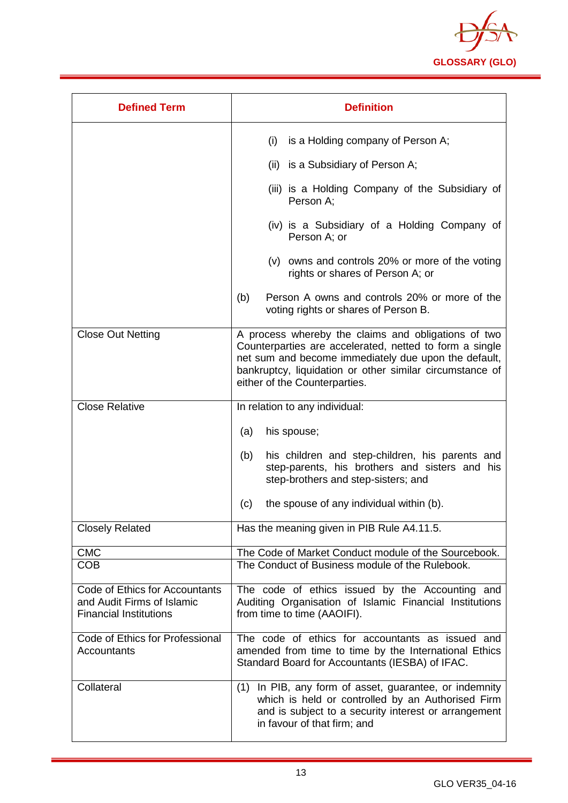

| <b>Defined Term</b>                                                                           | <b>Definition</b>                                                                                                                                                                                                                                                   |
|-----------------------------------------------------------------------------------------------|---------------------------------------------------------------------------------------------------------------------------------------------------------------------------------------------------------------------------------------------------------------------|
|                                                                                               | (i)<br>is a Holding company of Person A;                                                                                                                                                                                                                            |
|                                                                                               | (ii) is a Subsidiary of Person A;                                                                                                                                                                                                                                   |
|                                                                                               | (iii) is a Holding Company of the Subsidiary of<br>Person A;                                                                                                                                                                                                        |
|                                                                                               | (iv) is a Subsidiary of a Holding Company of<br>Person A; or                                                                                                                                                                                                        |
|                                                                                               | (v) owns and controls 20% or more of the voting<br>rights or shares of Person A; or                                                                                                                                                                                 |
|                                                                                               | Person A owns and controls 20% or more of the<br>(b)<br>voting rights or shares of Person B.                                                                                                                                                                        |
| <b>Close Out Netting</b>                                                                      | A process whereby the claims and obligations of two<br>Counterparties are accelerated, netted to form a single<br>net sum and become immediately due upon the default,<br>bankruptcy, liquidation or other similar circumstance of<br>either of the Counterparties. |
| <b>Close Relative</b>                                                                         | In relation to any individual:                                                                                                                                                                                                                                      |
|                                                                                               | (a)<br>his spouse;                                                                                                                                                                                                                                                  |
|                                                                                               | his children and step-children, his parents and<br>(b)<br>step-parents, his brothers and sisters and his<br>step-brothers and step-sisters; and                                                                                                                     |
|                                                                                               | (c)<br>the spouse of any individual within (b).                                                                                                                                                                                                                     |
| <b>Closely Related</b>                                                                        | Has the meaning given in PIB Rule A4.11.5.                                                                                                                                                                                                                          |
| <b>CMC</b><br><b>COB</b>                                                                      | The Code of Market Conduct module of the Sourcebook.<br>The Conduct of Business module of the Rulebook.                                                                                                                                                             |
| Code of Ethics for Accountants<br>and Audit Firms of Islamic<br><b>Financial Institutions</b> | The code of ethics issued by the Accounting and<br>Auditing Organisation of Islamic Financial Institutions<br>from time to time (AAOIFI).                                                                                                                           |
| Code of Ethics for Professional<br>Accountants                                                | The code of ethics for accountants as issued and<br>amended from time to time by the International Ethics<br>Standard Board for Accountants (IESBA) of IFAC.                                                                                                        |
| Collateral                                                                                    | In PIB, any form of asset, guarantee, or indemnity<br>(1)<br>which is held or controlled by an Authorised Firm<br>and is subject to a security interest or arrangement<br>in favour of that firm; and                                                               |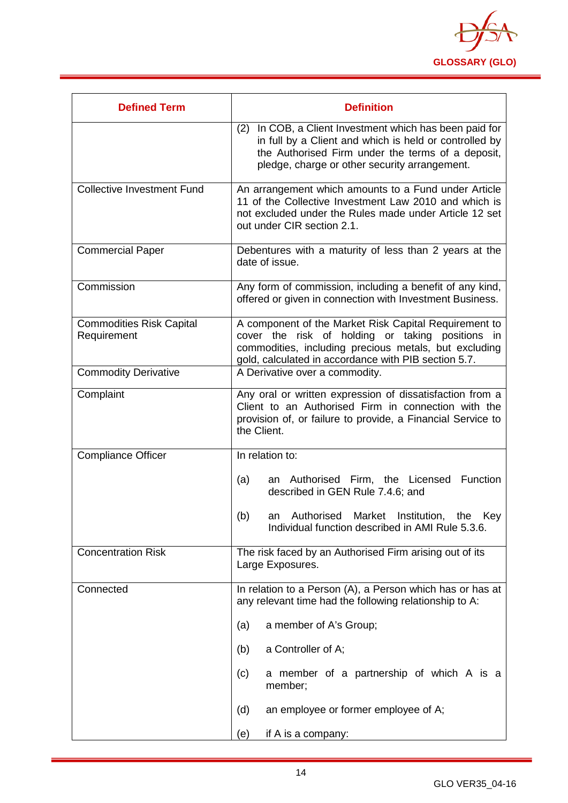

| <b>Defined Term</b>                            | <b>Definition</b>                                                                                                                                                                                                          |
|------------------------------------------------|----------------------------------------------------------------------------------------------------------------------------------------------------------------------------------------------------------------------------|
|                                                | In COB, a Client Investment which has been paid for<br>(2)<br>in full by a Client and which is held or controlled by<br>the Authorised Firm under the terms of a deposit,<br>pledge, charge or other security arrangement. |
| <b>Collective Investment Fund</b>              | An arrangement which amounts to a Fund under Article<br>11 of the Collective Investment Law 2010 and which is<br>not excluded under the Rules made under Article 12 set<br>out under CIR section 2.1.                      |
| <b>Commercial Paper</b>                        | Debentures with a maturity of less than 2 years at the<br>date of issue.                                                                                                                                                   |
| Commission                                     | Any form of commission, including a benefit of any kind,<br>offered or given in connection with Investment Business.                                                                                                       |
| <b>Commodities Risk Capital</b><br>Requirement | A component of the Market Risk Capital Requirement to<br>cover the risk of holding or taking positions in<br>commodities, including precious metals, but excluding<br>gold, calculated in accordance with PIB section 5.7. |
| <b>Commodity Derivative</b>                    | A Derivative over a commodity.                                                                                                                                                                                             |
| Complaint                                      | Any oral or written expression of dissatisfaction from a<br>Client to an Authorised Firm in connection with the<br>provision of, or failure to provide, a Financial Service to<br>the Client.                              |
| <b>Compliance Officer</b>                      | In relation to:                                                                                                                                                                                                            |
|                                                | an Authorised Firm, the Licensed<br><b>Function</b><br>(a)<br>described in GEN Rule 7.4.6; and                                                                                                                             |
|                                                | Authorised<br>Market<br>Institution,<br>(b)<br>the<br>Key<br>an<br>Individual function described in AMI Rule 5.3.6.                                                                                                        |
| <b>Concentration Risk</b>                      | The risk faced by an Authorised Firm arising out of its<br>Large Exposures.                                                                                                                                                |
| Connected                                      | In relation to a Person (A), a Person which has or has at<br>any relevant time had the following relationship to A:                                                                                                        |
|                                                | a member of A's Group;<br>(a)                                                                                                                                                                                              |
|                                                | a Controller of A;<br>(b)                                                                                                                                                                                                  |
|                                                | a member of a partnership of which A is a<br>(c)<br>member;                                                                                                                                                                |
|                                                | an employee or former employee of A;<br>(d)                                                                                                                                                                                |
|                                                | (e)<br>if A is a company:                                                                                                                                                                                                  |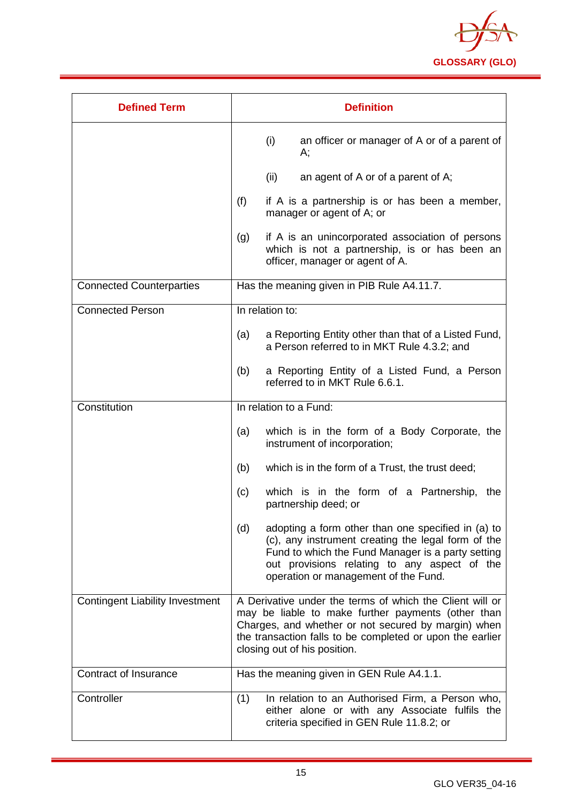

| <b>Defined Term</b>                    | <b>Definition</b>                                                                                                                                                                                                                                                  |
|----------------------------------------|--------------------------------------------------------------------------------------------------------------------------------------------------------------------------------------------------------------------------------------------------------------------|
|                                        | (i)<br>an officer or manager of A or of a parent of<br>А;                                                                                                                                                                                                          |
|                                        | (ii)<br>an agent of A or of a parent of A;                                                                                                                                                                                                                         |
|                                        | (f)<br>if A is a partnership is or has been a member,<br>manager or agent of A; or                                                                                                                                                                                 |
|                                        | if A is an unincorporated association of persons<br>(g)<br>which is not a partnership, is or has been an<br>officer, manager or agent of A.                                                                                                                        |
| <b>Connected Counterparties</b>        | Has the meaning given in PIB Rule A4.11.7.                                                                                                                                                                                                                         |
| <b>Connected Person</b>                | In relation to:                                                                                                                                                                                                                                                    |
|                                        | a Reporting Entity other than that of a Listed Fund,<br>(a)<br>a Person referred to in MKT Rule 4.3.2; and                                                                                                                                                         |
|                                        | (b)<br>a Reporting Entity of a Listed Fund, a Person<br>referred to in MKT Rule 6.6.1.                                                                                                                                                                             |
| Constitution                           | In relation to a Fund:                                                                                                                                                                                                                                             |
|                                        | which is in the form of a Body Corporate, the<br>(a)<br>instrument of incorporation;                                                                                                                                                                               |
|                                        | (b)<br>which is in the form of a Trust, the trust deed;                                                                                                                                                                                                            |
|                                        | which is in the form of a Partnership, the<br>(c)<br>partnership deed; or                                                                                                                                                                                          |
|                                        | (d)<br>adopting a form other than one specified in (a) to<br>(c), any instrument creating the legal form of the<br>Fund to which the Fund Manager is a party setting<br>out provisions relating to any aspect of the<br>operation or management of the Fund.       |
| <b>Contingent Liability Investment</b> | A Derivative under the terms of which the Client will or<br>may be liable to make further payments (other than<br>Charges, and whether or not secured by margin) when<br>the transaction falls to be completed or upon the earlier<br>closing out of his position. |
| Contract of Insurance                  | Has the meaning given in GEN Rule A4.1.1.                                                                                                                                                                                                                          |
| Controller                             | (1)<br>In relation to an Authorised Firm, a Person who,<br>either alone or with any Associate fulfils the<br>criteria specified in GEN Rule 11.8.2; or                                                                                                             |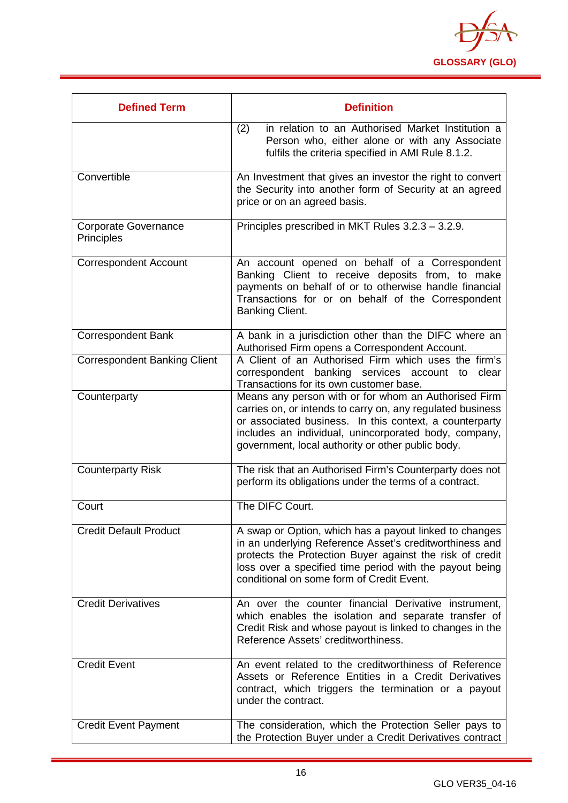

| <b>Defined Term</b>                       | <b>Definition</b>                                                                                                                                                                                                                                                                           |
|-------------------------------------------|---------------------------------------------------------------------------------------------------------------------------------------------------------------------------------------------------------------------------------------------------------------------------------------------|
|                                           | (2)<br>in relation to an Authorised Market Institution a<br>Person who, either alone or with any Associate<br>fulfils the criteria specified in AMI Rule 8.1.2.                                                                                                                             |
| Convertible                               | An Investment that gives an investor the right to convert<br>the Security into another form of Security at an agreed<br>price or on an agreed basis.                                                                                                                                        |
| <b>Corporate Governance</b><br>Principles | Principles prescribed in MKT Rules 3.2.3 - 3.2.9.                                                                                                                                                                                                                                           |
| <b>Correspondent Account</b>              | An account opened on behalf of a Correspondent<br>Banking Client to receive deposits from, to make<br>payments on behalf of or to otherwise handle financial<br>Transactions for or on behalf of the Correspondent<br><b>Banking Client.</b>                                                |
| <b>Correspondent Bank</b>                 | A bank in a jurisdiction other than the DIFC where an<br>Authorised Firm opens a Correspondent Account.                                                                                                                                                                                     |
| <b>Correspondent Banking Client</b>       | A Client of an Authorised Firm which uses the firm's<br>correspondent banking services account to clear<br>Transactions for its own customer base.                                                                                                                                          |
| Counterparty                              | Means any person with or for whom an Authorised Firm<br>carries on, or intends to carry on, any regulated business<br>or associated business. In this context, a counterparty<br>includes an individual, unincorporated body, company,<br>government, local authority or other public body. |
| <b>Counterparty Risk</b>                  | The risk that an Authorised Firm's Counterparty does not<br>perform its obligations under the terms of a contract.                                                                                                                                                                          |
| Court                                     | The DIFC Court.                                                                                                                                                                                                                                                                             |
| <b>Credit Default Product</b>             | A swap or Option, which has a payout linked to changes<br>in an underlying Reference Asset's creditworthiness and<br>protects the Protection Buyer against the risk of credit<br>loss over a specified time period with the payout being<br>conditional on some form of Credit Event.       |
| <b>Credit Derivatives</b>                 | An over the counter financial Derivative instrument,<br>which enables the isolation and separate transfer of<br>Credit Risk and whose payout is linked to changes in the<br>Reference Assets' creditworthiness.                                                                             |
| <b>Credit Event</b>                       | An event related to the creditworthiness of Reference<br>Assets or Reference Entities in a Credit Derivatives<br>contract, which triggers the termination or a payout<br>under the contract.                                                                                                |
| <b>Credit Event Payment</b>               | The consideration, which the Protection Seller pays to<br>the Protection Buyer under a Credit Derivatives contract                                                                                                                                                                          |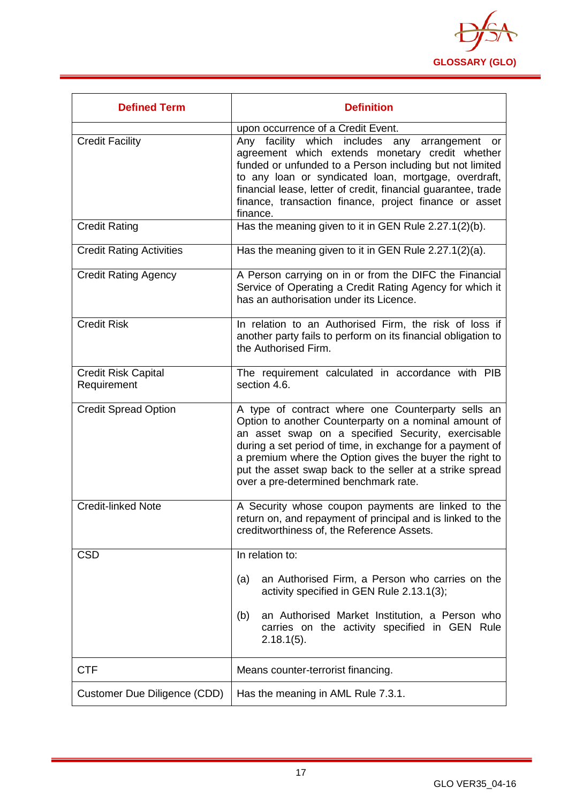

<span id="page-17-0"></span>

| <b>Defined Term</b>                       | <b>Definition</b>                                                                                                                                                                                                                                                                                                                                                                              |
|-------------------------------------------|------------------------------------------------------------------------------------------------------------------------------------------------------------------------------------------------------------------------------------------------------------------------------------------------------------------------------------------------------------------------------------------------|
|                                           | upon occurrence of a Credit Event.                                                                                                                                                                                                                                                                                                                                                             |
| <b>Credit Facility</b>                    | Any facility which includes any arrangement or<br>agreement which extends monetary credit whether<br>funded or unfunded to a Person including but not limited<br>to any loan or syndicated loan, mortgage, overdraft,<br>financial lease, letter of credit, financial guarantee, trade<br>finance, transaction finance, project finance or asset<br>finance.                                   |
| <b>Credit Rating</b>                      | Has the meaning given to it in GEN Rule 2.27.1(2)(b).                                                                                                                                                                                                                                                                                                                                          |
| <b>Credit Rating Activities</b>           | Has the meaning given to it in GEN Rule 2.27.1(2)(a).                                                                                                                                                                                                                                                                                                                                          |
| <b>Credit Rating Agency</b>               | A Person carrying on in or from the DIFC the Financial<br>Service of Operating a Credit Rating Agency for which it<br>has an authorisation under its Licence.                                                                                                                                                                                                                                  |
| <b>Credit Risk</b>                        | In relation to an Authorised Firm, the risk of loss if<br>another party fails to perform on its financial obligation to<br>the Authorised Firm.                                                                                                                                                                                                                                                |
| <b>Credit Risk Capital</b><br>Requirement | The requirement calculated in accordance with PIB<br>section 4.6.                                                                                                                                                                                                                                                                                                                              |
| <b>Credit Spread Option</b>               | A type of contract where one Counterparty sells an<br>Option to another Counterparty on a nominal amount of<br>an asset swap on a specified Security, exercisable<br>during a set period of time, in exchange for a payment of<br>a premium where the Option gives the buyer the right to<br>put the asset swap back to the seller at a strike spread<br>over a pre-determined benchmark rate. |
| <b>Credit-linked Note</b>                 | A Security whose coupon payments are linked to the<br>return on, and repayment of principal and is linked to the<br>creditworthiness of, the Reference Assets.                                                                                                                                                                                                                                 |
| <b>CSD</b>                                | In relation to:                                                                                                                                                                                                                                                                                                                                                                                |
|                                           | an Authorised Firm, a Person who carries on the<br>(a)<br>activity specified in GEN Rule 2.13.1(3);                                                                                                                                                                                                                                                                                            |
|                                           | an Authorised Market Institution, a Person who<br>(b)<br>carries on the activity specified in GEN Rule<br>$2.18.1(5)$ .                                                                                                                                                                                                                                                                        |
| <b>CTF</b>                                | Means counter-terrorist financing.                                                                                                                                                                                                                                                                                                                                                             |
| Customer Due Diligence (CDD)              | Has the meaning in AML Rule 7.3.1.                                                                                                                                                                                                                                                                                                                                                             |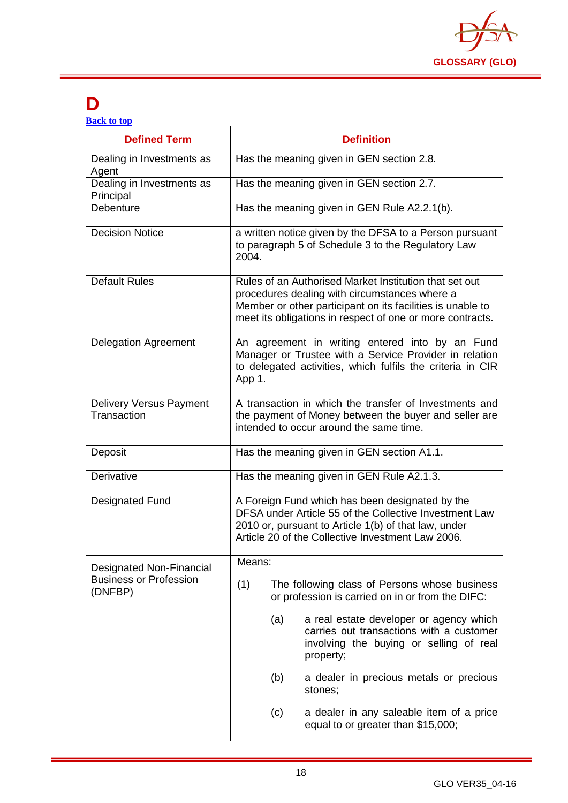

# **D**

| <b>Defined Term</b>                           | <b>Definition</b>                                                                                                                                                                                                                  |
|-----------------------------------------------|------------------------------------------------------------------------------------------------------------------------------------------------------------------------------------------------------------------------------------|
| Dealing in Investments as<br>Agent            | Has the meaning given in GEN section 2.8.                                                                                                                                                                                          |
| Dealing in Investments as<br>Principal        | Has the meaning given in GEN section 2.7.                                                                                                                                                                                          |
| Debenture                                     | Has the meaning given in GEN Rule A2.2.1(b).                                                                                                                                                                                       |
| <b>Decision Notice</b>                        | a written notice given by the DFSA to a Person pursuant<br>to paragraph 5 of Schedule 3 to the Regulatory Law<br>2004.                                                                                                             |
| <b>Default Rules</b>                          | Rules of an Authorised Market Institution that set out<br>procedures dealing with circumstances where a<br>Member or other participant on its facilities is unable to<br>meet its obligations in respect of one or more contracts. |
| <b>Delegation Agreement</b>                   | An agreement in writing entered into by an Fund<br>Manager or Trustee with a Service Provider in relation<br>to delegated activities, which fulfils the criteria in CIR<br>App 1.                                                  |
| <b>Delivery Versus Payment</b><br>Transaction | A transaction in which the transfer of Investments and<br>the payment of Money between the buyer and seller are<br>intended to occur around the same time.                                                                         |
| Deposit                                       | Has the meaning given in GEN section A1.1.                                                                                                                                                                                         |
| Derivative                                    | Has the meaning given in GEN Rule A2.1.3.                                                                                                                                                                                          |
| <b>Designated Fund</b>                        | A Foreign Fund which has been designated by the<br>DFSA under Article 55 of the Collective Investment Law<br>2010 or, pursuant to Article 1(b) of that law, under<br>Article 20 of the Collective Investment Law 2006.             |
| <b>Designated Non-Financial</b>               | Means:                                                                                                                                                                                                                             |
| <b>Business or Profession</b><br>(DNFBP)      | (1)<br>The following class of Persons whose business<br>or profession is carried on in or from the DIFC:                                                                                                                           |
|                                               | (a)<br>a real estate developer or agency which<br>carries out transactions with a customer<br>involving the buying or selling of real<br>property;                                                                                 |
|                                               | (b)<br>a dealer in precious metals or precious<br>stones;                                                                                                                                                                          |
|                                               | a dealer in any saleable item of a price<br>(c)<br>equal to or greater than \$15,000;                                                                                                                                              |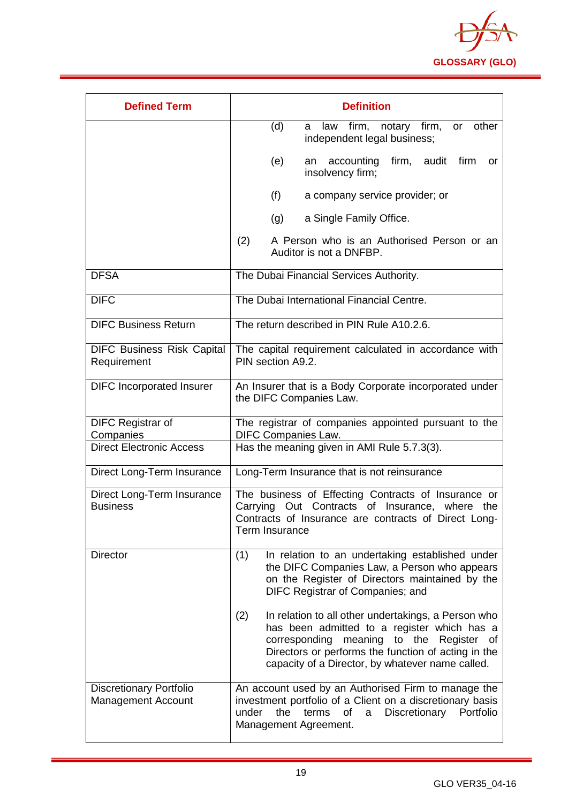

| <b>Defined Term</b>                                         | <b>Definition</b>                                                                                                                                                                                                                                                   |
|-------------------------------------------------------------|---------------------------------------------------------------------------------------------------------------------------------------------------------------------------------------------------------------------------------------------------------------------|
|                                                             | firm, notary firm,<br>other<br>(d)<br>law<br>or<br>a<br>independent legal business;                                                                                                                                                                                 |
|                                                             | (e)<br>accounting<br>firm, audit firm<br>an<br>or<br>insolvency firm;                                                                                                                                                                                               |
|                                                             | (f)<br>a company service provider; or                                                                                                                                                                                                                               |
|                                                             | a Single Family Office.<br>(g)                                                                                                                                                                                                                                      |
|                                                             | (2)<br>A Person who is an Authorised Person or an<br>Auditor is not a DNFBP.                                                                                                                                                                                        |
| <b>DFSA</b>                                                 | The Dubai Financial Services Authority.                                                                                                                                                                                                                             |
| <b>DIFC</b>                                                 | The Dubai International Financial Centre.                                                                                                                                                                                                                           |
| <b>DIFC Business Return</b>                                 | The return described in PIN Rule A10.2.6.                                                                                                                                                                                                                           |
| <b>DIFC Business Risk Capital</b><br>Requirement            | The capital requirement calculated in accordance with<br>PIN section A9.2.                                                                                                                                                                                          |
| <b>DIFC Incorporated Insurer</b>                            | An Insurer that is a Body Corporate incorporated under<br>the DIFC Companies Law.                                                                                                                                                                                   |
| <b>DIFC Registrar of</b><br>Companies                       | The registrar of companies appointed pursuant to the<br><b>DIFC Companies Law.</b>                                                                                                                                                                                  |
| <b>Direct Electronic Access</b>                             | Has the meaning given in AMI Rule 5.7.3(3).                                                                                                                                                                                                                         |
| Direct Long-Term Insurance                                  | Long-Term Insurance that is not reinsurance                                                                                                                                                                                                                         |
| Direct Long-Term Insurance<br><b>Business</b>               | The business of Effecting Contracts of Insurance or<br>Carrying Out Contracts of Insurance, where the<br>Contracts of Insurance are contracts of Direct Long-<br>Term Insurance                                                                                     |
| <b>Director</b>                                             | (1)<br>In relation to an undertaking established under<br>the DIFC Companies Law, a Person who appears<br>on the Register of Directors maintained by the<br>DIFC Registrar of Companies; and                                                                        |
|                                                             | In relation to all other undertakings, a Person who<br>(2)<br>has been admitted to a register which has a<br>corresponding meaning to the<br>Register of<br>Directors or performs the function of acting in the<br>capacity of a Director, by whatever name called. |
| <b>Discretionary Portfolio</b><br><b>Management Account</b> | An account used by an Authorised Firm to manage the<br>investment portfolio of a Client on a discretionary basis<br>under<br>Discretionary<br>the<br>terms<br>of<br>a<br>Portfolio<br>Management Agreement.                                                         |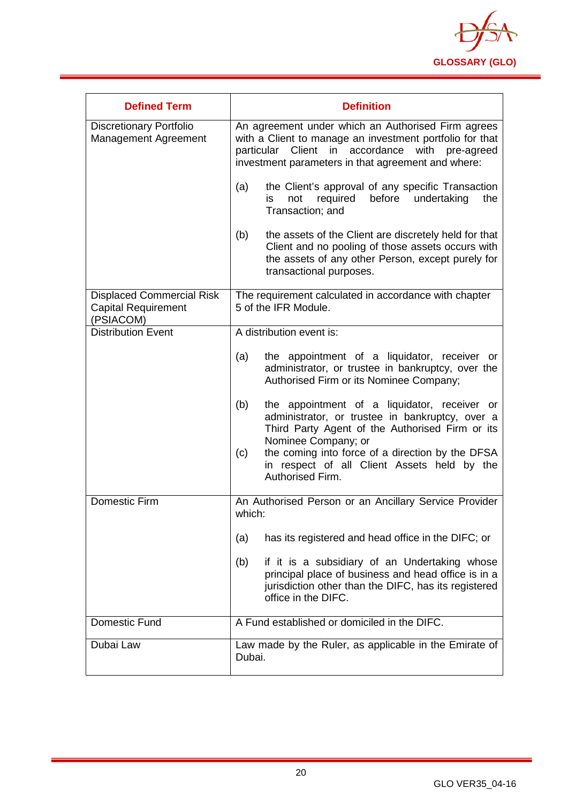

| <b>Defined Term</b>                                                         | <b>Definition</b>                                                                                                                                                                                                                                                                                              |
|-----------------------------------------------------------------------------|----------------------------------------------------------------------------------------------------------------------------------------------------------------------------------------------------------------------------------------------------------------------------------------------------------------|
| <b>Discretionary Portfolio</b><br>Management Agreement                      | An agreement under which an Authorised Firm agrees<br>with a Client to manage an investment portfolio for that<br>particular Client in accordance<br>with pre-agreed<br>investment parameters in that agreement and where:                                                                                     |
|                                                                             | the Client's approval of any specific Transaction<br>(a)<br>before<br>undertaking<br>required<br>the<br>not<br>is<br>Transaction; and                                                                                                                                                                          |
|                                                                             | (b)<br>the assets of the Client are discretely held for that<br>Client and no pooling of those assets occurs with<br>the assets of any other Person, except purely for<br>transactional purposes.                                                                                                              |
| <b>Displaced Commercial Risk</b><br><b>Capital Requirement</b><br>(PSIACOM) | The requirement calculated in accordance with chapter<br>5 of the IFR Module.                                                                                                                                                                                                                                  |
| Distribution Event                                                          | A distribution event is:                                                                                                                                                                                                                                                                                       |
|                                                                             | the appointment of a liquidator, receiver or<br>(a)<br>administrator, or trustee in bankruptcy, over the<br>Authorised Firm or its Nominee Company;                                                                                                                                                            |
|                                                                             | the appointment of a liquidator, receiver or<br>(b)<br>administrator, or trustee in bankruptcy, over a<br>Third Party Agent of the Authorised Firm or its<br>Nominee Company; or<br>the coming into force of a direction by the DFSA<br>(c)<br>in respect of all Client Assets held by the<br>Authorised Firm. |
| <b>Domestic Firm</b>                                                        | An Authorised Person or an Ancillary Service Provider<br>which:                                                                                                                                                                                                                                                |
|                                                                             | has its registered and head office in the DIFC; or<br>(a)                                                                                                                                                                                                                                                      |
|                                                                             | if it is a subsidiary of an Undertaking whose<br>(b)<br>principal place of business and head office is in a<br>jurisdiction other than the DIFC, has its registered<br>office in the DIFC.                                                                                                                     |
| Domestic Fund                                                               | A Fund established or domiciled in the DIFC.                                                                                                                                                                                                                                                                   |
| Dubai Law                                                                   | Law made by the Ruler, as applicable in the Emirate of<br>Dubai.                                                                                                                                                                                                                                               |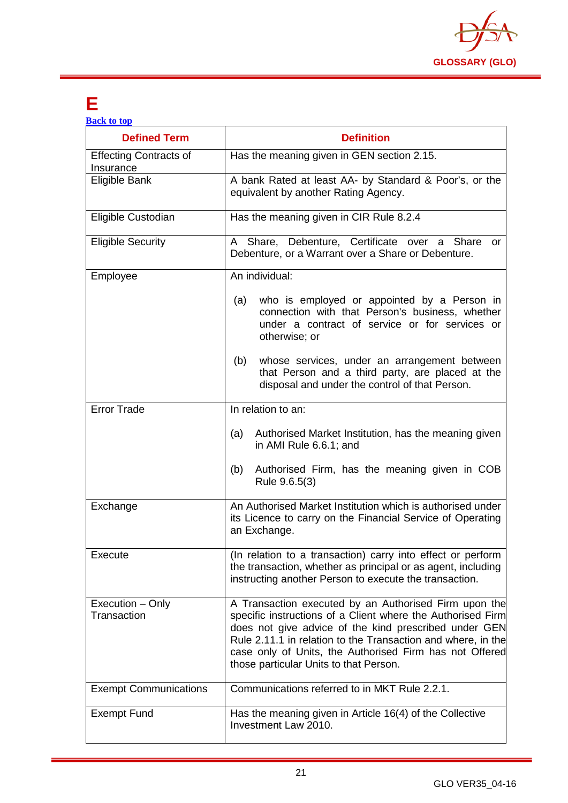

## <span id="page-21-0"></span>**E**

| <b>Back to top</b>                         |                                                                                                                                                                                                                                                                                                                                                    |
|--------------------------------------------|----------------------------------------------------------------------------------------------------------------------------------------------------------------------------------------------------------------------------------------------------------------------------------------------------------------------------------------------------|
| <b>Defined Term</b>                        | <b>Definition</b>                                                                                                                                                                                                                                                                                                                                  |
| <b>Effecting Contracts of</b><br>Insurance | Has the meaning given in GEN section 2.15.                                                                                                                                                                                                                                                                                                         |
| Eligible Bank                              | A bank Rated at least AA- by Standard & Poor's, or the<br>equivalent by another Rating Agency.                                                                                                                                                                                                                                                     |
| Eligible Custodian                         | Has the meaning given in CIR Rule 8.2.4                                                                                                                                                                                                                                                                                                            |
| <b>Eligible Security</b>                   | A Share, Debenture, Certificate over a Share<br>or<br>Debenture, or a Warrant over a Share or Debenture.                                                                                                                                                                                                                                           |
| Employee                                   | An individual:                                                                                                                                                                                                                                                                                                                                     |
|                                            | who is employed or appointed by a Person in<br>(a)<br>connection with that Person's business, whether<br>under a contract of service or for services or<br>otherwise; or                                                                                                                                                                           |
|                                            | (b)<br>whose services, under an arrangement between<br>that Person and a third party, are placed at the<br>disposal and under the control of that Person.                                                                                                                                                                                          |
| <b>Error Trade</b>                         | In relation to an:                                                                                                                                                                                                                                                                                                                                 |
|                                            | Authorised Market Institution, has the meaning given<br>(a)<br>in AMI Rule 6.6.1; and                                                                                                                                                                                                                                                              |
|                                            | Authorised Firm, has the meaning given in COB<br>(b)<br>Rule 9.6.5(3)                                                                                                                                                                                                                                                                              |
| Exchange                                   | An Authorised Market Institution which is authorised under<br>its Licence to carry on the Financial Service of Operating<br>an Exchange.                                                                                                                                                                                                           |
| Execute                                    | (In relation to a transaction) carry into effect or perform<br>the transaction, whether as principal or as agent, including<br>instructing another Person to execute the transaction.                                                                                                                                                              |
| Execution - Only<br>Transaction            | A Transaction executed by an Authorised Firm upon the<br>specific instructions of a Client where the Authorised Firm<br>does not give advice of the kind prescribed under GEN<br>Rule 2.11.1 in relation to the Transaction and where, in the<br>case only of Units, the Authorised Firm has not Offered<br>those particular Units to that Person. |
| <b>Exempt Communications</b>               | Communications referred to in MKT Rule 2.2.1.                                                                                                                                                                                                                                                                                                      |
| <b>Exempt Fund</b>                         | Has the meaning given in Article 16(4) of the Collective<br>Investment Law 2010.                                                                                                                                                                                                                                                                   |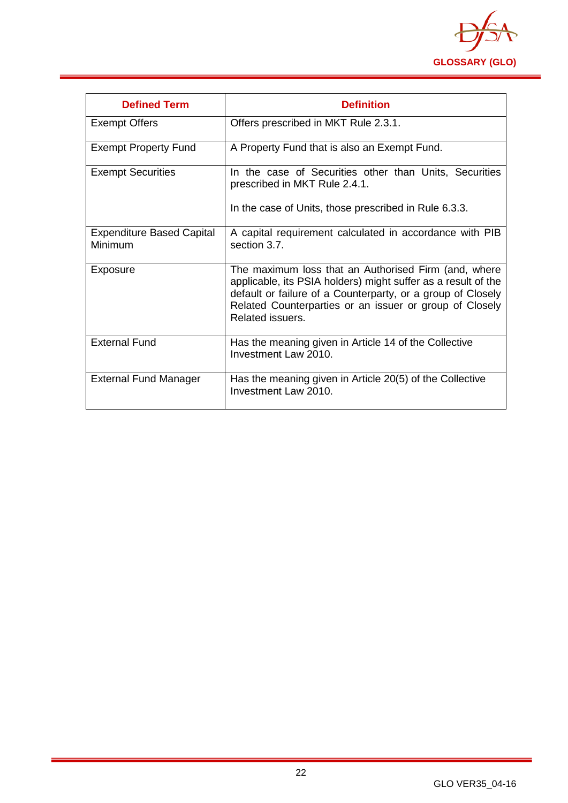

<span id="page-22-0"></span>

| <b>Defined Term</b>                         | <b>Definition</b>                                                                                                                                                                                                                                                   |
|---------------------------------------------|---------------------------------------------------------------------------------------------------------------------------------------------------------------------------------------------------------------------------------------------------------------------|
| <b>Exempt Offers</b>                        | Offers prescribed in MKT Rule 2.3.1.                                                                                                                                                                                                                                |
| <b>Exempt Property Fund</b>                 | A Property Fund that is also an Exempt Fund.                                                                                                                                                                                                                        |
| <b>Exempt Securities</b>                    | In the case of Securities other than Units, Securities<br>prescribed in MKT Rule 2.4.1.<br>In the case of Units, those prescribed in Rule 6.3.3.                                                                                                                    |
| <b>Expenditure Based Capital</b><br>Minimum | A capital requirement calculated in accordance with PIB<br>section 3.7                                                                                                                                                                                              |
| Exposure                                    | The maximum loss that an Authorised Firm (and, where<br>applicable, its PSIA holders) might suffer as a result of the<br>default or failure of a Counterparty, or a group of Closely<br>Related Counterparties or an issuer or group of Closely<br>Related issuers. |
| <b>External Fund</b>                        | Has the meaning given in Article 14 of the Collective<br>Investment Law 2010.                                                                                                                                                                                       |
| <b>External Fund Manager</b>                | Has the meaning given in Article 20(5) of the Collective<br>Investment Law 2010.                                                                                                                                                                                    |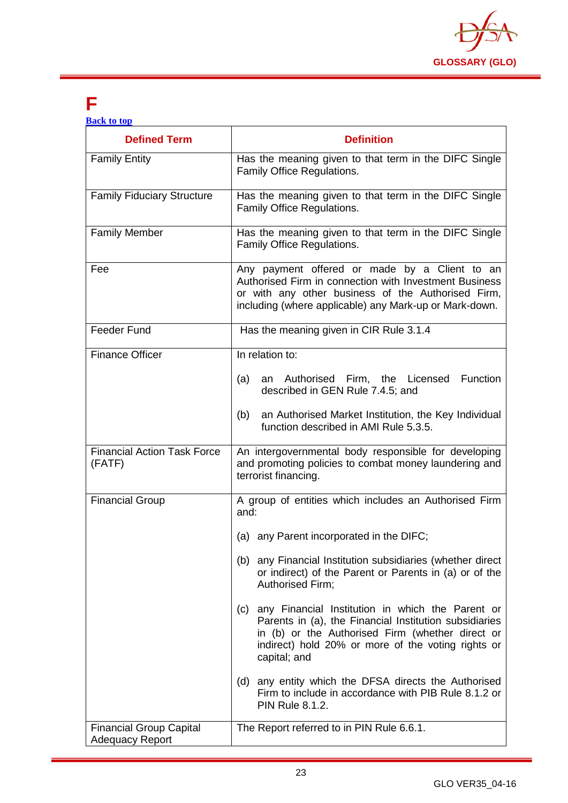

## **F**

| <b>Defined Term</b>                                      | <b>Definition</b>                                                                                                                                                                                                                                                                                                                                                                                                                                                                                                                                                                                                                              |
|----------------------------------------------------------|------------------------------------------------------------------------------------------------------------------------------------------------------------------------------------------------------------------------------------------------------------------------------------------------------------------------------------------------------------------------------------------------------------------------------------------------------------------------------------------------------------------------------------------------------------------------------------------------------------------------------------------------|
| <b>Family Entity</b>                                     | Has the meaning given to that term in the DIFC Single<br>Family Office Regulations.                                                                                                                                                                                                                                                                                                                                                                                                                                                                                                                                                            |
| <b>Family Fiduciary Structure</b>                        | Has the meaning given to that term in the DIFC Single<br>Family Office Regulations.                                                                                                                                                                                                                                                                                                                                                                                                                                                                                                                                                            |
| <b>Family Member</b>                                     | Has the meaning given to that term in the DIFC Single<br>Family Office Regulations.                                                                                                                                                                                                                                                                                                                                                                                                                                                                                                                                                            |
| Fee                                                      | Any payment offered or made by a Client to an<br>Authorised Firm in connection with Investment Business<br>or with any other business of the Authorised Firm,<br>including (where applicable) any Mark-up or Mark-down.                                                                                                                                                                                                                                                                                                                                                                                                                        |
| <b>Feeder Fund</b>                                       | Has the meaning given in CIR Rule 3.1.4                                                                                                                                                                                                                                                                                                                                                                                                                                                                                                                                                                                                        |
| <b>Finance Officer</b>                                   | In relation to:<br>an Authorised Firm, the Licensed<br><b>Function</b><br>(a)<br>described in GEN Rule 7.4.5; and<br>an Authorised Market Institution, the Key Individual<br>(b)<br>function described in AMI Rule 5.3.5.                                                                                                                                                                                                                                                                                                                                                                                                                      |
| <b>Financial Action Task Force</b><br>(FATF)             | An intergovernmental body responsible for developing<br>and promoting policies to combat money laundering and<br>terrorist financing.                                                                                                                                                                                                                                                                                                                                                                                                                                                                                                          |
| <b>Financial Group</b>                                   | A group of entities which includes an Authorised Firm<br>and:<br>(a) any Parent incorporated in the DIFC;<br>(b) any Financial Institution subsidiaries (whether direct<br>or indirect) of the Parent or Parents in (a) or of the<br>Authorised Firm;<br>any Financial Institution in which the Parent or<br>(c)<br>Parents in (a), the Financial Institution subsidiaries<br>in (b) or the Authorised Firm (whether direct or<br>indirect) hold 20% or more of the voting rights or<br>capital; and<br>(d) any entity which the DFSA directs the Authorised<br>Firm to include in accordance with PIB Rule 8.1.2 or<br><b>PIN Rule 8.1.2.</b> |
| <b>Financial Group Capital</b><br><b>Adequacy Report</b> | The Report referred to in PIN Rule 6.6.1.                                                                                                                                                                                                                                                                                                                                                                                                                                                                                                                                                                                                      |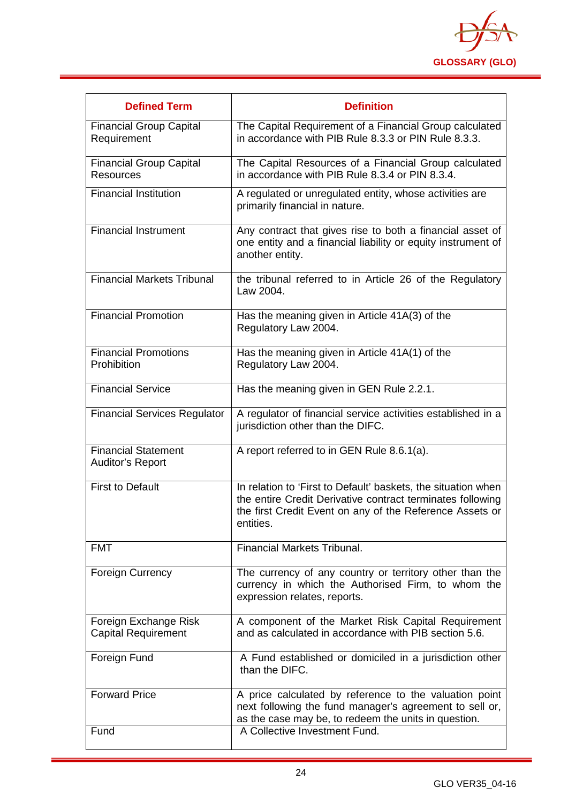

| <b>Defined Term</b>                                   | <b>Definition</b>                                                                                                                                                                                    |
|-------------------------------------------------------|------------------------------------------------------------------------------------------------------------------------------------------------------------------------------------------------------|
| <b>Financial Group Capital</b><br>Requirement         | The Capital Requirement of a Financial Group calculated<br>in accordance with PIB Rule 8.3.3 or PIN Rule 8.3.3.                                                                                      |
| <b>Financial Group Capital</b><br><b>Resources</b>    | The Capital Resources of a Financial Group calculated<br>in accordance with PIB Rule 8.3.4 or PIN 8.3.4.                                                                                             |
| <b>Financial Institution</b>                          | A regulated or unregulated entity, whose activities are<br>primarily financial in nature.                                                                                                            |
| <b>Financial Instrument</b>                           | Any contract that gives rise to both a financial asset of<br>one entity and a financial liability or equity instrument of<br>another entity.                                                         |
| <b>Financial Markets Tribunal</b>                     | the tribunal referred to in Article 26 of the Regulatory<br>Law 2004.                                                                                                                                |
| <b>Financial Promotion</b>                            | Has the meaning given in Article 41A(3) of the<br>Regulatory Law 2004.                                                                                                                               |
| <b>Financial Promotions</b><br>Prohibition            | Has the meaning given in Article 41A(1) of the<br>Regulatory Law 2004.                                                                                                                               |
| <b>Financial Service</b>                              | Has the meaning given in GEN Rule 2.2.1.                                                                                                                                                             |
| <b>Financial Services Regulator</b>                   | A regulator of financial service activities established in a<br>jurisdiction other than the DIFC.                                                                                                    |
| <b>Financial Statement</b><br><b>Auditor's Report</b> | A report referred to in GEN Rule 8.6.1(a).                                                                                                                                                           |
| <b>First to Default</b>                               | In relation to 'First to Default' baskets, the situation when<br>the entire Credit Derivative contract terminates following<br>the first Credit Event on any of the Reference Assets or<br>entities. |
| <b>FMT</b>                                            | <b>Financial Markets Tribunal.</b>                                                                                                                                                                   |
| <b>Foreign Currency</b>                               | The currency of any country or territory other than the<br>currency in which the Authorised Firm, to whom the<br>expression relates, reports.                                                        |
| Foreign Exchange Risk<br><b>Capital Requirement</b>   | A component of the Market Risk Capital Requirement<br>and as calculated in accordance with PIB section 5.6.                                                                                          |
| Foreign Fund                                          | A Fund established or domiciled in a jurisdiction other<br>than the DIFC.                                                                                                                            |
| <b>Forward Price</b>                                  | A price calculated by reference to the valuation point<br>next following the fund manager's agreement to sell or,<br>as the case may be, to redeem the units in question.                            |
| Fund                                                  | A Collective Investment Fund.                                                                                                                                                                        |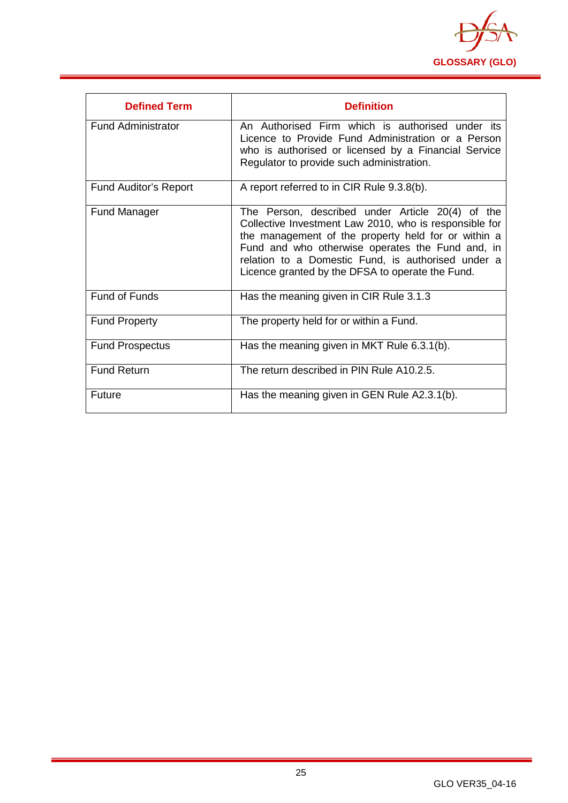

<span id="page-25-0"></span>

| <b>Defined Term</b>          | <b>Definition</b>                                                                                                                                                                                                                                                                                                               |
|------------------------------|---------------------------------------------------------------------------------------------------------------------------------------------------------------------------------------------------------------------------------------------------------------------------------------------------------------------------------|
| <b>Fund Administrator</b>    | An Authorised Firm which is authorised under its<br>Licence to Provide Fund Administration or a Person<br>who is authorised or licensed by a Financial Service<br>Regulator to provide such administration.                                                                                                                     |
| <b>Fund Auditor's Report</b> | A report referred to in CIR Rule 9.3.8(b).                                                                                                                                                                                                                                                                                      |
| <b>Fund Manager</b>          | The Person, described under Article 20(4) of the<br>Collective Investment Law 2010, who is responsible for<br>the management of the property held for or within a<br>Fund and who otherwise operates the Fund and, in<br>relation to a Domestic Fund, is authorised under a<br>Licence granted by the DFSA to operate the Fund. |
| <b>Fund of Funds</b>         | Has the meaning given in CIR Rule 3.1.3                                                                                                                                                                                                                                                                                         |
| <b>Fund Property</b>         | The property held for or within a Fund.                                                                                                                                                                                                                                                                                         |
| <b>Fund Prospectus</b>       | Has the meaning given in MKT Rule 6.3.1(b).                                                                                                                                                                                                                                                                                     |
| <b>Fund Return</b>           | The return described in PIN Rule A10.2.5.                                                                                                                                                                                                                                                                                       |
| Future                       | Has the meaning given in GEN Rule A2.3.1(b).                                                                                                                                                                                                                                                                                    |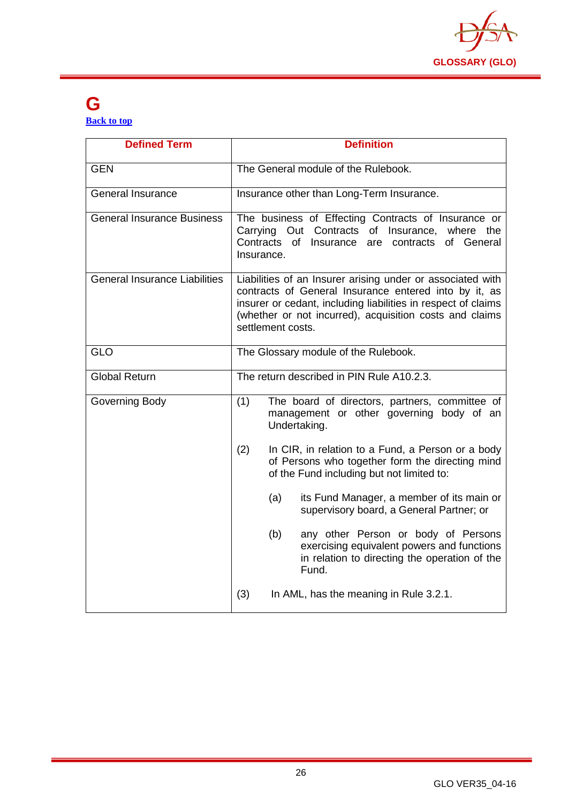

#### **G [Back to top](#page-1-0)**

| <b>Defined Term</b>                  |                         | <b>Definition</b>                                                                                                                                                                                                                               |
|--------------------------------------|-------------------------|-------------------------------------------------------------------------------------------------------------------------------------------------------------------------------------------------------------------------------------------------|
| <b>GEN</b>                           |                         | The General module of the Rulebook.                                                                                                                                                                                                             |
| <b>General Insurance</b>             |                         | Insurance other than Long-Term Insurance.                                                                                                                                                                                                       |
| <b>General Insurance Business</b>    | Contracts<br>Insurance. | The business of Effecting Contracts of Insurance or<br>Carrying Out Contracts of Insurance, where the<br>of Insurance<br>of General<br>are<br>contracts                                                                                         |
| <b>General Insurance Liabilities</b> | settlement costs.       | Liabilities of an Insurer arising under or associated with<br>contracts of General Insurance entered into by it, as<br>insurer or cedant, including liabilities in respect of claims<br>(whether or not incurred), acquisition costs and claims |
| <b>GLO</b>                           |                         | The Glossary module of the Rulebook.                                                                                                                                                                                                            |
| <b>Global Return</b>                 |                         | The return described in PIN Rule A10.2.3.                                                                                                                                                                                                       |
| Governing Body                       | (1)                     | The board of directors, partners, committee of<br>management or other governing body of an<br>Undertaking.                                                                                                                                      |
|                                      | (2)                     | In CIR, in relation to a Fund, a Person or a body<br>of Persons who together form the directing mind<br>of the Fund including but not limited to:                                                                                               |
|                                      | (a)                     | its Fund Manager, a member of its main or<br>supervisory board, a General Partner; or                                                                                                                                                           |
|                                      | (b)                     | any other Person or body of Persons<br>exercising equivalent powers and functions<br>in relation to directing the operation of the<br>Fund.                                                                                                     |
|                                      | (3)                     | In AML, has the meaning in Rule 3.2.1.                                                                                                                                                                                                          |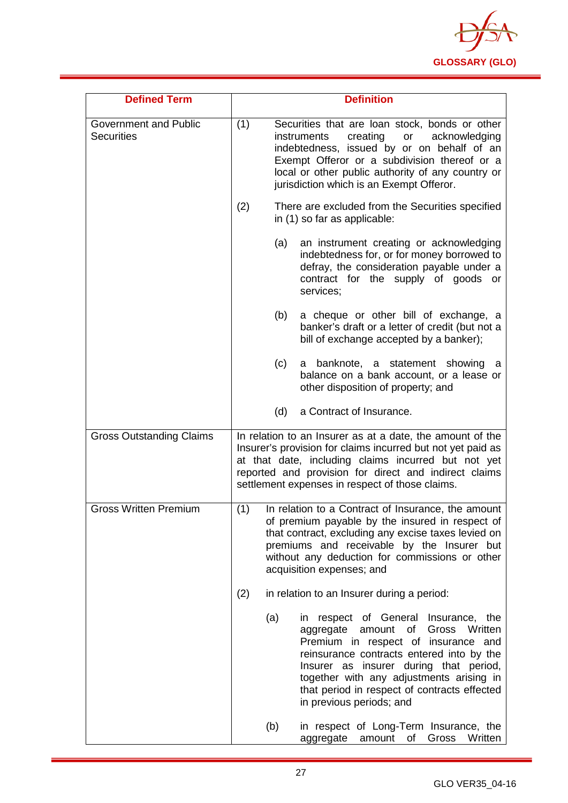

| <b>Defined Term</b>                        |     | <b>Definition</b>                                                                                                                                                                                                                                                                                                                        |
|--------------------------------------------|-----|------------------------------------------------------------------------------------------------------------------------------------------------------------------------------------------------------------------------------------------------------------------------------------------------------------------------------------------|
| Government and Public<br><b>Securities</b> | (1) | Securities that are loan stock, bonds or other<br>creating<br>acknowledging<br><i>instruments</i><br>or<br>indebtedness, issued by or on behalf of an<br>Exempt Offeror or a subdivision thereof or a<br>local or other public authority of any country or<br>jurisdiction which is an Exempt Offeror.                                   |
|                                            | (2) | There are excluded from the Securities specified<br>in (1) so far as applicable:                                                                                                                                                                                                                                                         |
|                                            | (a) | an instrument creating or acknowledging<br>indebtedness for, or for money borrowed to<br>defray, the consideration payable under a<br>contract for the supply of goods or<br>services;                                                                                                                                                   |
|                                            | (b) | a cheque or other bill of exchange, a<br>banker's draft or a letter of credit (but not a<br>bill of exchange accepted by a banker);                                                                                                                                                                                                      |
|                                            | (c) | a banknote, a statement showing<br>a<br>balance on a bank account, or a lease or<br>other disposition of property; and                                                                                                                                                                                                                   |
|                                            | (d) | a Contract of Insurance.                                                                                                                                                                                                                                                                                                                 |
| <b>Gross Outstanding Claims</b>            |     | In relation to an Insurer as at a date, the amount of the<br>Insurer's provision for claims incurred but not yet paid as<br>at that date, including claims incurred but not yet<br>reported and provision for direct and indirect claims<br>settlement expenses in respect of those claims.                                              |
| <b>Gross Written Premium</b>               | (1) | In relation to a Contract of Insurance, the amount<br>of premium payable by the insured in respect of<br>that contract, excluding any excise taxes levied on<br>premiums and receivable by the Insurer but<br>without any deduction for commissions or other<br>acquisition expenses; and                                                |
|                                            | (2) | in relation to an Insurer during a period:                                                                                                                                                                                                                                                                                               |
|                                            | (a) | in respect of General Insurance, the<br>of Gross<br>Written<br>aggregate<br>amount<br>Premium in respect of insurance and<br>reinsurance contracts entered into by the<br>Insurer as insurer during that period,<br>together with any adjustments arising in<br>that period in respect of contracts effected<br>in previous periods; and |
|                                            | (b) | in respect of Long-Term Insurance, the<br>aggregate<br>Gross<br>Written<br>amount<br>of                                                                                                                                                                                                                                                  |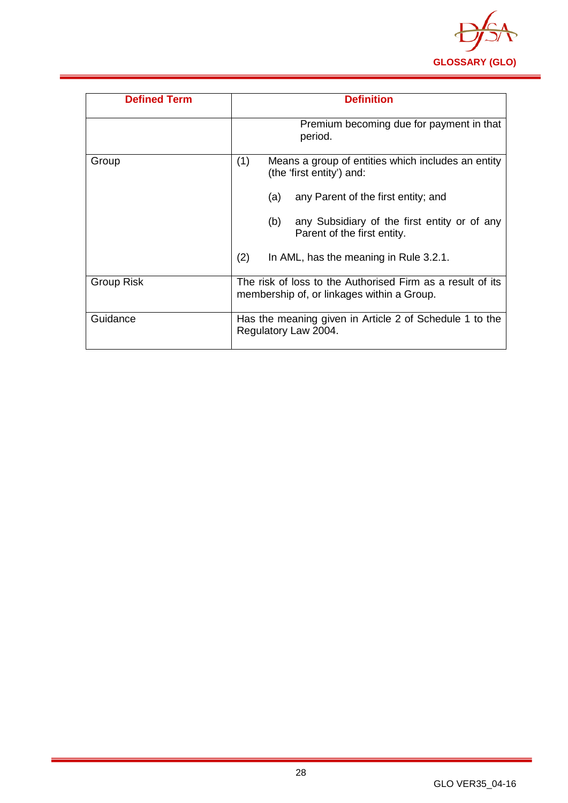

| <b>Defined Term</b> | <b>Definition</b>                                                                                        |
|---------------------|----------------------------------------------------------------------------------------------------------|
|                     | Premium becoming due for payment in that<br>period.                                                      |
| Group               | (1)<br>Means a group of entities which includes an entity<br>(the 'first entity') and:                   |
|                     | any Parent of the first entity; and<br>(a)                                                               |
|                     | (b)<br>any Subsidiary of the first entity or of any<br>Parent of the first entity.                       |
|                     | (2)<br>In AML, has the meaning in Rule 3.2.1.                                                            |
| <b>Group Risk</b>   | The risk of loss to the Authorised Firm as a result of its<br>membership of, or linkages within a Group. |
| Guidance            | Has the meaning given in Article 2 of Schedule 1 to the<br>Regulatory Law 2004.                          |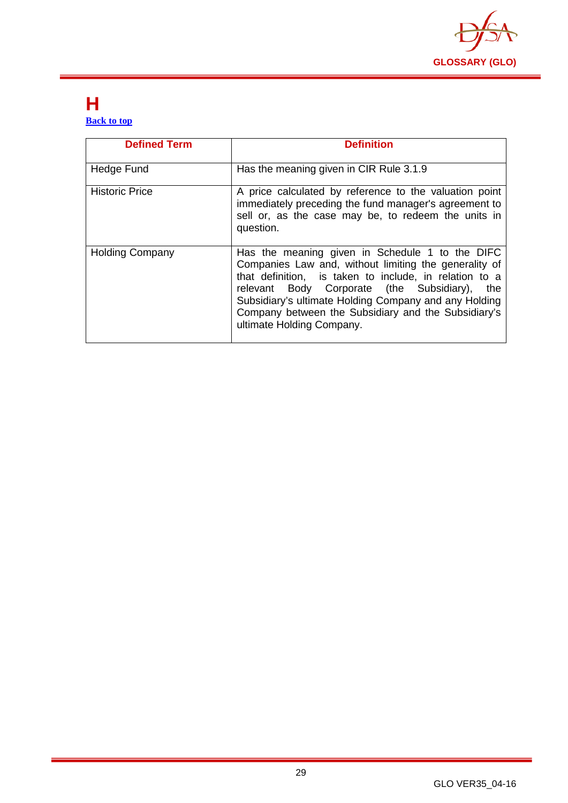

#### <span id="page-29-0"></span>**H [Back to top](#page-1-0)**

| <b>Defined Term</b>    | <b>Definition</b>                                                                                                                                                                                                                                                                                                                                                   |
|------------------------|---------------------------------------------------------------------------------------------------------------------------------------------------------------------------------------------------------------------------------------------------------------------------------------------------------------------------------------------------------------------|
| Hedge Fund             | Has the meaning given in CIR Rule 3.1.9                                                                                                                                                                                                                                                                                                                             |
| <b>Historic Price</b>  | A price calculated by reference to the valuation point<br>immediately preceding the fund manager's agreement to<br>sell or, as the case may be, to redeem the units in<br>question.                                                                                                                                                                                 |
| <b>Holding Company</b> | Has the meaning given in Schedule 1 to the DIFC<br>Companies Law and, without limiting the generality of<br>that definition, is taken to include, in relation to a<br>relevant Body Corporate (the Subsidiary),<br>the<br>Subsidiary's ultimate Holding Company and any Holding<br>Company between the Subsidiary and the Subsidiary's<br>ultimate Holding Company. |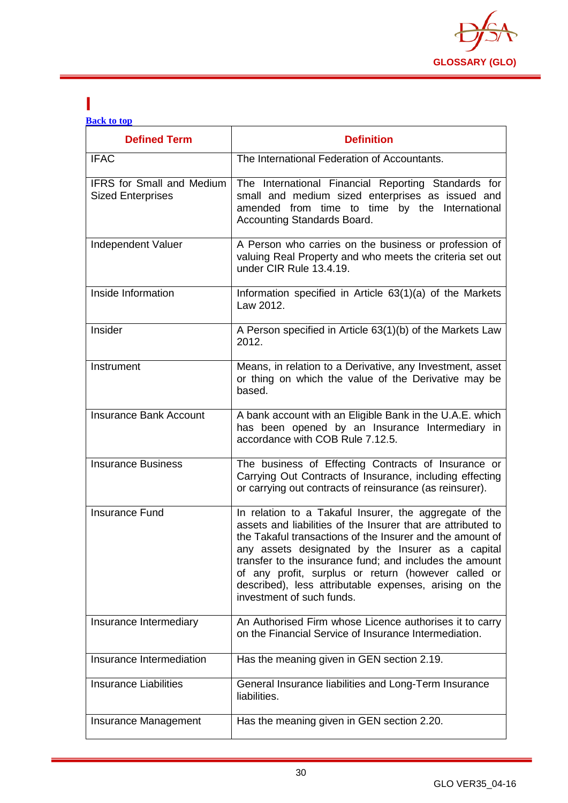

#### <span id="page-30-0"></span>**I [Back to top](#page-1-0)**

| <b>Defined Term</b>                                          | <b>Definition</b>                                                                                                                                                                                                                                                                                                                                                                                                                                 |
|--------------------------------------------------------------|---------------------------------------------------------------------------------------------------------------------------------------------------------------------------------------------------------------------------------------------------------------------------------------------------------------------------------------------------------------------------------------------------------------------------------------------------|
| <b>IFAC</b>                                                  | The International Federation of Accountants.                                                                                                                                                                                                                                                                                                                                                                                                      |
| <b>IFRS for Small and Medium</b><br><b>Sized Enterprises</b> | The International Financial Reporting Standards for<br>small and medium sized enterprises as issued and<br>amended from time to time by the International<br>Accounting Standards Board.                                                                                                                                                                                                                                                          |
| Independent Valuer                                           | A Person who carries on the business or profession of<br>valuing Real Property and who meets the criteria set out<br>under CIR Rule 13.4.19.                                                                                                                                                                                                                                                                                                      |
| Inside Information                                           | Information specified in Article 63(1)(a) of the Markets<br>Law 2012.                                                                                                                                                                                                                                                                                                                                                                             |
| Insider                                                      | A Person specified in Article 63(1)(b) of the Markets Law<br>2012.                                                                                                                                                                                                                                                                                                                                                                                |
| Instrument                                                   | Means, in relation to a Derivative, any Investment, asset<br>or thing on which the value of the Derivative may be<br>based.                                                                                                                                                                                                                                                                                                                       |
| <b>Insurance Bank Account</b>                                | A bank account with an Eligible Bank in the U.A.E. which<br>has been opened by an Insurance Intermediary in<br>accordance with COB Rule 7.12.5.                                                                                                                                                                                                                                                                                                   |
| <b>Insurance Business</b>                                    | The business of Effecting Contracts of Insurance or<br>Carrying Out Contracts of Insurance, including effecting<br>or carrying out contracts of reinsurance (as reinsurer).                                                                                                                                                                                                                                                                       |
| <b>Insurance Fund</b>                                        | In relation to a Takaful Insurer, the aggregate of the<br>assets and liabilities of the Insurer that are attributed to<br>the Takaful transactions of the Insurer and the amount of<br>any assets designated by the Insurer as a capital<br>transfer to the insurance fund; and includes the amount<br>of any profit, surplus or return (however called or<br>described), less attributable expenses, arising on the<br>investment of such funds. |
| Insurance Intermediary                                       | An Authorised Firm whose Licence authorises it to carry<br>on the Financial Service of Insurance Intermediation.                                                                                                                                                                                                                                                                                                                                  |
| Insurance Intermediation                                     | Has the meaning given in GEN section 2.19.                                                                                                                                                                                                                                                                                                                                                                                                        |
| <b>Insurance Liabilities</b>                                 | General Insurance liabilities and Long-Term Insurance<br>liabilities.                                                                                                                                                                                                                                                                                                                                                                             |
| Insurance Management                                         | Has the meaning given in GEN section 2.20.                                                                                                                                                                                                                                                                                                                                                                                                        |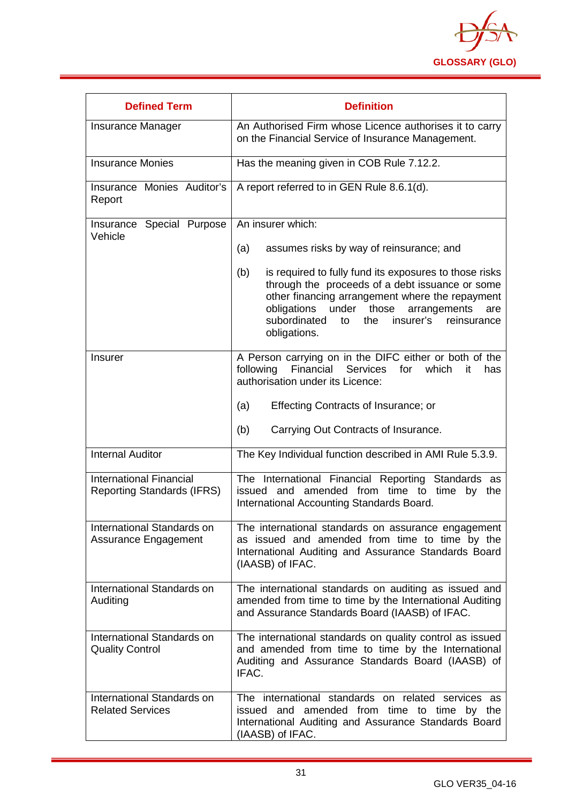

| <b>Defined Term</b>                                                 | <b>Definition</b>                                                                                                                                                                                                                                                                                 |
|---------------------------------------------------------------------|---------------------------------------------------------------------------------------------------------------------------------------------------------------------------------------------------------------------------------------------------------------------------------------------------|
| <b>Insurance Manager</b>                                            | An Authorised Firm whose Licence authorises it to carry<br>on the Financial Service of Insurance Management.                                                                                                                                                                                      |
| <b>Insurance Monies</b>                                             | Has the meaning given in COB Rule 7.12.2.                                                                                                                                                                                                                                                         |
| Insurance Monies Auditor's<br>Report                                | A report referred to in GEN Rule 8.6.1(d).                                                                                                                                                                                                                                                        |
| Insurance Special Purpose<br>Vehicle                                | An insurer which:                                                                                                                                                                                                                                                                                 |
|                                                                     | (a)<br>assumes risks by way of reinsurance; and                                                                                                                                                                                                                                                   |
|                                                                     | is required to fully fund its exposures to those risks<br>(b)<br>through the proceeds of a debt issuance or some<br>other financing arrangement where the repayment<br>obligations<br>under those<br>arrangements<br>are<br>subordinated<br>insurer's<br>the<br>reinsurance<br>to<br>obligations. |
| <b>Insurer</b>                                                      | A Person carrying on in the DIFC either or both of the<br>following Financial<br>Services<br>for<br>which<br>it<br>has<br>authorisation under its Licence:                                                                                                                                        |
|                                                                     | (a)<br>Effecting Contracts of Insurance; or                                                                                                                                                                                                                                                       |
|                                                                     | Carrying Out Contracts of Insurance.<br>(b)                                                                                                                                                                                                                                                       |
| <b>Internal Auditor</b>                                             | The Key Individual function described in AMI Rule 5.3.9.                                                                                                                                                                                                                                          |
| <b>International Financial</b><br><b>Reporting Standards (IFRS)</b> | The International Financial Reporting Standards as<br>issued and amended from time to time<br>by<br>the<br>International Accounting Standards Board.                                                                                                                                              |
| International Standards on<br>Assurance Engagement                  | The international standards on assurance engagement<br>as issued and amended from time to time by the<br>International Auditing and Assurance Standards Board<br>(IAASB) of IFAC.                                                                                                                 |
| International Standards on<br>Auditing                              | The international standards on auditing as issued and<br>amended from time to time by the International Auditing<br>and Assurance Standards Board (IAASB) of IFAC.                                                                                                                                |
| International Standards on<br><b>Quality Control</b>                | The international standards on quality control as issued<br>and amended from time to time by the International<br>Auditing and Assurance Standards Board (IAASB) of<br>IFAC.                                                                                                                      |
| International Standards on<br><b>Related Services</b>               | The international standards on related services as<br>and amended from time to time<br>issued<br>by the<br>International Auditing and Assurance Standards Board<br>(IAASB) of IFAC.                                                                                                               |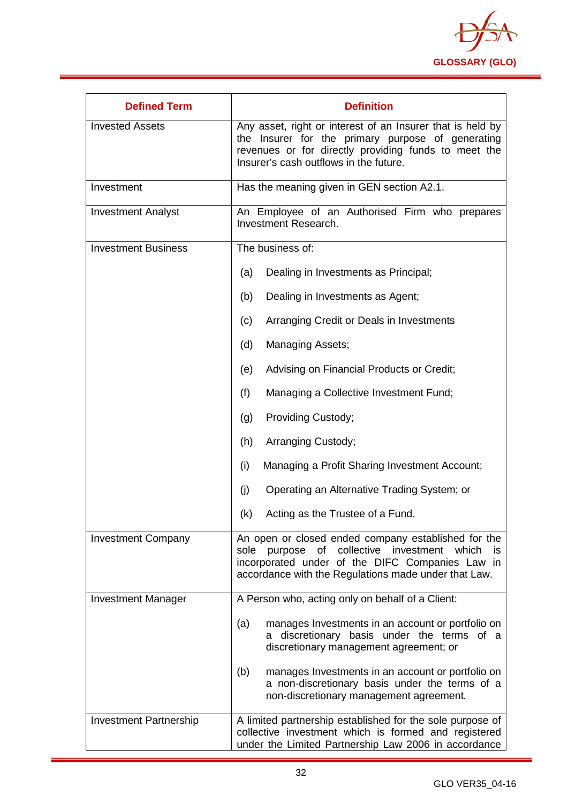

| <b>Defined Term</b>        | <b>Definition</b>                                                                                                                                                                                                    |
|----------------------------|----------------------------------------------------------------------------------------------------------------------------------------------------------------------------------------------------------------------|
| <b>Invested Assets</b>     | Any asset, right or interest of an Insurer that is held by<br>the Insurer for the primary purpose of generating<br>revenues or for directly providing funds to meet the<br>Insurer's cash outflows in the future.    |
| Investment                 | Has the meaning given in GEN section A2.1.                                                                                                                                                                           |
| <b>Investment Analyst</b>  | An Employee of an Authorised Firm who prepares<br>Investment Research.                                                                                                                                               |
| <b>Investment Business</b> | The business of:                                                                                                                                                                                                     |
|                            | Dealing in Investments as Principal;<br>(a)                                                                                                                                                                          |
|                            | Dealing in Investments as Agent;<br>(b)                                                                                                                                                                              |
|                            | Arranging Credit or Deals in Investments<br>(c)                                                                                                                                                                      |
|                            | Managing Assets;<br>(d)                                                                                                                                                                                              |
|                            | Advising on Financial Products or Credit;<br>(e)                                                                                                                                                                     |
|                            | Managing a Collective Investment Fund;<br>(f)                                                                                                                                                                        |
|                            | Providing Custody;<br>(g)                                                                                                                                                                                            |
|                            | (h)<br>Arranging Custody;                                                                                                                                                                                            |
|                            | (i)<br>Managing a Profit Sharing Investment Account;                                                                                                                                                                 |
|                            | (j)<br>Operating an Alternative Trading System; or                                                                                                                                                                   |
|                            | (k)<br>Acting as the Trustee of a Fund.                                                                                                                                                                              |
| <b>Investment Company</b>  | An open or closed ended company established for the<br>sole purpose of collective investment which<br>is.<br>incorporated under of the DIFC Companies Law in<br>accordance with the Regulations made under that Law. |
| <b>Investment Manager</b>  | A Person who, acting only on behalf of a Client:                                                                                                                                                                     |
|                            | manages Investments in an account or portfolio on<br>(a)<br>discretionary basis under the terms of a<br>a<br>discretionary management agreement; or                                                                  |
|                            | manages Investments in an account or portfolio on<br>(b)<br>a non-discretionary basis under the terms of a<br>non-discretionary management agreement.                                                                |
| Investment Partnership     | A limited partnership established for the sole purpose of<br>collective investment which is formed and registered<br>under the Limited Partnership Law 2006 in accordance                                            |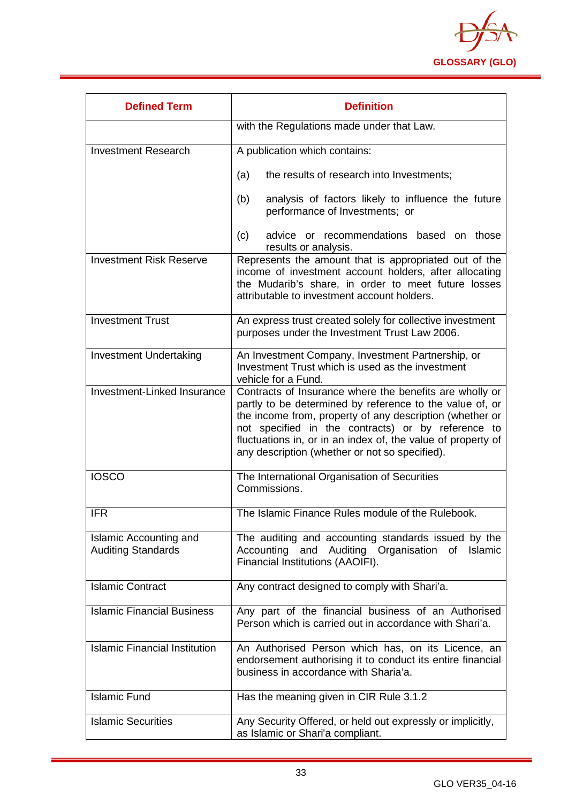

| <b>Defined Term</b>                                 | <b>Definition</b>                                                                                                                                                                                                                                                                                                                                       |
|-----------------------------------------------------|---------------------------------------------------------------------------------------------------------------------------------------------------------------------------------------------------------------------------------------------------------------------------------------------------------------------------------------------------------|
|                                                     | with the Regulations made under that Law.                                                                                                                                                                                                                                                                                                               |
| <b>Investment Research</b>                          | A publication which contains:                                                                                                                                                                                                                                                                                                                           |
|                                                     | the results of research into Investments;<br>(a)                                                                                                                                                                                                                                                                                                        |
|                                                     | analysis of factors likely to influence the future<br>(b)<br>performance of Investments; or                                                                                                                                                                                                                                                             |
|                                                     | advice or recommendations based on those<br>(c)<br>results or analysis.                                                                                                                                                                                                                                                                                 |
| <b>Investment Risk Reserve</b>                      | Represents the amount that is appropriated out of the<br>income of investment account holders, after allocating<br>the Mudarib's share, in order to meet future losses<br>attributable to investment account holders.                                                                                                                                   |
| <b>Investment Trust</b>                             | An express trust created solely for collective investment<br>purposes under the Investment Trust Law 2006.                                                                                                                                                                                                                                              |
| <b>Investment Undertaking</b>                       | An Investment Company, Investment Partnership, or<br>Investment Trust which is used as the investment<br>vehicle for a Fund.                                                                                                                                                                                                                            |
| Investment-Linked Insurance                         | Contracts of Insurance where the benefits are wholly or<br>partly to be determined by reference to the value of, or<br>the income from, property of any description (whether or<br>not specified in the contracts) or by reference to<br>fluctuations in, or in an index of, the value of property of<br>any description (whether or not so specified). |
| <b>IOSCO</b>                                        | The International Organisation of Securities<br>Commissions.                                                                                                                                                                                                                                                                                            |
| <b>IFR</b>                                          | The Islamic Finance Rules module of the Rulebook.                                                                                                                                                                                                                                                                                                       |
| Islamic Accounting and<br><b>Auditing Standards</b> | The auditing and accounting standards issued by the<br>Accounting and Auditing Organisation<br>of<br>Islamic<br>Financial Institutions (AAOIFI).                                                                                                                                                                                                        |
| <b>Islamic Contract</b>                             | Any contract designed to comply with Shari'a.                                                                                                                                                                                                                                                                                                           |
| <b>Islamic Financial Business</b>                   | Any part of the financial business of an Authorised<br>Person which is carried out in accordance with Shari'a.                                                                                                                                                                                                                                          |
| <b>Islamic Financial Institution</b>                | An Authorised Person which has, on its Licence, an<br>endorsement authorising it to conduct its entire financial<br>business in accordance with Sharia'a.                                                                                                                                                                                               |
| <b>Islamic Fund</b>                                 | Has the meaning given in CIR Rule 3.1.2                                                                                                                                                                                                                                                                                                                 |
| <b>Islamic Securities</b>                           | Any Security Offered, or held out expressly or implicitly,<br>as Islamic or Shari'a compliant.                                                                                                                                                                                                                                                          |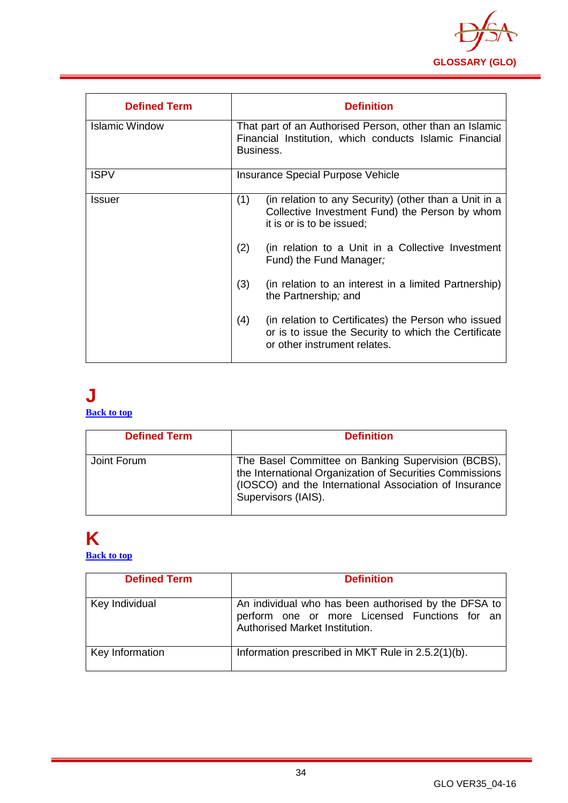

| <b>Defined Term</b> | <b>Definition</b>                                                                                                                                  |
|---------------------|----------------------------------------------------------------------------------------------------------------------------------------------------|
| Islamic Window      | That part of an Authorised Person, other than an Islamic<br>Financial Institution, which conducts Islamic Financial<br>Business.                   |
| <b>ISPV</b>         | Insurance Special Purpose Vehicle                                                                                                                  |
| <b>Issuer</b>       | (1)<br>(in relation to any Security) (other than a Unit in a<br>Collective Investment Fund) the Person by whom<br>it is or is to be issued;        |
|                     | (2)<br>(in relation to a Unit in a Collective Investment<br>Fund) the Fund Manager;                                                                |
|                     | (3)<br>(in relation to an interest in a limited Partnership)<br>the Partnership; and                                                               |
|                     | (4)<br>(in relation to Certificates) the Person who issued<br>or is to issue the Security to which the Certificate<br>or other instrument relates. |

#### <span id="page-34-0"></span>**J [Back to top](#page-1-0)**

| <b>Defined Term</b> | <b>Definition</b>                                                                                                                                                                               |
|---------------------|-------------------------------------------------------------------------------------------------------------------------------------------------------------------------------------------------|
| Joint Forum         | The Basel Committee on Banking Supervision (BCBS),<br>the International Organization of Securities Commissions<br>(IOSCO) and the International Association of Insurance<br>Supervisors (IAIS). |

# <span id="page-34-1"></span>**K**

**[Back to top](#page-1-0)**

| <b>Defined Term</b> | <b>Definition</b>                                                                                                                       |
|---------------------|-----------------------------------------------------------------------------------------------------------------------------------------|
| Key Individual      | An individual who has been authorised by the DFSA to<br>perform one or more Licensed Functions for an<br>Authorised Market Institution. |
| Key Information     | Information prescribed in MKT Rule in 2.5.2(1)(b).                                                                                      |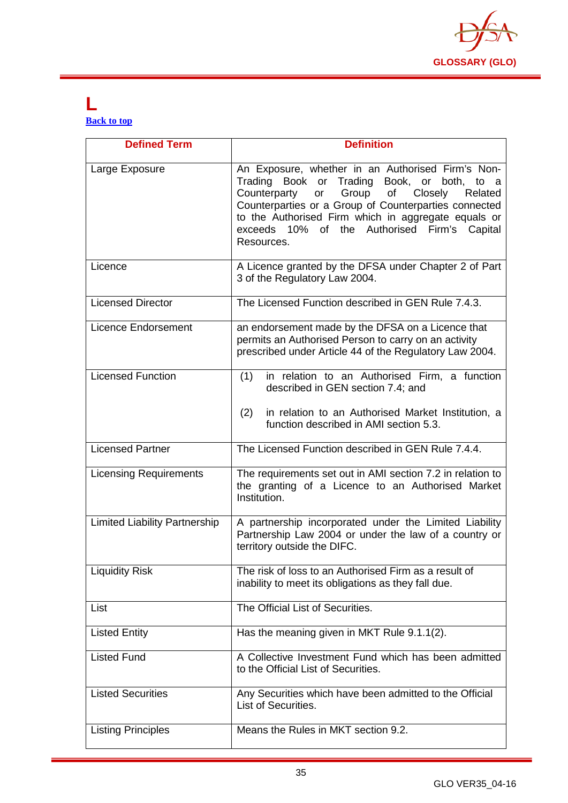

#### <span id="page-35-0"></span>**L [Back to top](#page-1-0)**

| <b>Defined Term</b>                  | <b>Definition</b>                                                                                                                                                                                                                                                                                                                            |
|--------------------------------------|----------------------------------------------------------------------------------------------------------------------------------------------------------------------------------------------------------------------------------------------------------------------------------------------------------------------------------------------|
| Large Exposure                       | An Exposure, whether in an Authorised Firm's Non-<br>Trading Book or Trading Book, or both, to a<br>Group of<br>Counterparty<br>or<br>Closely<br>Related<br>Counterparties or a Group of Counterparties connected<br>to the Authorised Firm which in aggregate equals or<br>exceeds 10% of the Authorised<br>Firm's<br>Capital<br>Resources. |
| Licence                              | A Licence granted by the DFSA under Chapter 2 of Part<br>3 of the Regulatory Law 2004.                                                                                                                                                                                                                                                       |
| <b>Licensed Director</b>             | The Licensed Function described in GEN Rule 7.4.3.                                                                                                                                                                                                                                                                                           |
| <b>Licence Endorsement</b>           | an endorsement made by the DFSA on a Licence that<br>permits an Authorised Person to carry on an activity<br>prescribed under Article 44 of the Regulatory Law 2004.                                                                                                                                                                         |
| <b>Licensed Function</b>             | (1)<br>in relation to an Authorised Firm, a function<br>described in GEN section 7.4; and<br>(2)<br>in relation to an Authorised Market Institution, a<br>function described in AMI section 5.3.                                                                                                                                             |
| <b>Licensed Partner</b>              | The Licensed Function described in GEN Rule 7.4.4.                                                                                                                                                                                                                                                                                           |
| <b>Licensing Requirements</b>        | The requirements set out in AMI section 7.2 in relation to<br>the granting of a Licence to an Authorised Market<br>Institution.                                                                                                                                                                                                              |
| <b>Limited Liability Partnership</b> | A partnership incorporated under the Limited Liability<br>Partnership Law 2004 or under the law of a country or<br>territory outside the DIFC.                                                                                                                                                                                               |
| <b>Liquidity Risk</b>                | The risk of loss to an Authorised Firm as a result of<br>inability to meet its obligations as they fall due.                                                                                                                                                                                                                                 |
| List                                 | The Official List of Securities.                                                                                                                                                                                                                                                                                                             |
| <b>Listed Entity</b>                 | Has the meaning given in MKT Rule 9.1.1(2).                                                                                                                                                                                                                                                                                                  |
| <b>Listed Fund</b>                   | A Collective Investment Fund which has been admitted<br>to the Official List of Securities.                                                                                                                                                                                                                                                  |
| <b>Listed Securities</b>             | Any Securities which have been admitted to the Official<br>List of Securities.                                                                                                                                                                                                                                                               |
| <b>Listing Principles</b>            | Means the Rules in MKT section 9.2.                                                                                                                                                                                                                                                                                                          |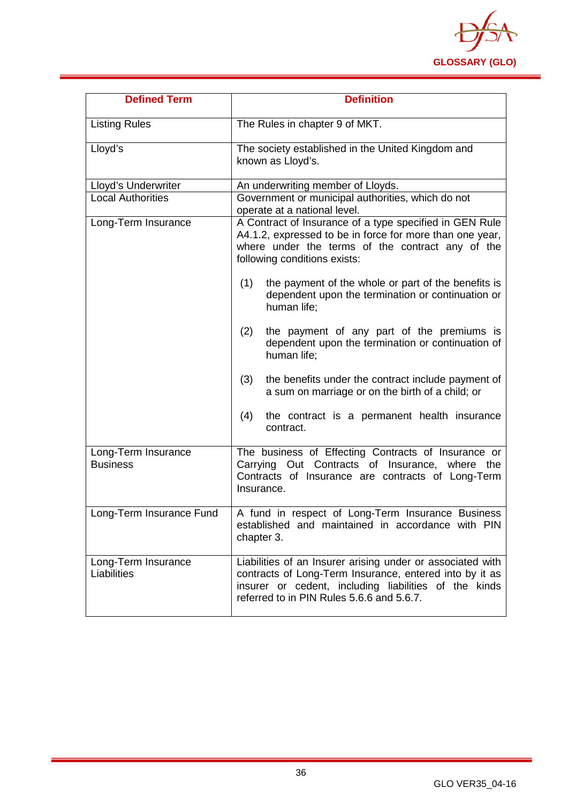

| <b>Defined Term</b>                    | <b>Definition</b>                                                                                                                                                                                                           |
|----------------------------------------|-----------------------------------------------------------------------------------------------------------------------------------------------------------------------------------------------------------------------------|
| <b>Listing Rules</b>                   | The Rules in chapter 9 of MKT.                                                                                                                                                                                              |
| Lloyd's                                | The society established in the United Kingdom and<br>known as Lloyd's.                                                                                                                                                      |
| Lloyd's Underwriter                    | An underwriting member of Lloyds.                                                                                                                                                                                           |
| <b>Local Authorities</b>               | Government or municipal authorities, which do not<br>operate at a national level.                                                                                                                                           |
| Long-Term Insurance                    | A Contract of Insurance of a type specified in GEN Rule<br>A4.1.2, expressed to be in force for more than one year,<br>where under the terms of the contract any of the<br>following conditions exists:                     |
|                                        | the payment of the whole or part of the benefits is<br>(1)<br>dependent upon the termination or continuation or<br>human life;                                                                                              |
|                                        | the payment of any part of the premiums is<br>(2)<br>dependent upon the termination or continuation of<br>human life;                                                                                                       |
|                                        | (3)<br>the benefits under the contract include payment of<br>a sum on marriage or on the birth of a child; or                                                                                                               |
|                                        | the contract is a permanent health insurance<br>(4)<br>contract.                                                                                                                                                            |
| Long-Term Insurance<br><b>Business</b> | The business of Effecting Contracts of Insurance or<br>Carrying Out Contracts of Insurance, where the<br>Contracts of Insurance are contracts of Long-Term<br>Insurance.                                                    |
| Long-Term Insurance Fund               | A fund in respect of Long-Term Insurance Business<br>established and maintained in accordance with PIN<br>chapter 3.                                                                                                        |
| Long-Term Insurance<br>Liabilities     | Liabilities of an Insurer arising under or associated with<br>contracts of Long-Term Insurance, entered into by it as<br>insurer or cedent, including liabilities of the kinds<br>referred to in PIN Rules 5.6.6 and 5.6.7. |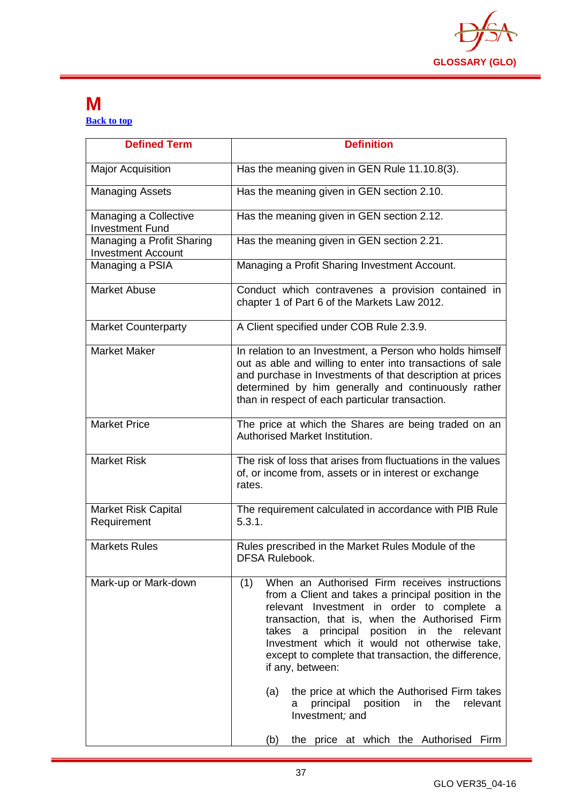

#### <span id="page-37-0"></span>**M [Back to top](#page-1-0)**

| <b>Defined Term</b>                                    | <b>Definition</b>                                                                                                                                                                                                                                                                                                                                                                                                                                                                                                                                                              |
|--------------------------------------------------------|--------------------------------------------------------------------------------------------------------------------------------------------------------------------------------------------------------------------------------------------------------------------------------------------------------------------------------------------------------------------------------------------------------------------------------------------------------------------------------------------------------------------------------------------------------------------------------|
| <b>Major Acquisition</b>                               | Has the meaning given in GEN Rule 11.10.8(3).                                                                                                                                                                                                                                                                                                                                                                                                                                                                                                                                  |
| <b>Managing Assets</b>                                 | Has the meaning given in GEN section 2.10.                                                                                                                                                                                                                                                                                                                                                                                                                                                                                                                                     |
| Managing a Collective<br><b>Investment Fund</b>        | Has the meaning given in GEN section 2.12.                                                                                                                                                                                                                                                                                                                                                                                                                                                                                                                                     |
| Managing a Profit Sharing<br><b>Investment Account</b> | Has the meaning given in GEN section 2.21.                                                                                                                                                                                                                                                                                                                                                                                                                                                                                                                                     |
| Managing a PSIA                                        | Managing a Profit Sharing Investment Account.                                                                                                                                                                                                                                                                                                                                                                                                                                                                                                                                  |
| <b>Market Abuse</b>                                    | Conduct which contravenes a provision contained in<br>chapter 1 of Part 6 of the Markets Law 2012.                                                                                                                                                                                                                                                                                                                                                                                                                                                                             |
| <b>Market Counterparty</b>                             | A Client specified under COB Rule 2.3.9.                                                                                                                                                                                                                                                                                                                                                                                                                                                                                                                                       |
| <b>Market Maker</b>                                    | In relation to an Investment, a Person who holds himself<br>out as able and willing to enter into transactions of sale<br>and purchase in Investments of that description at prices<br>determined by him generally and continuously rather<br>than in respect of each particular transaction.                                                                                                                                                                                                                                                                                  |
| <b>Market Price</b>                                    | The price at which the Shares are being traded on an<br>Authorised Market Institution.                                                                                                                                                                                                                                                                                                                                                                                                                                                                                         |
| <b>Market Risk</b>                                     | The risk of loss that arises from fluctuations in the values<br>of, or income from, assets or in interest or exchange<br>rates.                                                                                                                                                                                                                                                                                                                                                                                                                                                |
| <b>Market Risk Capital</b><br>Requirement              | The requirement calculated in accordance with PIB Rule<br>5.3.1.                                                                                                                                                                                                                                                                                                                                                                                                                                                                                                               |
| <b>Markets Rules</b>                                   | Rules prescribed in the Market Rules Module of the<br><b>DFSA Rulebook.</b>                                                                                                                                                                                                                                                                                                                                                                                                                                                                                                    |
| Mark-up or Mark-down                                   | When an Authorised Firm receives instructions<br>(1)<br>from a Client and takes a principal position in the<br>relevant Investment in order to complete a<br>transaction, that is, when the Authorised Firm<br>principal position in the relevant<br>takes<br>a<br>Investment which it would not otherwise take,<br>except to complete that transaction, the difference,<br>if any, between:<br>the price at which the Authorised Firm takes<br>(a)<br>position<br>in<br>the<br>principal<br>relevant<br>а<br>Investment; and<br>the price at which the Authorised Firm<br>(b) |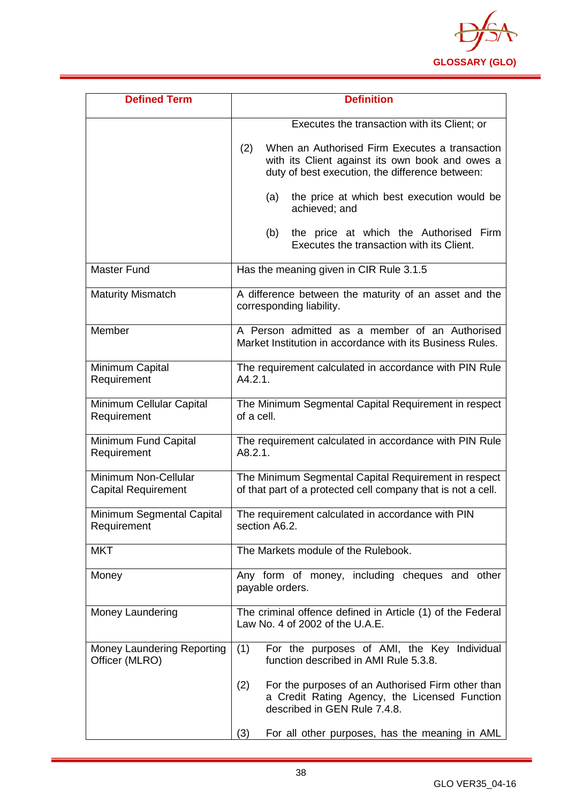

| <b>Defined Term</b>                                | <b>Definition</b>                                                                                                                                           |
|----------------------------------------------------|-------------------------------------------------------------------------------------------------------------------------------------------------------------|
|                                                    | Executes the transaction with its Client; or                                                                                                                |
|                                                    | When an Authorised Firm Executes a transaction<br>(2)<br>with its Client against its own book and owes a<br>duty of best execution, the difference between: |
|                                                    | the price at which best execution would be<br>(a)<br>achieved; and                                                                                          |
|                                                    | (b)<br>the price at which the Authorised Firm<br>Executes the transaction with its Client.                                                                  |
| <b>Master Fund</b>                                 | Has the meaning given in CIR Rule 3.1.5                                                                                                                     |
| <b>Maturity Mismatch</b>                           | A difference between the maturity of an asset and the<br>corresponding liability.                                                                           |
| Member                                             | A Person admitted as a member of an Authorised<br>Market Institution in accordance with its Business Rules.                                                 |
| Minimum Capital<br>Requirement                     | The requirement calculated in accordance with PIN Rule<br>A4.2.1.                                                                                           |
| Minimum Cellular Capital<br>Requirement            | The Minimum Segmental Capital Requirement in respect<br>of a cell.                                                                                          |
| Minimum Fund Capital<br>Requirement                | The requirement calculated in accordance with PIN Rule<br>A8.2.1.                                                                                           |
| Minimum Non-Cellular<br><b>Capital Requirement</b> | The Minimum Segmental Capital Requirement in respect<br>of that part of a protected cell company that is not a cell.                                        |
| Minimum Segmental Capital<br>Requirement           | The requirement calculated in accordance with PIN<br>section A6.2.                                                                                          |
| <b>MKT</b>                                         | The Markets module of the Rulebook.                                                                                                                         |
| Money                                              | Any form of money, including cheques and other<br>payable orders.                                                                                           |
| Money Laundering                                   | The criminal offence defined in Article (1) of the Federal<br>Law No. 4 of 2002 of the U.A.E.                                                               |
| Money Laundering Reporting<br>Officer (MLRO)       | For the purposes of AMI, the Key Individual<br>(1)<br>function described in AMI Rule 5.3.8.                                                                 |
|                                                    | For the purposes of an Authorised Firm other than<br>(2)<br>a Credit Rating Agency, the Licensed Function<br>described in GEN Rule 7.4.8.                   |
|                                                    | For all other purposes, has the meaning in AML<br>(3)                                                                                                       |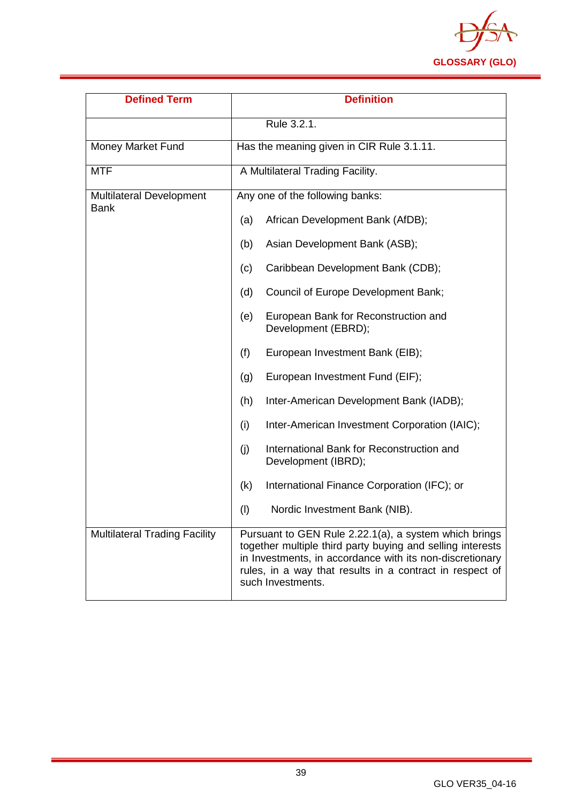

| <b>Defined Term</b>                            | <b>Definition</b>                                                                                                                                                                                                                                                |
|------------------------------------------------|------------------------------------------------------------------------------------------------------------------------------------------------------------------------------------------------------------------------------------------------------------------|
|                                                | Rule 3.2.1.                                                                                                                                                                                                                                                      |
| Money Market Fund                              | Has the meaning given in CIR Rule 3.1.11.                                                                                                                                                                                                                        |
| <b>MTF</b>                                     | A Multilateral Trading Facility.                                                                                                                                                                                                                                 |
| <b>Multilateral Development</b><br><b>Bank</b> | Any one of the following banks:                                                                                                                                                                                                                                  |
|                                                | African Development Bank (AfDB);<br>(a)                                                                                                                                                                                                                          |
|                                                | Asian Development Bank (ASB);<br>(b)                                                                                                                                                                                                                             |
|                                                | Caribbean Development Bank (CDB);<br>(c)                                                                                                                                                                                                                         |
|                                                | Council of Europe Development Bank;<br>(d)                                                                                                                                                                                                                       |
|                                                | (e)<br>European Bank for Reconstruction and<br>Development (EBRD);                                                                                                                                                                                               |
|                                                | European Investment Bank (EIB);<br>(f)                                                                                                                                                                                                                           |
|                                                | European Investment Fund (EIF);<br>(g)                                                                                                                                                                                                                           |
|                                                | Inter-American Development Bank (IADB);<br>(h)                                                                                                                                                                                                                   |
|                                                | Inter-American Investment Corporation (IAIC);<br>(i)                                                                                                                                                                                                             |
|                                                | International Bank for Reconstruction and<br>(j)<br>Development (IBRD);                                                                                                                                                                                          |
|                                                | International Finance Corporation (IFC); or<br>(k)                                                                                                                                                                                                               |
|                                                | $\left(\mathsf{I}\right)$<br>Nordic Investment Bank (NIB).                                                                                                                                                                                                       |
| <b>Multilateral Trading Facility</b>           | Pursuant to GEN Rule 2.22.1(a), a system which brings<br>together multiple third party buying and selling interests<br>in Investments, in accordance with its non-discretionary<br>rules, in a way that results in a contract in respect of<br>such Investments. |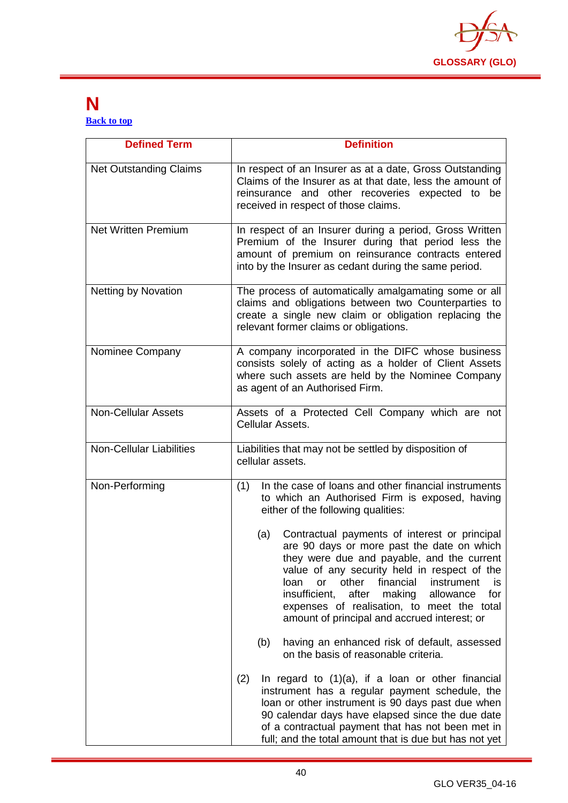

#### <span id="page-40-0"></span>**N [Back to top](#page-1-0)**

| <b>Defined Term</b>             | <b>Definition</b>                                                                                                                                                                                                                                                                                                                                                                                              |
|---------------------------------|----------------------------------------------------------------------------------------------------------------------------------------------------------------------------------------------------------------------------------------------------------------------------------------------------------------------------------------------------------------------------------------------------------------|
| <b>Net Outstanding Claims</b>   | In respect of an Insurer as at a date, Gross Outstanding<br>Claims of the Insurer as at that date, less the amount of<br>reinsurance and other recoveries expected to be<br>received in respect of those claims.                                                                                                                                                                                               |
| <b>Net Written Premium</b>      | In respect of an Insurer during a period, Gross Written<br>Premium of the Insurer during that period less the<br>amount of premium on reinsurance contracts entered<br>into by the Insurer as cedant during the same period.                                                                                                                                                                                   |
| <b>Netting by Novation</b>      | The process of automatically amalgamating some or all<br>claims and obligations between two Counterparties to<br>create a single new claim or obligation replacing the<br>relevant former claims or obligations.                                                                                                                                                                                               |
| Nominee Company                 | A company incorporated in the DIFC whose business<br>consists solely of acting as a holder of Client Assets<br>where such assets are held by the Nominee Company<br>as agent of an Authorised Firm.                                                                                                                                                                                                            |
| <b>Non-Cellular Assets</b>      | Assets of a Protected Cell Company which are not<br>Cellular Assets.                                                                                                                                                                                                                                                                                                                                           |
| <b>Non-Cellular Liabilities</b> | Liabilities that may not be settled by disposition of<br>cellular assets.                                                                                                                                                                                                                                                                                                                                      |
| Non-Performing                  | In the case of loans and other financial instruments<br>(1)<br>to which an Authorised Firm is exposed, having<br>either of the following qualities:                                                                                                                                                                                                                                                            |
|                                 | Contractual payments of interest or principal<br>(a)<br>are 90 days or more past the date on which<br>they were due and payable, and the current<br>value of any security held in respect of the<br>other<br>loan<br>financial<br>instrument<br>or<br>is<br>insufficient,<br>after<br>for<br>making<br>allowance<br>expenses of realisation, to meet the total<br>amount of principal and accrued interest; or |
|                                 | having an enhanced risk of default, assessed<br>(b)<br>on the basis of reasonable criteria.                                                                                                                                                                                                                                                                                                                    |
|                                 | (2)<br>In regard to $(1)(a)$ , if a loan or other financial<br>instrument has a regular payment schedule, the<br>loan or other instrument is 90 days past due when<br>90 calendar days have elapsed since the due date<br>of a contractual payment that has not been met in<br>full; and the total amount that is due but has not yet                                                                          |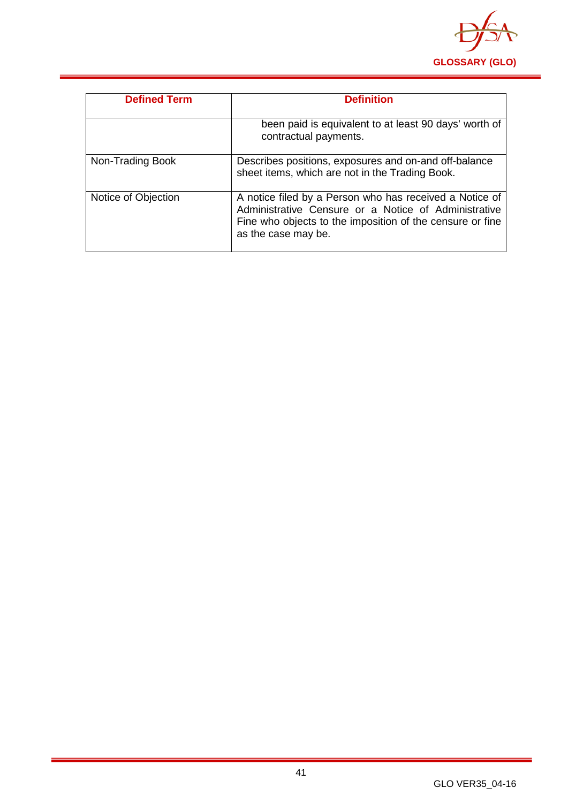

| <b>Defined Term</b> | <b>Definition</b>                                                                                                                                                                                   |
|---------------------|-----------------------------------------------------------------------------------------------------------------------------------------------------------------------------------------------------|
|                     | been paid is equivalent to at least 90 days' worth of<br>contractual payments.                                                                                                                      |
| Non-Trading Book    | Describes positions, exposures and on-and off-balance<br>sheet items, which are not in the Trading Book.                                                                                            |
| Notice of Objection | A notice filed by a Person who has received a Notice of<br>Administrative Censure or a Notice of Administrative<br>Fine who objects to the imposition of the censure or fine<br>as the case may be. |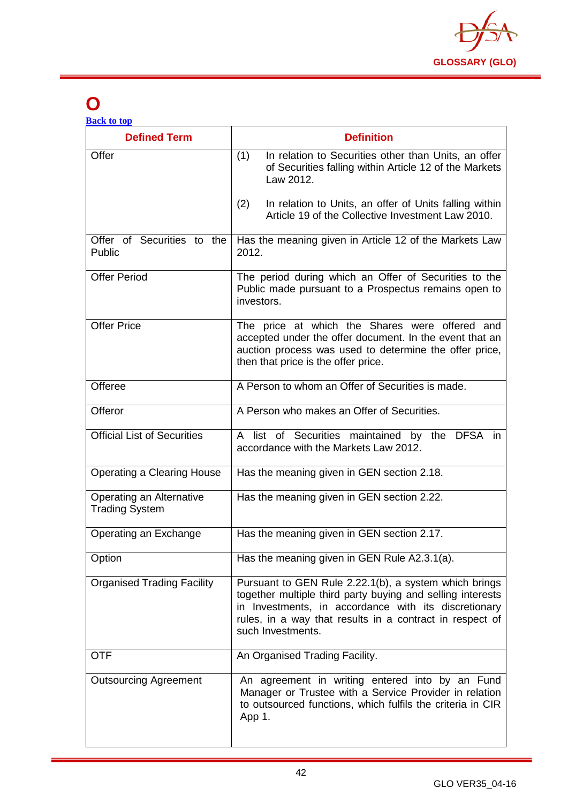

# <span id="page-42-0"></span>**O**

| <b>Defined Term</b>                               | <b>Definition</b>                                                                                                                                                                                                                                            |
|---------------------------------------------------|--------------------------------------------------------------------------------------------------------------------------------------------------------------------------------------------------------------------------------------------------------------|
| Offer                                             | (1)<br>In relation to Securities other than Units, an offer<br>of Securities falling within Article 12 of the Markets<br>Law 2012.                                                                                                                           |
|                                                   | In relation to Units, an offer of Units falling within<br>(2)<br>Article 19 of the Collective Investment Law 2010.                                                                                                                                           |
| Offer of Securities to the<br>Public              | Has the meaning given in Article 12 of the Markets Law<br>2012.                                                                                                                                                                                              |
| <b>Offer Period</b>                               | The period during which an Offer of Securities to the<br>Public made pursuant to a Prospectus remains open to<br>investors.                                                                                                                                  |
| <b>Offer Price</b>                                | The price at which the Shares were offered and<br>accepted under the offer document. In the event that an<br>auction process was used to determine the offer price,<br>then that price is the offer price.                                                   |
| Offeree                                           | A Person to whom an Offer of Securities is made.                                                                                                                                                                                                             |
| Offeror                                           | A Person who makes an Offer of Securities.                                                                                                                                                                                                                   |
| <b>Official List of Securities</b>                | A list of Securities maintained by the DFSA in<br>accordance with the Markets Law 2012.                                                                                                                                                                      |
| <b>Operating a Clearing House</b>                 | Has the meaning given in GEN section 2.18.                                                                                                                                                                                                                   |
| Operating an Alternative<br><b>Trading System</b> | Has the meaning given in GEN section 2.22.                                                                                                                                                                                                                   |
| Operating an Exchange                             | Has the meaning given in GEN section 2.17.                                                                                                                                                                                                                   |
| Option                                            | Has the meaning given in GEN Rule A2.3.1(a).                                                                                                                                                                                                                 |
| <b>Organised Trading Facility</b>                 | Pursuant to GEN Rule 2.22.1(b), a system which brings<br>together multiple third party buying and selling interests<br>in Investments, in accordance with its discretionary<br>rules, in a way that results in a contract in respect of<br>such Investments. |
| <b>OTF</b>                                        | An Organised Trading Facility.                                                                                                                                                                                                                               |
| <b>Outsourcing Agreement</b>                      | An agreement in writing entered into by an Fund<br>Manager or Trustee with a Service Provider in relation<br>to outsourced functions, which fulfils the criteria in CIR<br>App 1.                                                                            |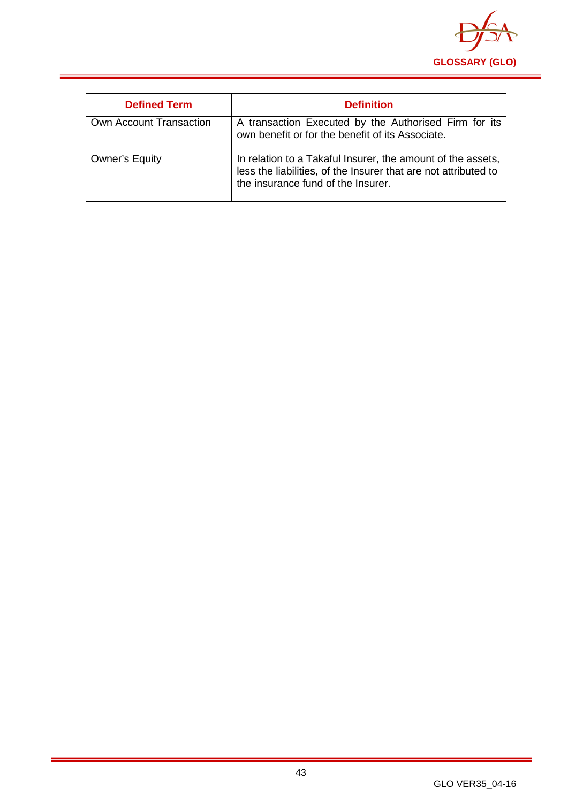

| <b>Defined Term</b>     | <b>Definition</b>                                                                                                                                                    |
|-------------------------|----------------------------------------------------------------------------------------------------------------------------------------------------------------------|
| Own Account Transaction | A transaction Executed by the Authorised Firm for its<br>own benefit or for the benefit of its Associate.                                                            |
| <b>Owner's Equity</b>   | In relation to a Takaful Insurer, the amount of the assets,<br>less the liabilities, of the Insurer that are not attributed to<br>the insurance fund of the Insurer. |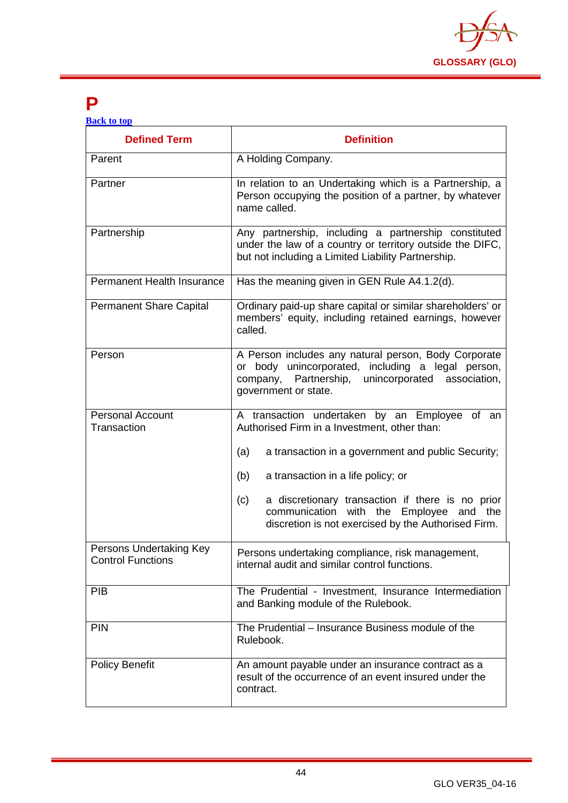

### <span id="page-44-0"></span>**P**

| <b>Defined Term</b>                                 | <b>Definition</b>                                                                                                                                                                         |
|-----------------------------------------------------|-------------------------------------------------------------------------------------------------------------------------------------------------------------------------------------------|
| Parent                                              | A Holding Company.                                                                                                                                                                        |
| Partner                                             | In relation to an Undertaking which is a Partnership, a<br>Person occupying the position of a partner, by whatever<br>name called.                                                        |
| Partnership                                         | Any partnership, including a partnership constituted<br>under the law of a country or territory outside the DIFC,<br>but not including a Limited Liability Partnership.                   |
| <b>Permanent Health Insurance</b>                   | Has the meaning given in GEN Rule A4.1.2(d).                                                                                                                                              |
| <b>Permanent Share Capital</b>                      | Ordinary paid-up share capital or similar shareholders' or<br>members' equity, including retained earnings, however<br>called.                                                            |
| Person                                              | A Person includes any natural person, Body Corporate<br>or body unincorporated, including a legal person,<br>Partnership, unincorporated association,<br>company,<br>government or state. |
| <b>Personal Account</b><br>Transaction              | A transaction undertaken by an Employee of an<br>Authorised Firm in a Investment, other than:                                                                                             |
|                                                     | (a)<br>a transaction in a government and public Security;                                                                                                                                 |
|                                                     | a transaction in a life policy; or<br>(b)                                                                                                                                                 |
|                                                     | a discretionary transaction if there is no prior<br>(c)<br>communication with the Employee and the<br>discretion is not exercised by the Authorised Firm.                                 |
| Persons Undertaking Key<br><b>Control Functions</b> | Persons undertaking compliance, risk management,<br>internal audit and similar control functions.                                                                                         |
| <b>PIB</b>                                          | The Prudential - Investment, Insurance Intermediation<br>and Banking module of the Rulebook.                                                                                              |
| PIN                                                 | The Prudential - Insurance Business module of the<br>Rulebook.                                                                                                                            |
| <b>Policy Benefit</b>                               | An amount payable under an insurance contract as a<br>result of the occurrence of an event insured under the<br>contract.                                                                 |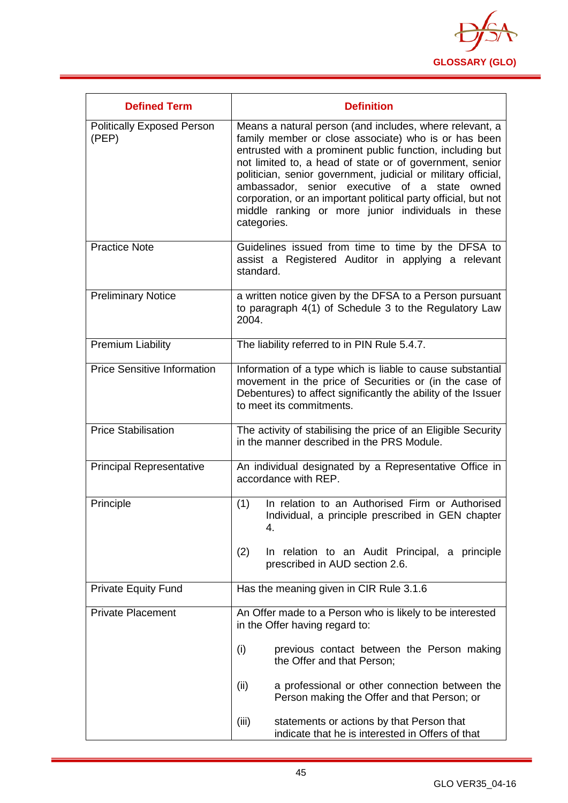

| <b>Defined Term</b>                        | <b>Definition</b>                                                                                                                                                                                                                                                                                                                                                                                                                                                                                    |
|--------------------------------------------|------------------------------------------------------------------------------------------------------------------------------------------------------------------------------------------------------------------------------------------------------------------------------------------------------------------------------------------------------------------------------------------------------------------------------------------------------------------------------------------------------|
| <b>Politically Exposed Person</b><br>(PEP) | Means a natural person (and includes, where relevant, a<br>family member or close associate) who is or has been<br>entrusted with a prominent public function, including but<br>not limited to, a head of state or of government, senior<br>politician, senior government, judicial or military official,<br>ambassador, senior executive of a state<br>owned<br>corporation, or an important political party official, but not<br>middle ranking or more junior individuals in these<br>categories. |
| <b>Practice Note</b>                       | Guidelines issued from time to time by the DFSA to<br>assist a Registered Auditor in applying a relevant<br>standard.                                                                                                                                                                                                                                                                                                                                                                                |
| <b>Preliminary Notice</b>                  | a written notice given by the DFSA to a Person pursuant<br>to paragraph 4(1) of Schedule 3 to the Regulatory Law<br>2004.                                                                                                                                                                                                                                                                                                                                                                            |
| <b>Premium Liability</b>                   | The liability referred to in PIN Rule 5.4.7.                                                                                                                                                                                                                                                                                                                                                                                                                                                         |
| <b>Price Sensitive Information</b>         | Information of a type which is liable to cause substantial<br>movement in the price of Securities or (in the case of<br>Debentures) to affect significantly the ability of the Issuer<br>to meet its commitments.                                                                                                                                                                                                                                                                                    |
| <b>Price Stabilisation</b>                 | The activity of stabilising the price of an Eligible Security<br>in the manner described in the PRS Module.                                                                                                                                                                                                                                                                                                                                                                                          |
| <b>Principal Representative</b>            | An individual designated by a Representative Office in<br>accordance with REP.                                                                                                                                                                                                                                                                                                                                                                                                                       |
| Principle                                  | In relation to an Authorised Firm or Authorised<br>(1)<br>Individual, a principle prescribed in GEN chapter<br>4.                                                                                                                                                                                                                                                                                                                                                                                    |
|                                            | (2)<br>In relation to an Audit Principal, a principle<br>prescribed in AUD section 2.6.                                                                                                                                                                                                                                                                                                                                                                                                              |
| <b>Private Equity Fund</b>                 | Has the meaning given in CIR Rule 3.1.6                                                                                                                                                                                                                                                                                                                                                                                                                                                              |
| <b>Private Placement</b>                   | An Offer made to a Person who is likely to be interested<br>in the Offer having regard to:                                                                                                                                                                                                                                                                                                                                                                                                           |
|                                            | (i)<br>previous contact between the Person making<br>the Offer and that Person;                                                                                                                                                                                                                                                                                                                                                                                                                      |
|                                            | (ii)<br>a professional or other connection between the<br>Person making the Offer and that Person; or                                                                                                                                                                                                                                                                                                                                                                                                |
|                                            | (iii)<br>statements or actions by that Person that<br>indicate that he is interested in Offers of that                                                                                                                                                                                                                                                                                                                                                                                               |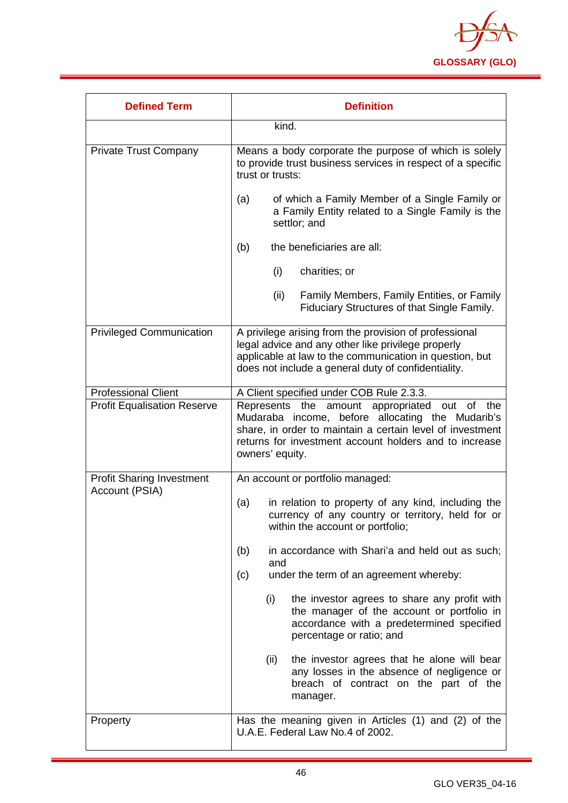

| <b>Defined Term</b>                                | <b>Definition</b>                                                                                                                                                                                                                                 |
|----------------------------------------------------|---------------------------------------------------------------------------------------------------------------------------------------------------------------------------------------------------------------------------------------------------|
|                                                    | kind.                                                                                                                                                                                                                                             |
| <b>Private Trust Company</b>                       | Means a body corporate the purpose of which is solely<br>to provide trust business services in respect of a specific<br>trust or trusts:                                                                                                          |
|                                                    | of which a Family Member of a Single Family or<br>(a)<br>a Family Entity related to a Single Family is the<br>settlor; and                                                                                                                        |
|                                                    | the beneficiaries are all:<br>(b)                                                                                                                                                                                                                 |
|                                                    | (i)<br>charities; or                                                                                                                                                                                                                              |
|                                                    | Family Members, Family Entities, or Family<br>(ii)<br>Fiduciary Structures of that Single Family.                                                                                                                                                 |
| <b>Privileged Communication</b>                    | A privilege arising from the provision of professional<br>legal advice and any other like privilege properly<br>applicable at law to the communication in question, but<br>does not include a general duty of confidentiality.                    |
| <b>Professional Client</b>                         | A Client specified under COB Rule 2.3.3.                                                                                                                                                                                                          |
| <b>Profit Equalisation Reserve</b>                 | the amount appropriated out of<br>Represents<br>the<br>Mudaraba income, before allocating the Mudarib's<br>share, in order to maintain a certain level of investment<br>returns for investment account holders and to increase<br>owners' equity. |
| <b>Profit Sharing Investment</b><br>Account (PSIA) | An account or portfolio managed:                                                                                                                                                                                                                  |
|                                                    | in relation to property of any kind, including the<br>(a)<br>currency of any country or territory, held for or<br>within the account or portfolio;                                                                                                |
|                                                    | in accordance with Shari'a and held out as such;<br>(b)<br>and                                                                                                                                                                                    |
|                                                    | under the term of an agreement whereby:<br>(c)                                                                                                                                                                                                    |
|                                                    | (i)<br>the investor agrees to share any profit with<br>the manager of the account or portfolio in<br>accordance with a predetermined specified<br>percentage or ratio; and                                                                        |
|                                                    | (ii)<br>the investor agrees that he alone will bear<br>any losses in the absence of negligence or<br>breach of contract on the part of the<br>manager.                                                                                            |
| Property                                           | Has the meaning given in Articles (1) and (2) of the<br>U.A.E. Federal Law No.4 of 2002.                                                                                                                                                          |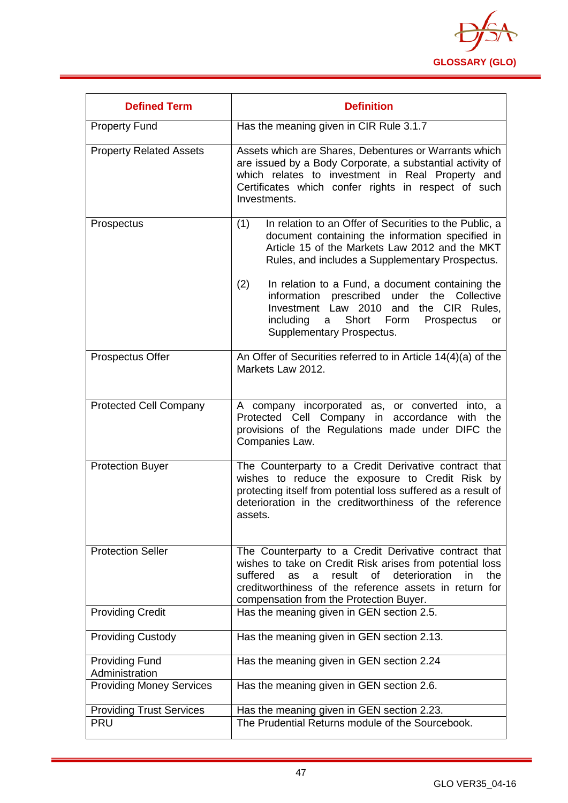

| <b>Defined Term</b>                     | <b>Definition</b>                                                                                                                                                                                                                                                                               |
|-----------------------------------------|-------------------------------------------------------------------------------------------------------------------------------------------------------------------------------------------------------------------------------------------------------------------------------------------------|
| <b>Property Fund</b>                    | Has the meaning given in CIR Rule 3.1.7                                                                                                                                                                                                                                                         |
| <b>Property Related Assets</b>          | Assets which are Shares, Debentures or Warrants which<br>are issued by a Body Corporate, a substantial activity of<br>which relates to investment in Real Property and<br>Certificates which confer rights in respect of such<br>Investments.                                                   |
| Prospectus                              | In relation to an Offer of Securities to the Public, a<br>(1)<br>document containing the information specified in<br>Article 15 of the Markets Law 2012 and the MKT<br>Rules, and includes a Supplementary Prospectus.<br>In relation to a Fund, a document containing the<br>(2)               |
|                                         | information prescribed under the<br>Collective<br>Investment Law 2010 and the CIR Rules,<br>including<br>Short Form<br>Prospectus<br>a<br><b>or</b><br>Supplementary Prospectus.                                                                                                                |
| Prospectus Offer                        | An Offer of Securities referred to in Article 14(4)(a) of the<br>Markets Law 2012.                                                                                                                                                                                                              |
| <b>Protected Cell Company</b>           | A company incorporated as, or converted into, a<br>Protected Cell Company in accordance<br>with the<br>provisions of the Regulations made under DIFC the<br>Companies Law.                                                                                                                      |
| <b>Protection Buyer</b>                 | The Counterparty to a Credit Derivative contract that<br>wishes to reduce the exposure to Credit Risk by<br>protecting itself from potential loss suffered as a result of<br>deterioration in the creditworthiness of the reference<br>assets.                                                  |
| <b>Protection Seller</b>                | The Counterparty to a Credit Derivative contract that<br>wishes to take on Credit Risk arises from potential loss<br>of deterioration<br>suffered<br>result<br>in<br>the<br><b>as</b><br>a<br>creditworthiness of the reference assets in return for<br>compensation from the Protection Buyer. |
| <b>Providing Credit</b>                 | Has the meaning given in GEN section 2.5.                                                                                                                                                                                                                                                       |
| <b>Providing Custody</b>                | Has the meaning given in GEN section 2.13.                                                                                                                                                                                                                                                      |
| <b>Providing Fund</b><br>Administration | Has the meaning given in GEN section 2.24                                                                                                                                                                                                                                                       |
| <b>Providing Money Services</b>         | Has the meaning given in GEN section 2.6.                                                                                                                                                                                                                                                       |
| <b>Providing Trust Services</b>         | Has the meaning given in GEN section 2.23.                                                                                                                                                                                                                                                      |
| <b>PRU</b>                              | The Prudential Returns module of the Sourcebook.                                                                                                                                                                                                                                                |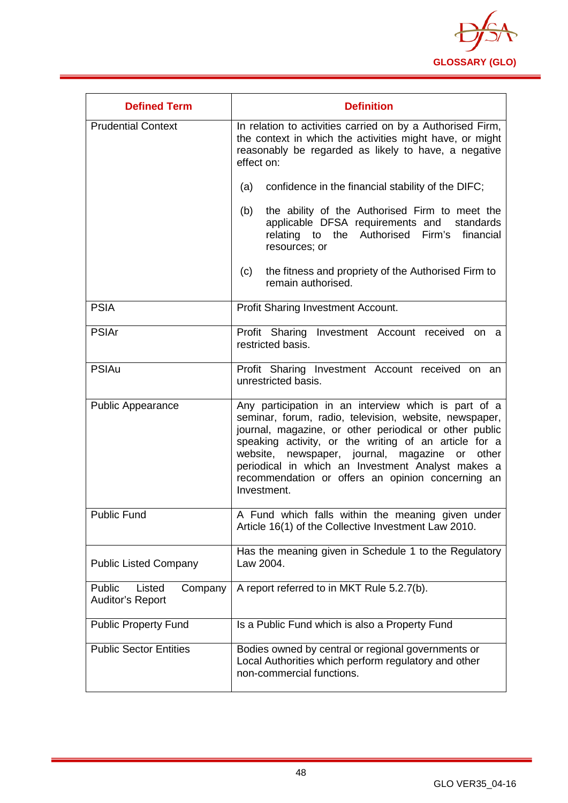

| <b>Defined Term</b>                                    | <b>Definition</b>                                                                                                                                                                                                                                                                                                                                                                                                     |
|--------------------------------------------------------|-----------------------------------------------------------------------------------------------------------------------------------------------------------------------------------------------------------------------------------------------------------------------------------------------------------------------------------------------------------------------------------------------------------------------|
| <b>Prudential Context</b>                              | In relation to activities carried on by a Authorised Firm,<br>the context in which the activities might have, or might<br>reasonably be regarded as likely to have, a negative<br>effect on:                                                                                                                                                                                                                          |
|                                                        | confidence in the financial stability of the DIFC;<br>(a)                                                                                                                                                                                                                                                                                                                                                             |
|                                                        | the ability of the Authorised Firm to meet the<br>(b)<br>applicable DFSA requirements and standards<br>Firm's financial<br>relating to the Authorised<br>resources; or                                                                                                                                                                                                                                                |
|                                                        | the fitness and propriety of the Authorised Firm to<br>(c)<br>remain authorised.                                                                                                                                                                                                                                                                                                                                      |
| <b>PSIA</b>                                            | <b>Profit Sharing Investment Account.</b>                                                                                                                                                                                                                                                                                                                                                                             |
| <b>PSIAr</b>                                           | Profit Sharing Investment Account received on a<br>restricted basis.                                                                                                                                                                                                                                                                                                                                                  |
| <b>PSIAu</b>                                           | Profit Sharing Investment Account received on an<br>unrestricted basis.                                                                                                                                                                                                                                                                                                                                               |
| <b>Public Appearance</b>                               | Any participation in an interview which is part of a<br>seminar, forum, radio, television, website, newspaper,<br>journal, magazine, or other periodical or other public<br>speaking activity, or the writing of an article for a<br>newspaper, journal, magazine<br>website,<br>or<br>other<br>periodical in which an Investment Analyst makes a<br>recommendation or offers an opinion concerning an<br>Investment. |
| <b>Public Fund</b>                                     | A Fund which falls within the meaning given under<br>Article 16(1) of the Collective Investment Law 2010.                                                                                                                                                                                                                                                                                                             |
| <b>Public Listed Company</b>                           | Has the meaning given in Schedule 1 to the Regulatory<br>Law 2004.                                                                                                                                                                                                                                                                                                                                                    |
| Public<br>Listed<br>Company<br><b>Auditor's Report</b> | A report referred to in MKT Rule 5.2.7(b).                                                                                                                                                                                                                                                                                                                                                                            |
| <b>Public Property Fund</b>                            | Is a Public Fund which is also a Property Fund                                                                                                                                                                                                                                                                                                                                                                        |
| <b>Public Sector Entities</b>                          | Bodies owned by central or regional governments or<br>Local Authorities which perform regulatory and other<br>non-commercial functions.                                                                                                                                                                                                                                                                               |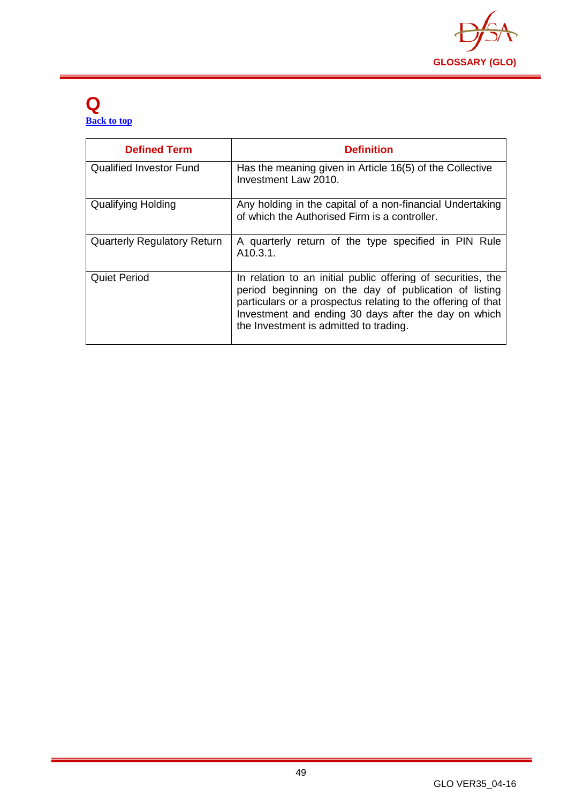

#### <span id="page-49-0"></span>**Q [Back to top](#page-1-0)**

| <b>Defined Term</b>                | <b>Definition</b>                                                                                                                                                                                                                                                                       |
|------------------------------------|-----------------------------------------------------------------------------------------------------------------------------------------------------------------------------------------------------------------------------------------------------------------------------------------|
| <b>Qualified Investor Fund</b>     | Has the meaning given in Article 16(5) of the Collective<br>Investment Law 2010.                                                                                                                                                                                                        |
| <b>Qualifying Holding</b>          | Any holding in the capital of a non-financial Undertaking<br>of which the Authorised Firm is a controller.                                                                                                                                                                              |
| <b>Quarterly Regulatory Return</b> | A quarterly return of the type specified in PIN Rule<br>A <sub>10.3.1</sub> .                                                                                                                                                                                                           |
| <b>Quiet Period</b>                | In relation to an initial public offering of securities, the<br>period beginning on the day of publication of listing<br>particulars or a prospectus relating to the offering of that<br>Investment and ending 30 days after the day on which<br>the Investment is admitted to trading. |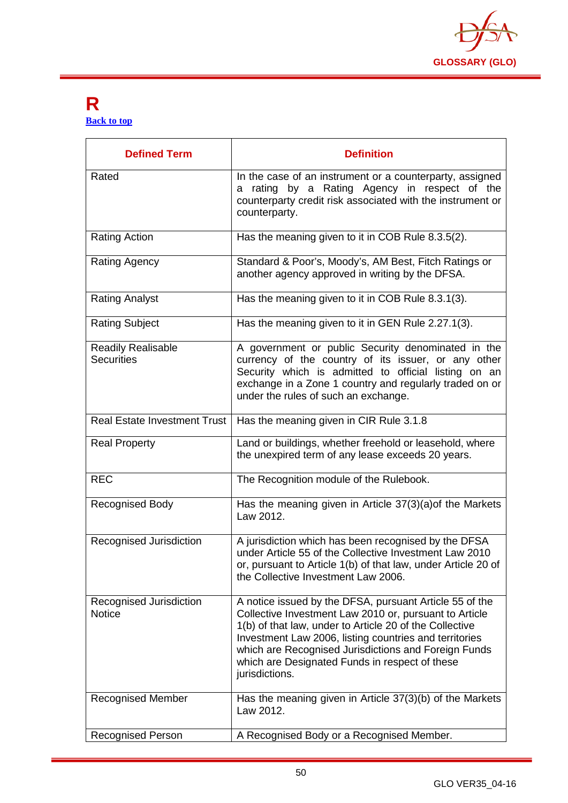

#### <span id="page-50-0"></span>**R [Back to top](#page-1-0)**

| <b>Defined Term</b>                      | <b>Definition</b>                                                                                                                                                                                                                                                                                                                                                  |
|------------------------------------------|--------------------------------------------------------------------------------------------------------------------------------------------------------------------------------------------------------------------------------------------------------------------------------------------------------------------------------------------------------------------|
| Rated                                    | In the case of an instrument or a counterparty, assigned<br>a rating by a Rating Agency in respect of the<br>counterparty credit risk associated with the instrument or<br>counterparty.                                                                                                                                                                           |
| <b>Rating Action</b>                     | Has the meaning given to it in COB Rule 8.3.5(2).                                                                                                                                                                                                                                                                                                                  |
| Rating Agency                            | Standard & Poor's, Moody's, AM Best, Fitch Ratings or<br>another agency approved in writing by the DFSA.                                                                                                                                                                                                                                                           |
| <b>Rating Analyst</b>                    | Has the meaning given to it in COB Rule 8.3.1(3).                                                                                                                                                                                                                                                                                                                  |
| <b>Rating Subject</b>                    | Has the meaning given to it in GEN Rule 2.27.1(3).                                                                                                                                                                                                                                                                                                                 |
| Readily Realisable<br><b>Securities</b>  | A government or public Security denominated in the<br>currency of the country of its issuer, or any other<br>Security which is admitted to official listing on an<br>exchange in a Zone 1 country and regularly traded on or<br>under the rules of such an exchange.                                                                                               |
| <b>Real Estate Investment Trust</b>      | Has the meaning given in CIR Rule 3.1.8                                                                                                                                                                                                                                                                                                                            |
| <b>Real Property</b>                     | Land or buildings, whether freehold or leasehold, where<br>the unexpired term of any lease exceeds 20 years.                                                                                                                                                                                                                                                       |
| <b>REC</b>                               | The Recognition module of the Rulebook.                                                                                                                                                                                                                                                                                                                            |
| <b>Recognised Body</b>                   | Has the meaning given in Article 37(3)(a) of the Markets<br>Law 2012.                                                                                                                                                                                                                                                                                              |
| Recognised Jurisdiction                  | A jurisdiction which has been recognised by the DFSA<br>under Article 55 of the Collective Investment Law 2010<br>or, pursuant to Article 1(b) of that law, under Article 20 of<br>the Collective Investment Law 2006.                                                                                                                                             |
| Recognised Jurisdiction<br><b>Notice</b> | A notice issued by the DFSA, pursuant Article 55 of the<br>Collective Investment Law 2010 or, pursuant to Article<br>1(b) of that law, under to Article 20 of the Collective<br>Investment Law 2006, listing countries and territories<br>which are Recognised Jurisdictions and Foreign Funds<br>which are Designated Funds in respect of these<br>jurisdictions. |
| <b>Recognised Member</b>                 | Has the meaning given in Article 37(3)(b) of the Markets<br>Law 2012.                                                                                                                                                                                                                                                                                              |
| <b>Recognised Person</b>                 | A Recognised Body or a Recognised Member.                                                                                                                                                                                                                                                                                                                          |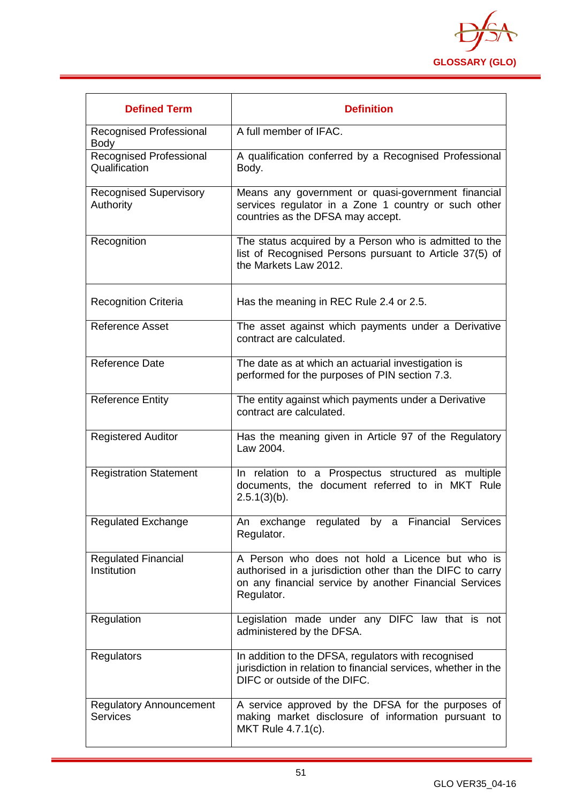

| <b>Defined Term</b>                               | <b>Definition</b>                                                                                                                                                                    |
|---------------------------------------------------|--------------------------------------------------------------------------------------------------------------------------------------------------------------------------------------|
| Recognised Professional<br><b>Body</b>            | A full member of IFAC.                                                                                                                                                               |
| Recognised Professional<br>Qualification          | A qualification conferred by a Recognised Professional<br>Body.                                                                                                                      |
| <b>Recognised Supervisory</b><br>Authority        | Means any government or quasi-government financial<br>services regulator in a Zone 1 country or such other<br>countries as the DFSA may accept.                                      |
| Recognition                                       | The status acquired by a Person who is admitted to the<br>list of Recognised Persons pursuant to Article 37(5) of<br>the Markets Law 2012.                                           |
| <b>Recognition Criteria</b>                       | Has the meaning in REC Rule 2.4 or 2.5.                                                                                                                                              |
| <b>Reference Asset</b>                            | The asset against which payments under a Derivative<br>contract are calculated.                                                                                                      |
| Reference Date                                    | The date as at which an actuarial investigation is<br>performed for the purposes of PIN section 7.3.                                                                                 |
| <b>Reference Entity</b>                           | The entity against which payments under a Derivative<br>contract are calculated.                                                                                                     |
| <b>Registered Auditor</b>                         | Has the meaning given in Article 97 of the Regulatory<br>Law 2004.                                                                                                                   |
| <b>Registration Statement</b>                     | In relation to a Prospectus structured as multiple<br>documents, the document referred to in MKT Rule<br>$2.5.1(3)(b)$ .                                                             |
| <b>Regulated Exchange</b>                         | An exchange regulated by a Financial Services<br>Regulator.                                                                                                                          |
| <b>Regulated Financial</b><br>Institution         | A Person who does not hold a Licence but who is<br>authorised in a jurisdiction other than the DIFC to carry<br>on any financial service by another Financial Services<br>Regulator. |
| Regulation                                        | Legislation made under any DIFC law that is not<br>administered by the DFSA.                                                                                                         |
| Regulators                                        | In addition to the DFSA, regulators with recognised<br>jurisdiction in relation to financial services, whether in the<br>DIFC or outside of the DIFC.                                |
| <b>Regulatory Announcement</b><br><b>Services</b> | A service approved by the DFSA for the purposes of<br>making market disclosure of information pursuant to<br>MKT Rule 4.7.1(c).                                                      |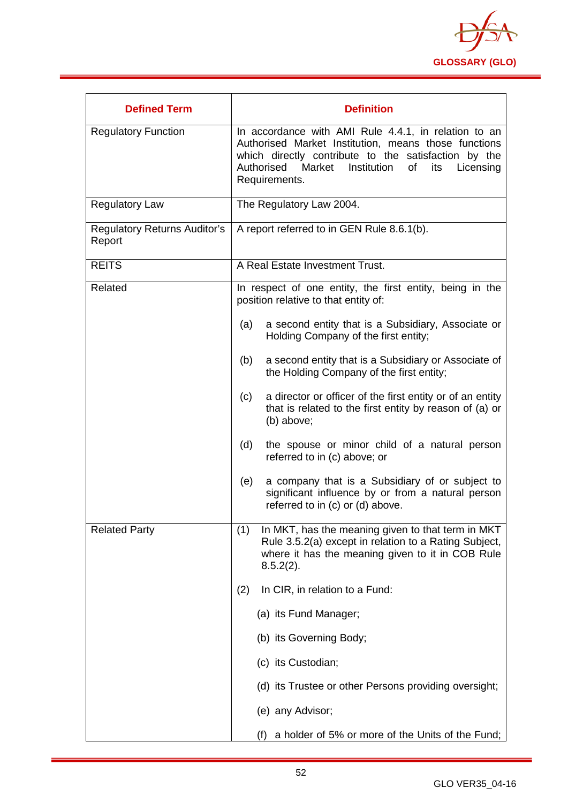

| <b>Defined Term</b>                           | <b>Definition</b>                                                                                                                                                                                                                                   |
|-----------------------------------------------|-----------------------------------------------------------------------------------------------------------------------------------------------------------------------------------------------------------------------------------------------------|
| <b>Regulatory Function</b>                    | In accordance with AMI Rule 4.4.1, in relation to an<br>Authorised Market Institution, means those functions<br>which directly contribute to the satisfaction by the<br>Institution<br>Authorised Market<br>of<br>its<br>Licensing<br>Requirements. |
| <b>Regulatory Law</b>                         | The Regulatory Law 2004.                                                                                                                                                                                                                            |
| <b>Regulatory Returns Auditor's</b><br>Report | A report referred to in GEN Rule 8.6.1(b).                                                                                                                                                                                                          |
| <b>REITS</b>                                  | A Real Estate Investment Trust.                                                                                                                                                                                                                     |
| Related                                       | In respect of one entity, the first entity, being in the<br>position relative to that entity of:                                                                                                                                                    |
|                                               | a second entity that is a Subsidiary, Associate or<br>(a)<br>Holding Company of the first entity;                                                                                                                                                   |
|                                               | a second entity that is a Subsidiary or Associate of<br>(b)<br>the Holding Company of the first entity;                                                                                                                                             |
|                                               | a director or officer of the first entity or of an entity<br>(c)<br>that is related to the first entity by reason of (a) or<br>(b) above;                                                                                                           |
|                                               | (d)<br>the spouse or minor child of a natural person<br>referred to in (c) above; or                                                                                                                                                                |
|                                               | a company that is a Subsidiary of or subject to<br>(e)<br>significant influence by or from a natural person<br>referred to in (c) or (d) above.                                                                                                     |
| <b>Related Party</b>                          | (1)<br>In MKT, has the meaning given to that term in MKT<br>Rule 3.5.2(a) except in relation to a Rating Subject,<br>where it has the meaning given to it in COB Rule<br>$8.5.2(2)$ .                                                               |
|                                               | In CIR, in relation to a Fund:<br>(2)                                                                                                                                                                                                               |
|                                               | (a) its Fund Manager;                                                                                                                                                                                                                               |
|                                               | (b) its Governing Body;                                                                                                                                                                                                                             |
|                                               | (c) its Custodian;                                                                                                                                                                                                                                  |
|                                               | (d) its Trustee or other Persons providing oversight;                                                                                                                                                                                               |
|                                               | (e) any Advisor;                                                                                                                                                                                                                                    |
|                                               | a holder of 5% or more of the Units of the Fund;<br>(f)                                                                                                                                                                                             |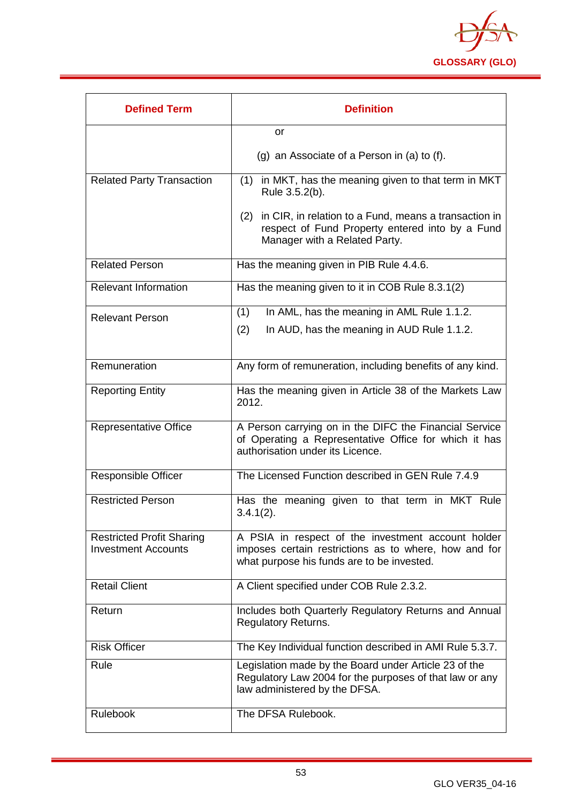

| <b>Defined Term</b>                                            | <b>Definition</b>                                                                                                                                         |
|----------------------------------------------------------------|-----------------------------------------------------------------------------------------------------------------------------------------------------------|
|                                                                | <b>or</b>                                                                                                                                                 |
|                                                                | $(g)$ an Associate of a Person in $(a)$ to $(f)$ .                                                                                                        |
| <b>Related Party Transaction</b>                               | (1) in MKT, has the meaning given to that term in MKT<br>Rule 3.5.2(b).                                                                                   |
|                                                                | in CIR, in relation to a Fund, means a transaction in<br>(2)<br>respect of Fund Property entered into by a Fund<br>Manager with a Related Party.          |
| <b>Related Person</b>                                          | Has the meaning given in PIB Rule 4.4.6.                                                                                                                  |
| <b>Relevant Information</b>                                    | Has the meaning given to it in COB Rule 8.3.1(2)                                                                                                          |
| <b>Relevant Person</b>                                         | In AML, has the meaning in AML Rule 1.1.2.<br>(1)                                                                                                         |
|                                                                | (2)<br>In AUD, has the meaning in AUD Rule 1.1.2.                                                                                                         |
| Remuneration                                                   | Any form of remuneration, including benefits of any kind.                                                                                                 |
| <b>Reporting Entity</b>                                        | Has the meaning given in Article 38 of the Markets Law<br>2012.                                                                                           |
| <b>Representative Office</b>                                   | A Person carrying on in the DIFC the Financial Service<br>of Operating a Representative Office for which it has<br>authorisation under its Licence.       |
| <b>Responsible Officer</b>                                     | The Licensed Function described in GEN Rule 7.4.9                                                                                                         |
| <b>Restricted Person</b>                                       | Has the meaning given to that term in MKT Rule<br>$3.4.1(2)$ .                                                                                            |
| <b>Restricted Profit Sharing</b><br><b>Investment Accounts</b> | A PSIA in respect of the investment account holder<br>imposes certain restrictions as to where, how and for<br>what purpose his funds are to be invested. |
| <b>Retail Client</b>                                           | A Client specified under COB Rule 2.3.2.                                                                                                                  |
| Return                                                         | Includes both Quarterly Regulatory Returns and Annual<br><b>Regulatory Returns.</b>                                                                       |
| <b>Risk Officer</b>                                            | The Key Individual function described in AMI Rule 5.3.7.                                                                                                  |
| Rule                                                           | Legislation made by the Board under Article 23 of the<br>Regulatory Law 2004 for the purposes of that law or any<br>law administered by the DFSA.         |
| <b>Rulebook</b>                                                | The DFSA Rulebook.                                                                                                                                        |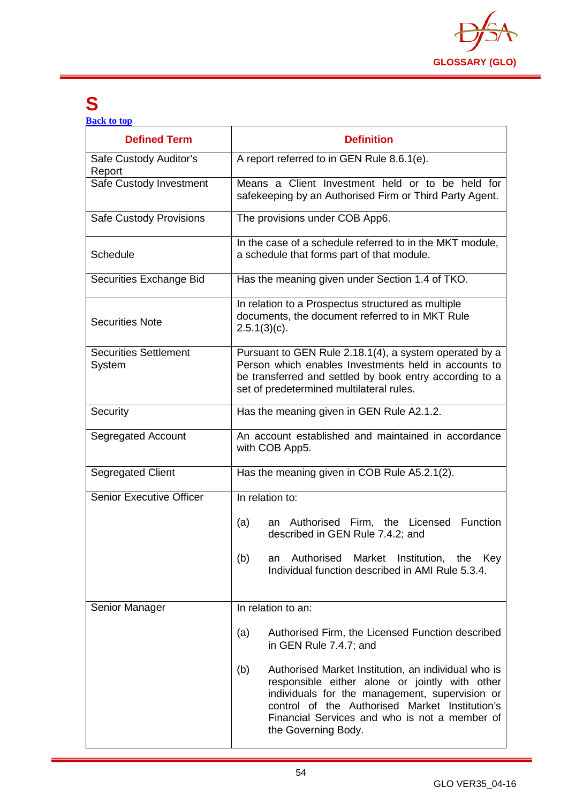

# <span id="page-54-0"></span>**S**

**[Back to top](#page-1-0)**

| <b>Defined Term</b>                    | <b>Definition</b>                                                                                                                                                                                                                                                                        |
|----------------------------------------|------------------------------------------------------------------------------------------------------------------------------------------------------------------------------------------------------------------------------------------------------------------------------------------|
| Safe Custody Auditor's<br>Report       | A report referred to in GEN Rule 8.6.1(e).                                                                                                                                                                                                                                               |
| Safe Custody Investment                | Means a Client Investment held or to be held for<br>safekeeping by an Authorised Firm or Third Party Agent.                                                                                                                                                                              |
| <b>Safe Custody Provisions</b>         | The provisions under COB App6.                                                                                                                                                                                                                                                           |
| Schedule                               | In the case of a schedule referred to in the MKT module,<br>a schedule that forms part of that module.                                                                                                                                                                                   |
| Securities Exchange Bid                | Has the meaning given under Section 1.4 of TKO.                                                                                                                                                                                                                                          |
| <b>Securities Note</b>                 | In relation to a Prospectus structured as multiple<br>documents, the document referred to in MKT Rule<br>$2.5.1(3)(c)$ .                                                                                                                                                                 |
| <b>Securities Settlement</b><br>System | Pursuant to GEN Rule 2.18.1(4), a system operated by a<br>Person which enables Investments held in accounts to<br>be transferred and settled by book entry according to a<br>set of predetermined multilateral rules.                                                                    |
| Security                               | Has the meaning given in GEN Rule A2.1.2.                                                                                                                                                                                                                                                |
| Segregated Account                     | An account established and maintained in accordance<br>with COB App5.                                                                                                                                                                                                                    |
| <b>Segregated Client</b>               | Has the meaning given in COB Rule A5.2.1(2).                                                                                                                                                                                                                                             |
| <b>Senior Executive Officer</b>        | In relation to:                                                                                                                                                                                                                                                                          |
|                                        | an Authorised Firm, the Licensed Function<br>(a)<br>described in GEN Rule 7.4.2; and                                                                                                                                                                                                     |
|                                        | Authorised<br>Market<br>Institution, the<br>Key<br>(b)<br>an<br>Individual function described in AMI Rule 5.3.4.                                                                                                                                                                         |
| Senior Manager                         | In relation to an:                                                                                                                                                                                                                                                                       |
|                                        | Authorised Firm, the Licensed Function described<br>(a)<br>in GEN Rule 7.4.7; and                                                                                                                                                                                                        |
|                                        | Authorised Market Institution, an individual who is<br>(b)<br>responsible either alone or jointly with other<br>individuals for the management, supervision or<br>control of the Authorised Market Institution's<br>Financial Services and who is not a member of<br>the Governing Body. |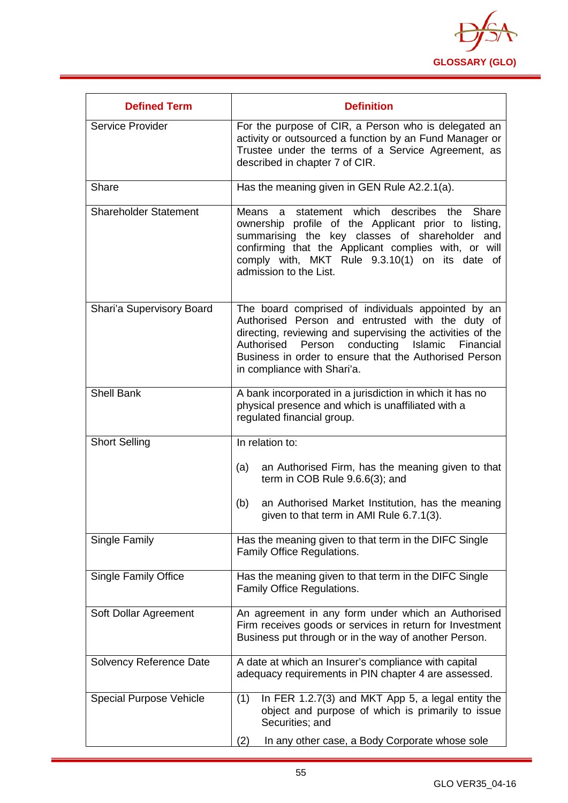

| <b>Defined Term</b>            | <b>Definition</b>                                                                                                                                                                                                                                                                                                        |
|--------------------------------|--------------------------------------------------------------------------------------------------------------------------------------------------------------------------------------------------------------------------------------------------------------------------------------------------------------------------|
| Service Provider               | For the purpose of CIR, a Person who is delegated an<br>activity or outsourced a function by an Fund Manager or<br>Trustee under the terms of a Service Agreement, as<br>described in chapter 7 of CIR.                                                                                                                  |
| Share                          | Has the meaning given in GEN Rule A2.2.1(a).                                                                                                                                                                                                                                                                             |
| <b>Shareholder Statement</b>   | describes the<br>Means a statement which<br>Share<br>ownership profile of the Applicant prior to listing,<br>summarising the key classes of shareholder and<br>confirming that the Applicant complies with, or will<br>comply with, MKT Rule 9.3.10(1) on its date of<br>admission to the List.                          |
| Shari'a Supervisory Board      | The board comprised of individuals appointed by an<br>Authorised Person and entrusted with the duty of<br>directing, reviewing and supervising the activities of the<br>Person conducting<br>Islamic<br>Authorised<br>Financial<br>Business in order to ensure that the Authorised Person<br>in compliance with Shari'a. |
| <b>Shell Bank</b>              | A bank incorporated in a jurisdiction in which it has no<br>physical presence and which is unaffiliated with a<br>regulated financial group.                                                                                                                                                                             |
| <b>Short Selling</b>           | In relation to:                                                                                                                                                                                                                                                                                                          |
|                                | an Authorised Firm, has the meaning given to that<br>(a)<br>term in COB Rule 9.6.6(3); and                                                                                                                                                                                                                               |
|                                | an Authorised Market Institution, has the meaning<br>(b)<br>given to that term in AMI Rule 6.7.1(3).                                                                                                                                                                                                                     |
| Single Family                  | Has the meaning given to that term in the DIFC Single<br>Family Office Regulations.                                                                                                                                                                                                                                      |
| <b>Single Family Office</b>    | Has the meaning given to that term in the DIFC Single<br>Family Office Regulations.                                                                                                                                                                                                                                      |
| Soft Dollar Agreement          | An agreement in any form under which an Authorised<br>Firm receives goods or services in return for Investment<br>Business put through or in the way of another Person.                                                                                                                                                  |
| Solvency Reference Date        | A date at which an Insurer's compliance with capital<br>adequacy requirements in PIN chapter 4 are assessed.                                                                                                                                                                                                             |
| <b>Special Purpose Vehicle</b> | In FER 1.2.7(3) and MKT App 5, a legal entity the<br>(1)<br>object and purpose of which is primarily to issue<br>Securities; and                                                                                                                                                                                         |
|                                | (2)<br>In any other case, a Body Corporate whose sole                                                                                                                                                                                                                                                                    |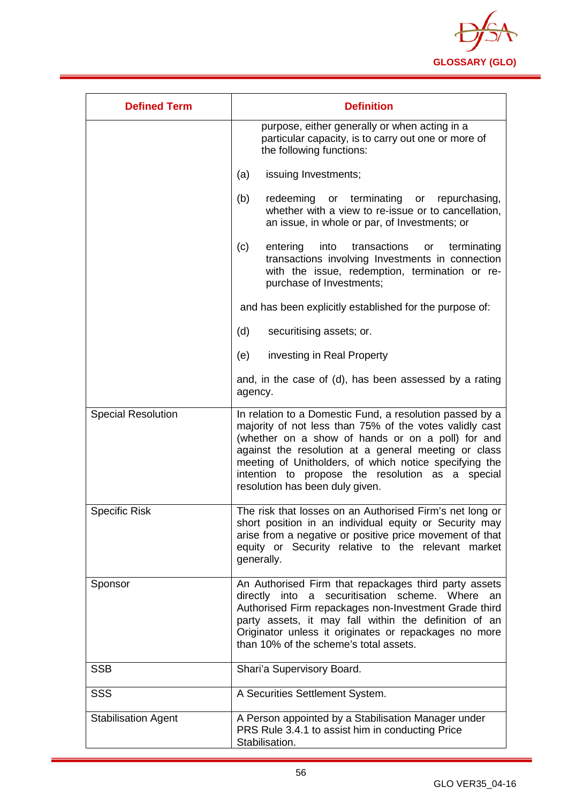

| <b>Defined Term</b>        | <b>Definition</b>                                                                                                                                                                                                                                                                                                                                                                 |
|----------------------------|-----------------------------------------------------------------------------------------------------------------------------------------------------------------------------------------------------------------------------------------------------------------------------------------------------------------------------------------------------------------------------------|
|                            | purpose, either generally or when acting in a<br>particular capacity, is to carry out one or more of<br>the following functions:                                                                                                                                                                                                                                                  |
|                            | issuing Investments;<br>(a)                                                                                                                                                                                                                                                                                                                                                       |
|                            | (b)<br>redeeming<br>or terminating<br>or repurchasing,<br>whether with a view to re-issue or to cancellation,<br>an issue, in whole or par, of Investments; or                                                                                                                                                                                                                    |
|                            | (c)<br>transactions<br>entering<br>into<br>terminating<br>or<br>transactions involving Investments in connection<br>with the issue, redemption, termination or re-<br>purchase of Investments;                                                                                                                                                                                    |
|                            | and has been explicitly established for the purpose of:                                                                                                                                                                                                                                                                                                                           |
|                            | (d)<br>securitising assets; or.                                                                                                                                                                                                                                                                                                                                                   |
|                            | investing in Real Property<br>(e)                                                                                                                                                                                                                                                                                                                                                 |
|                            | and, in the case of (d), has been assessed by a rating<br>agency.                                                                                                                                                                                                                                                                                                                 |
| <b>Special Resolution</b>  | In relation to a Domestic Fund, a resolution passed by a<br>majority of not less than 75% of the votes validly cast<br>(whether on a show of hands or on a poll) for and<br>against the resolution at a general meeting or class<br>meeting of Unitholders, of which notice specifying the<br>intention to propose the resolution as a special<br>resolution has been duly given. |
| <b>Specific Risk</b>       | The risk that losses on an Authorised Firm's net long or<br>short position in an individual equity or Security may<br>arise from a negative or positive price movement of that<br>equity or Security relative to the relevant market<br>generally.                                                                                                                                |
| Sponsor                    | An Authorised Firm that repackages third party assets<br>directly into a securitisation scheme. Where<br>an<br>Authorised Firm repackages non-Investment Grade third<br>party assets, it may fall within the definition of an<br>Originator unless it originates or repackages no more<br>than 10% of the scheme's total assets.                                                  |
| <b>SSB</b>                 | Shari'a Supervisory Board.                                                                                                                                                                                                                                                                                                                                                        |
| <b>SSS</b>                 | A Securities Settlement System.                                                                                                                                                                                                                                                                                                                                                   |
| <b>Stabilisation Agent</b> | A Person appointed by a Stabilisation Manager under<br>PRS Rule 3.4.1 to assist him in conducting Price<br>Stabilisation.                                                                                                                                                                                                                                                         |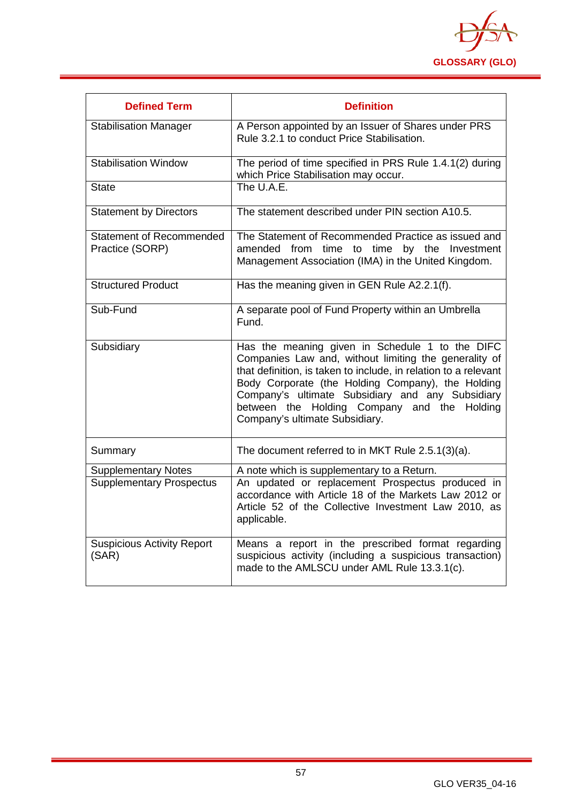

| <b>Defined Term</b>                         | <b>Definition</b>                                                                                                                                                                                                                                                                                                                                                     |
|---------------------------------------------|-----------------------------------------------------------------------------------------------------------------------------------------------------------------------------------------------------------------------------------------------------------------------------------------------------------------------------------------------------------------------|
| Stabilisation Manager                       | A Person appointed by an Issuer of Shares under PRS<br>Rule 3.2.1 to conduct Price Stabilisation.                                                                                                                                                                                                                                                                     |
| <b>Stabilisation Window</b>                 | The period of time specified in PRS Rule 1.4.1(2) during<br>which Price Stabilisation may occur.                                                                                                                                                                                                                                                                      |
| <b>State</b>                                | The U.A.E.                                                                                                                                                                                                                                                                                                                                                            |
| <b>Statement by Directors</b>               | The statement described under PIN section A10.5.                                                                                                                                                                                                                                                                                                                      |
| Statement of Recommended<br>Practice (SORP) | The Statement of Recommended Practice as issued and<br>amended from time to time by the Investment<br>Management Association (IMA) in the United Kingdom.                                                                                                                                                                                                             |
| <b>Structured Product</b>                   | Has the meaning given in GEN Rule A2.2.1(f).                                                                                                                                                                                                                                                                                                                          |
| Sub-Fund                                    | A separate pool of Fund Property within an Umbrella<br>Fund.                                                                                                                                                                                                                                                                                                          |
| Subsidiary                                  | Has the meaning given in Schedule 1 to the DIFC<br>Companies Law and, without limiting the generality of<br>that definition, is taken to include, in relation to a relevant<br>Body Corporate (the Holding Company), the Holding<br>Company's ultimate Subsidiary and any Subsidiary<br>between the Holding Company and the Holding<br>Company's ultimate Subsidiary. |
| Summary                                     | The document referred to in MKT Rule 2.5.1(3)(a).                                                                                                                                                                                                                                                                                                                     |
| <b>Supplementary Notes</b>                  | A note which is supplementary to a Return.                                                                                                                                                                                                                                                                                                                            |
| <b>Supplementary Prospectus</b>             | An updated or replacement Prospectus produced in<br>accordance with Article 18 of the Markets Law 2012 or<br>Article 52 of the Collective Investment Law 2010, as<br>applicable.                                                                                                                                                                                      |
| <b>Suspicious Activity Report</b><br>(SAR)  | Means a report in the prescribed format regarding<br>suspicious activity (including a suspicious transaction)<br>made to the AMLSCU under AML Rule 13.3.1(c).                                                                                                                                                                                                         |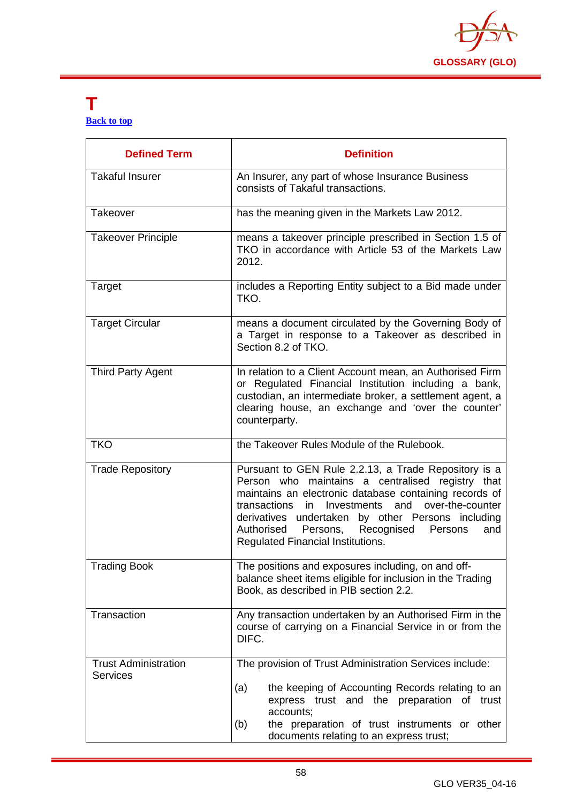

#### <span id="page-58-0"></span>**T [Back to top](#page-1-0)**

| <b>Defined Term</b>                            | <b>Definition</b>                                                                                                                                                                                                                                                                                                                                                                   |
|------------------------------------------------|-------------------------------------------------------------------------------------------------------------------------------------------------------------------------------------------------------------------------------------------------------------------------------------------------------------------------------------------------------------------------------------|
| <b>Takaful Insurer</b>                         | An Insurer, any part of whose Insurance Business<br>consists of Takaful transactions.                                                                                                                                                                                                                                                                                               |
| Takeover                                       | has the meaning given in the Markets Law 2012.                                                                                                                                                                                                                                                                                                                                      |
| <b>Takeover Principle</b>                      | means a takeover principle prescribed in Section 1.5 of<br>TKO in accordance with Article 53 of the Markets Law<br>2012.                                                                                                                                                                                                                                                            |
| Target                                         | includes a Reporting Entity subject to a Bid made under<br>TKO.                                                                                                                                                                                                                                                                                                                     |
| <b>Target Circular</b>                         | means a document circulated by the Governing Body of<br>a Target in response to a Takeover as described in<br>Section 8.2 of TKO.                                                                                                                                                                                                                                                   |
| <b>Third Party Agent</b>                       | In relation to a Client Account mean, an Authorised Firm<br>or Regulated Financial Institution including a bank,<br>custodian, an intermediate broker, a settlement agent, a<br>clearing house, an exchange and 'over the counter'<br>counterparty.                                                                                                                                 |
| <b>TKO</b>                                     | the Takeover Rules Module of the Rulebook.                                                                                                                                                                                                                                                                                                                                          |
| <b>Trade Repository</b>                        | Pursuant to GEN Rule 2.2.13, a Trade Repository is a<br>Person who maintains a centralised registry that<br>maintains an electronic database containing records of<br>and<br>over-the-counter<br>transactions<br>in<br>Investments<br>derivatives undertaken by other Persons including<br>Authorised<br>Persons, Recognised<br>Persons<br>and<br>Regulated Financial Institutions. |
| <b>Trading Book</b>                            | The positions and exposures including, on and off-<br>balance sheet items eligible for inclusion in the Trading<br>Book, as described in PIB section 2.2.                                                                                                                                                                                                                           |
| Transaction                                    | Any transaction undertaken by an Authorised Firm in the<br>course of carrying on a Financial Service in or from the<br>DIFC.                                                                                                                                                                                                                                                        |
| <b>Trust Administration</b><br><b>Services</b> | The provision of Trust Administration Services include:                                                                                                                                                                                                                                                                                                                             |
|                                                | the keeping of Accounting Records relating to an<br>(a)<br>express trust and the preparation of trust<br>accounts;<br>(b)<br>the preparation of trust instruments or other                                                                                                                                                                                                          |
|                                                | documents relating to an express trust;                                                                                                                                                                                                                                                                                                                                             |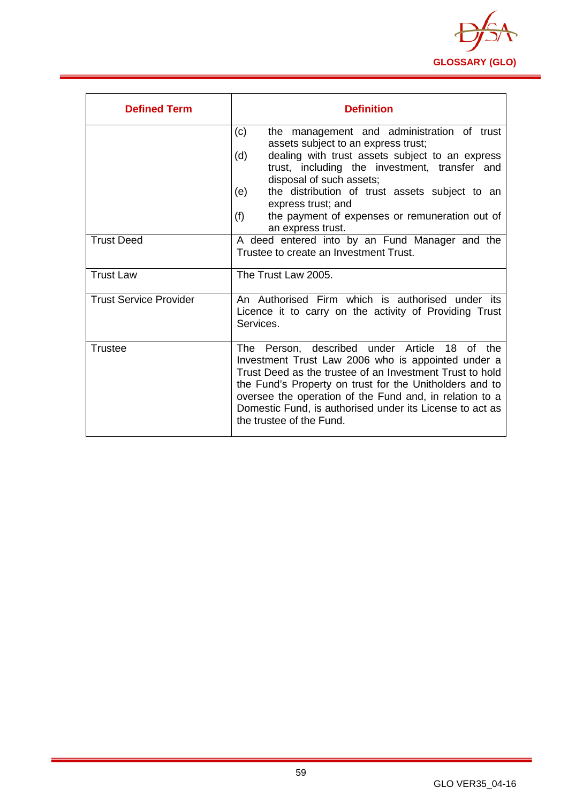

| <b>Defined Term</b>           | <b>Definition</b>                                                                                                                                                                                                                                                                                                                                                                            |
|-------------------------------|----------------------------------------------------------------------------------------------------------------------------------------------------------------------------------------------------------------------------------------------------------------------------------------------------------------------------------------------------------------------------------------------|
|                               | the management and administration of trust<br>(c)<br>assets subject to an express trust;<br>dealing with trust assets subject to an express<br>(d)<br>trust, including the investment, transfer and<br>disposal of such assets;<br>the distribution of trust assets subject to an<br>(e)<br>express trust; and<br>(f)<br>the payment of expenses or remuneration out of<br>an express trust. |
| <b>Trust Deed</b>             | A deed entered into by an Fund Manager and the<br>Trustee to create an Investment Trust.                                                                                                                                                                                                                                                                                                     |
| <b>Trust Law</b>              | The Trust Law 2005.                                                                                                                                                                                                                                                                                                                                                                          |
| <b>Trust Service Provider</b> | An Authorised Firm which is authorised under its<br>Licence it to carry on the activity of Providing Trust<br>Services.                                                                                                                                                                                                                                                                      |
| Trustee                       | The Person, described under Article 18 of the<br>Investment Trust Law 2006 who is appointed under a<br>Trust Deed as the trustee of an Investment Trust to hold<br>the Fund's Property on trust for the Unitholders and to<br>oversee the operation of the Fund and, in relation to a<br>Domestic Fund, is authorised under its License to act as<br>the trustee of the Fund.                |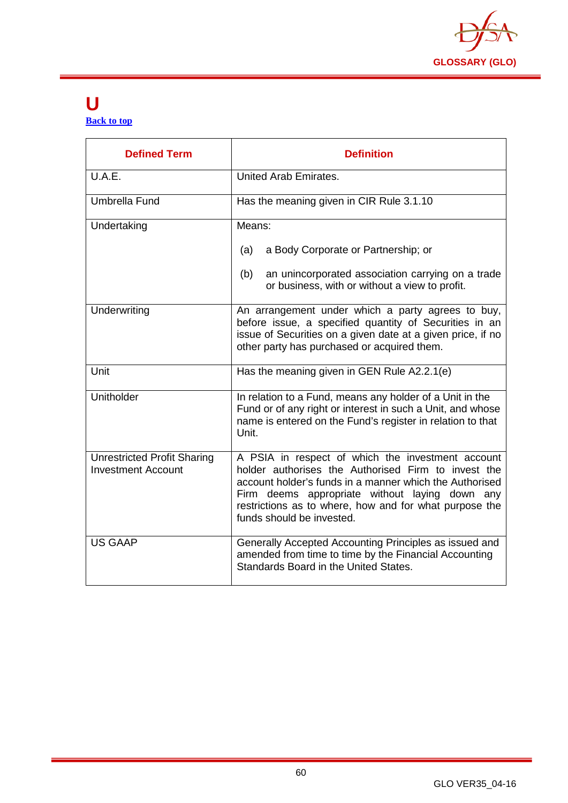

#### <span id="page-60-0"></span>**U [Back to top](#page-1-0)**

| <b>Defined Term</b>                                             | <b>Definition</b>                                                                                                                                                                                                                                                                                            |
|-----------------------------------------------------------------|--------------------------------------------------------------------------------------------------------------------------------------------------------------------------------------------------------------------------------------------------------------------------------------------------------------|
| U.A.E.                                                          | United Arab Emirates.                                                                                                                                                                                                                                                                                        |
| Umbrella Fund                                                   | Has the meaning given in CIR Rule 3.1.10                                                                                                                                                                                                                                                                     |
| Undertaking                                                     | Means:                                                                                                                                                                                                                                                                                                       |
|                                                                 | a Body Corporate or Partnership; or<br>(a)                                                                                                                                                                                                                                                                   |
|                                                                 | an unincorporated association carrying on a trade<br>(b)<br>or business, with or without a view to profit.                                                                                                                                                                                                   |
| Underwriting                                                    | An arrangement under which a party agrees to buy,<br>before issue, a specified quantity of Securities in an<br>issue of Securities on a given date at a given price, if no<br>other party has purchased or acquired them.                                                                                    |
| Unit                                                            | Has the meaning given in GEN Rule A2.2.1(e)                                                                                                                                                                                                                                                                  |
| Unitholder                                                      | In relation to a Fund, means any holder of a Unit in the<br>Fund or of any right or interest in such a Unit, and whose<br>name is entered on the Fund's register in relation to that<br>Unit.                                                                                                                |
| <b>Unrestricted Profit Sharing</b><br><b>Investment Account</b> | A PSIA in respect of which the investment account<br>holder authorises the Authorised Firm to invest the<br>account holder's funds in a manner which the Authorised<br>Firm deems appropriate without laying down any<br>restrictions as to where, how and for what purpose the<br>funds should be invested. |
| <b>US GAAP</b>                                                  | Generally Accepted Accounting Principles as issued and<br>amended from time to time by the Financial Accounting<br>Standards Board in the United States.                                                                                                                                                     |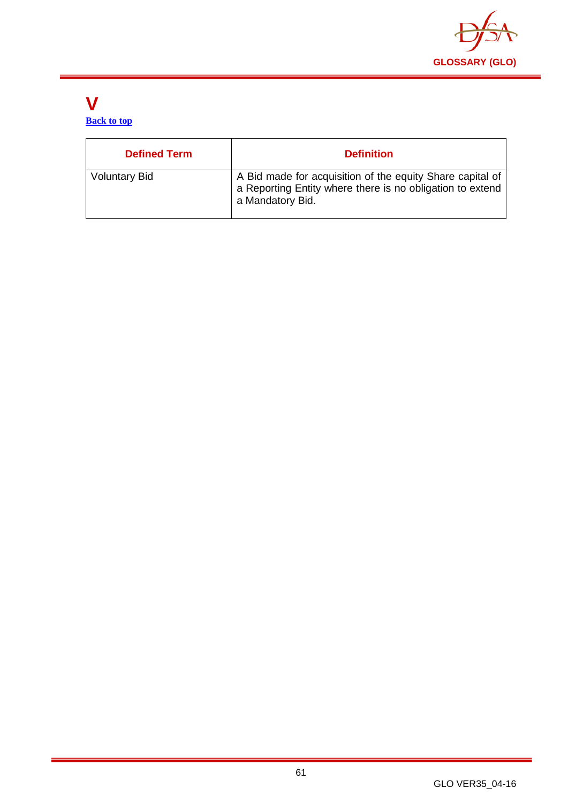

#### <span id="page-61-0"></span>**V [Back to top](#page-1-0)**

| <b>Defined Term</b>  | <b>Definition</b>                                                                                                                          |
|----------------------|--------------------------------------------------------------------------------------------------------------------------------------------|
| <b>Voluntary Bid</b> | A Bid made for acquisition of the equity Share capital of<br>a Reporting Entity where there is no obligation to extend<br>a Mandatory Bid. |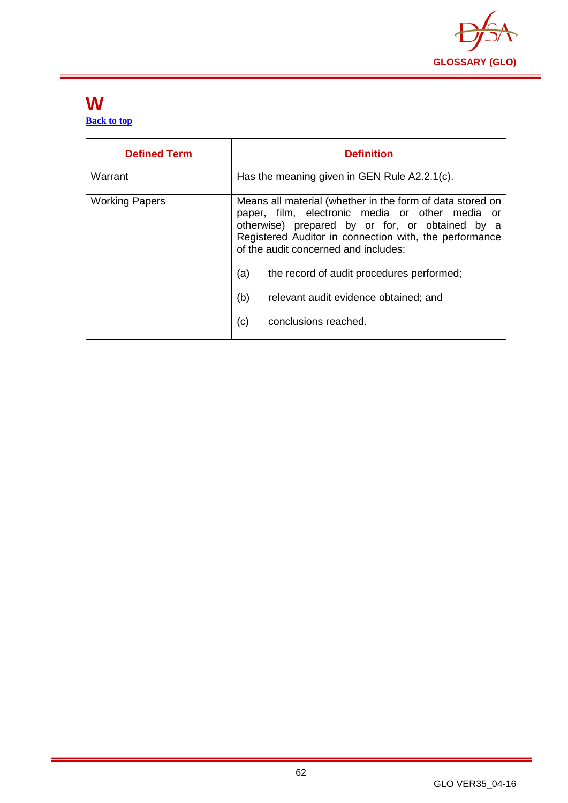

#### <span id="page-62-0"></span>**W [Back to top](#page-1-0)**

| <b>Defined Term</b>   | <b>Definition</b>                                                                                                                                                                                                                                                                                                                                                                                    |
|-----------------------|------------------------------------------------------------------------------------------------------------------------------------------------------------------------------------------------------------------------------------------------------------------------------------------------------------------------------------------------------------------------------------------------------|
| Warrant               | Has the meaning given in GEN Rule A2.2.1(c).                                                                                                                                                                                                                                                                                                                                                         |
| <b>Working Papers</b> | Means all material (whether in the form of data stored on<br>paper, film, electronic media or other media or<br>otherwise) prepared by or for, or obtained by a<br>Registered Auditor in connection with, the performance<br>of the audit concerned and includes:<br>(a)<br>the record of audit procedures performed;<br>(b)<br>relevant audit evidence obtained; and<br>(c)<br>conclusions reached. |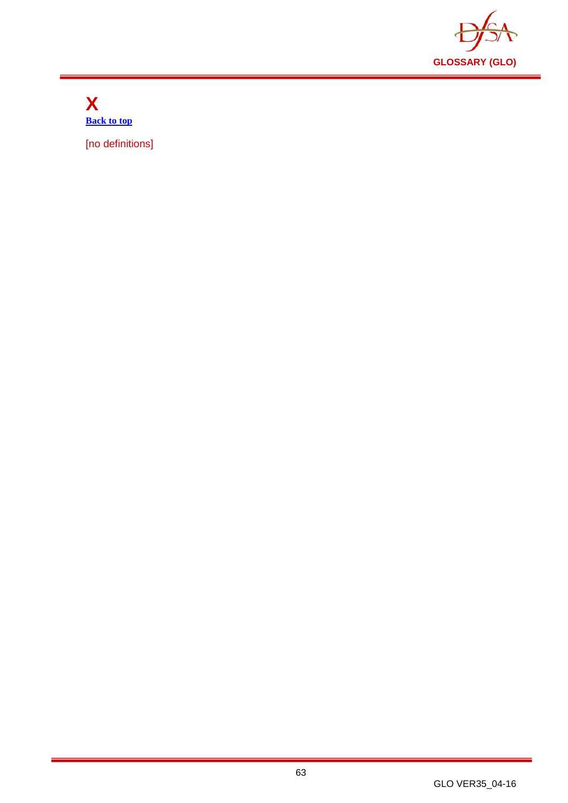

<span id="page-63-0"></span>**X [Back to top](#page-1-0)**

[no definitions]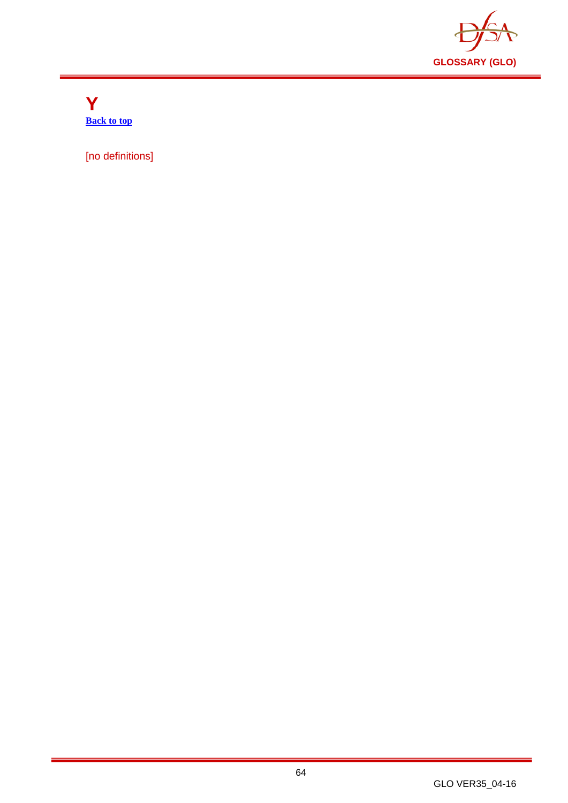

<span id="page-64-0"></span>**Y [Back to top](#page-1-0)**

[no definitions]